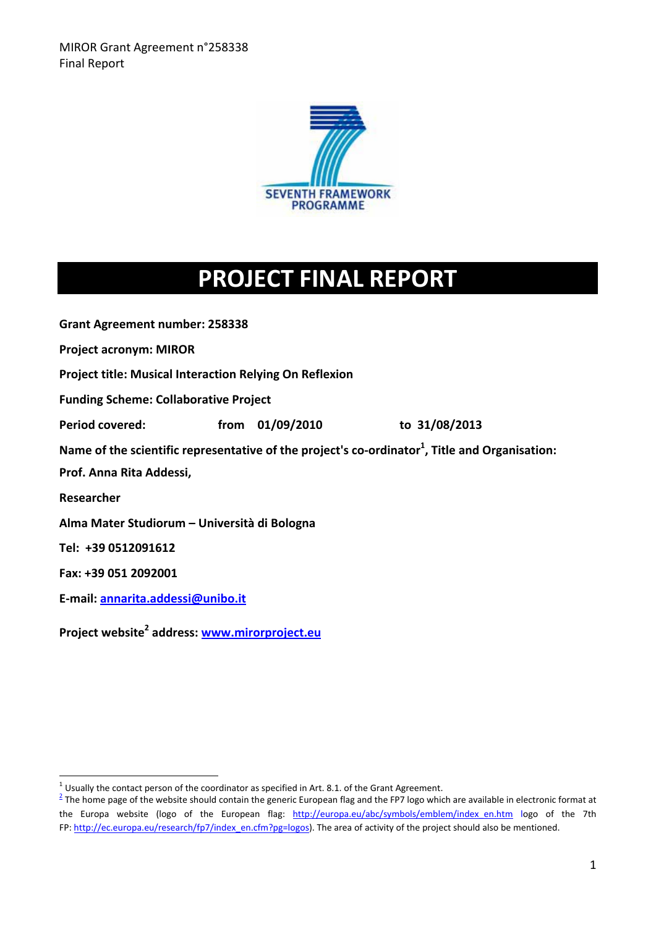

# **PROJECT FINAL REPORT**

**Grant Agreement number: 258338**

**Project acronym: MIROR**

**Project title: Musical Interaction Relying On Reflexion**

**Funding Scheme: Collaborative Project**

**Period covered: from 01/09/2010 to 31/08/2013**

**Name of the scientific representative of the project's co‐ordinator<sup>1</sup> , Title and Organisation:** 

**Prof. Anna Rita Addessi,** 

**Researcher**

**Alma Mater Studiorum – Università di Bologna**

**Tel: +39 0512091612**

**Fax: +39 051 2092001**

**E‐mail: annarita.addessi@unibo.it**

**Project website<sup>2</sup> address: www.mirorproject.eu**

<sup>&</sup>lt;sup>1</sup> Usually the contact person of the coordinator as specified in Art. 8.1. of the Grant Agreement.

 $^2$  The home page of the website should contain the generic European flag and the FP7 logo which are available in electronic format at the Europa website (logo of the European flag: http://europa.eu/abc/symbols/emblem/index en.htm logo of the 7th FP: http://ec.europa.eu/research/fp7/index\_en.cfm?pg=logos). The area of activity of the project should also be mentioned.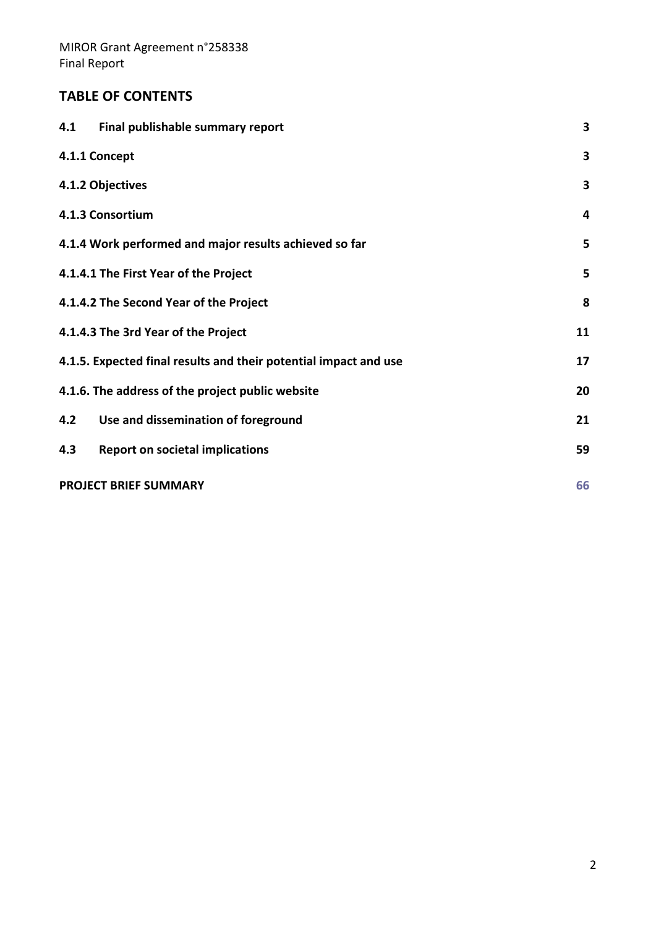## **TABLE OF CONTENTS**

| Final publishable summary report<br>4.1                          | 3  |
|------------------------------------------------------------------|----|
| 4.1.1 Concept                                                    | 3  |
| 4.1.2 Objectives                                                 | 3  |
| 4.1.3 Consortium                                                 | 4  |
| 4.1.4 Work performed and major results achieved so far           | 5  |
| 4.1.4.1 The First Year of the Project                            | 5  |
| 4.1.4.2 The Second Year of the Project                           | 8  |
| 4.1.4.3 The 3rd Year of the Project                              | 11 |
| 4.1.5. Expected final results and their potential impact and use | 17 |
| 4.1.6. The address of the project public website                 | 20 |
| Use and dissemination of foreground<br>4.2                       | 21 |
| 4.3<br><b>Report on societal implications</b>                    | 59 |
| <b>PROJECT BRIEF SUMMARY</b>                                     | 66 |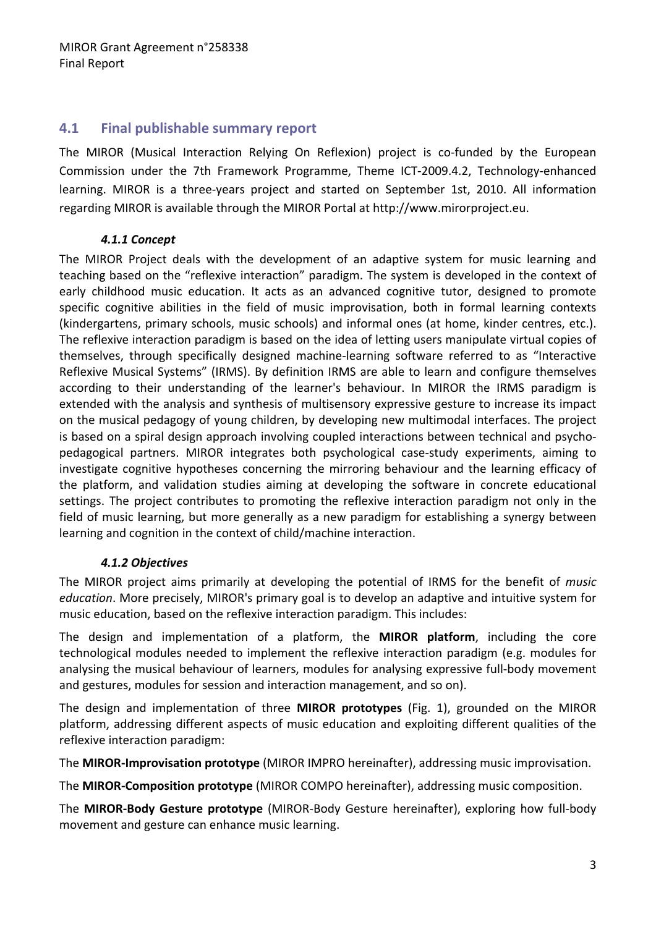## **4.1 Final publishable summary report**

The MIROR (Musical Interaction Relying On Reflexion) project is co-funded by the European Commission under the 7th Framework Programme, Theme ICT‐2009.4.2, Technology‐enhanced learning. MIROR is a three‐years project and started on September 1st, 2010. All information regarding MIROR is available through the MIROR Portal at http://www.mirorproject.eu.

#### *4.1.1 Concept*

The MIROR Project deals with the development of an adaptive system for music learning and teaching based on the "reflexive interaction" paradigm. The system is developed in the context of early childhood music education. It acts as an advanced cognitive tutor, designed to promote specific cognitive abilities in the field of music improvisation, both in formal learning contexts (kindergartens, primary schools, music schools) and informal ones (at home, kinder centres, etc.). The reflexive interaction paradigm is based on the idea of letting users manipulate virtual copies of themselves, through specifically designed machine‐learning software referred to as "Interactive Reflexive Musical Systems" (IRMS). By definition IRMS are able to learn and configure themselves according to their understanding of the learner's behaviour. In MIROR the IRMS paradigm is extended with the analysis and synthesis of multisensory expressive gesture to increase its impact on the musical pedagogy of young children, by developing new multimodal interfaces. The project is based on a spiral design approach involving coupled interactions between technical and psychopedagogical partners. MIROR integrates both psychological case‐study experiments, aiming to investigate cognitive hypotheses concerning the mirroring behaviour and the learning efficacy of the platform, and validation studies aiming at developing the software in concrete educational settings. The project contributes to promoting the reflexive interaction paradigm not only in the field of music learning, but more generally as a new paradigm for establishing a synergy between learning and cognition in the context of child/machine interaction.

#### *4.1.2 Objectives*

The MIROR project aims primarily at developing the potential of IRMS for the benefit of *music education*. More precisely, MIROR's primary goal is to develop an adaptive and intuitive system for music education, based on the reflexive interaction paradigm. This includes:

The design and implementation of a platform, the **MIROR platform**, including the core technological modules needed to implement the reflexive interaction paradigm (e.g. modules for analysing the musical behaviour of learners, modules for analysing expressive full-body movement and gestures, modules for session and interaction management, and so on).

The design and implementation of three **MIROR prototypes** (Fig. 1), grounded on the MIROR platform, addressing different aspects of music education and exploiting different qualities of the reflexive interaction paradigm:

The **MIROR‐Improvisation prototype** (MIROR IMPRO hereinafter), addressing music improvisation.

The **MIROR‐Composition prototype** (MIROR COMPO hereinafter), addressing music composition.

The **MIROR‐Body Gesture prototype** (MIROR‐Body Gesture hereinafter), exploring how full‐body movement and gesture can enhance music learning.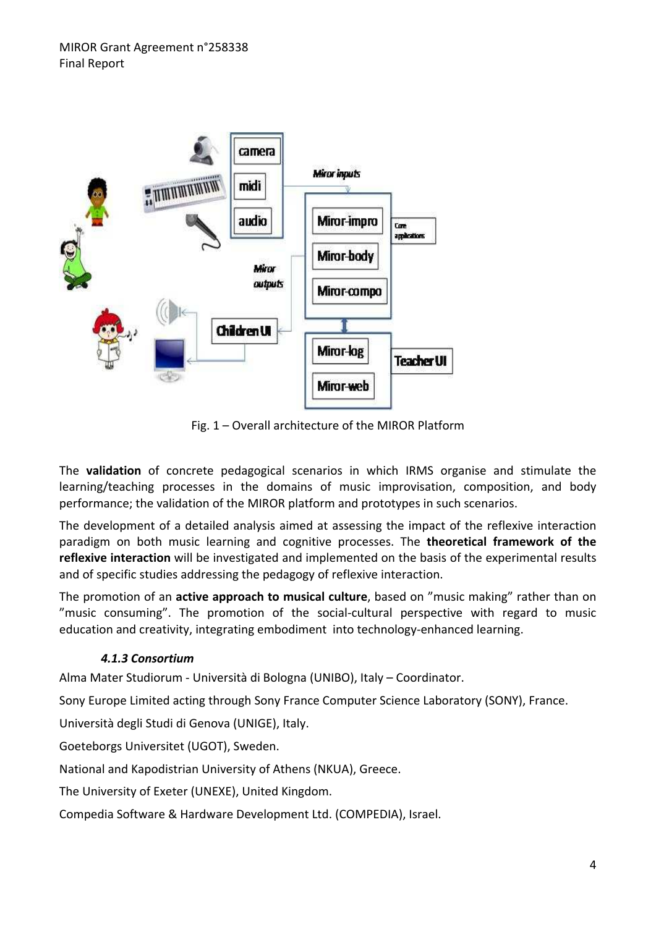

Fig. 1 – Overall architecture of the MIROR Platform

The **validation** of concrete pedagogical scenarios in which IRMS organise and stimulate the learning/teaching processes in the domains of music improvisation, composition, and body performance; the validation of the MIROR platform and prototypes in such scenarios.

The development of a detailed analysis aimed at assessing the impact of the reflexive interaction paradigm on both music learning and cognitive processes. The **theoretical framework of the reflexive interaction** will be investigated and implemented on the basis of the experimental results and of specific studies addressing the pedagogy of reflexive interaction.

The promotion of an **active approach to musical culture**, based on "music making" rather than on "music consuming". The promotion of the social‐cultural perspective with regard to music education and creativity, integrating embodiment into technology-enhanced learning.

#### *4.1.3 Consortium*

Alma Mater Studiorum ‐ Università di Bologna (UNIBO), Italy – Coordinator.

Sony Europe Limited acting through Sony France Computer Science Laboratory (SONY), France.

Università degli Studi di Genova (UNIGE), Italy.

Goeteborgs Universitet (UGOT), Sweden.

National and Kapodistrian University of Athens (NKUA), Greece.

The University of Exeter (UNEXE), United Kingdom.

Compedia Software & Hardware Development Ltd. (COMPEDIA), Israel.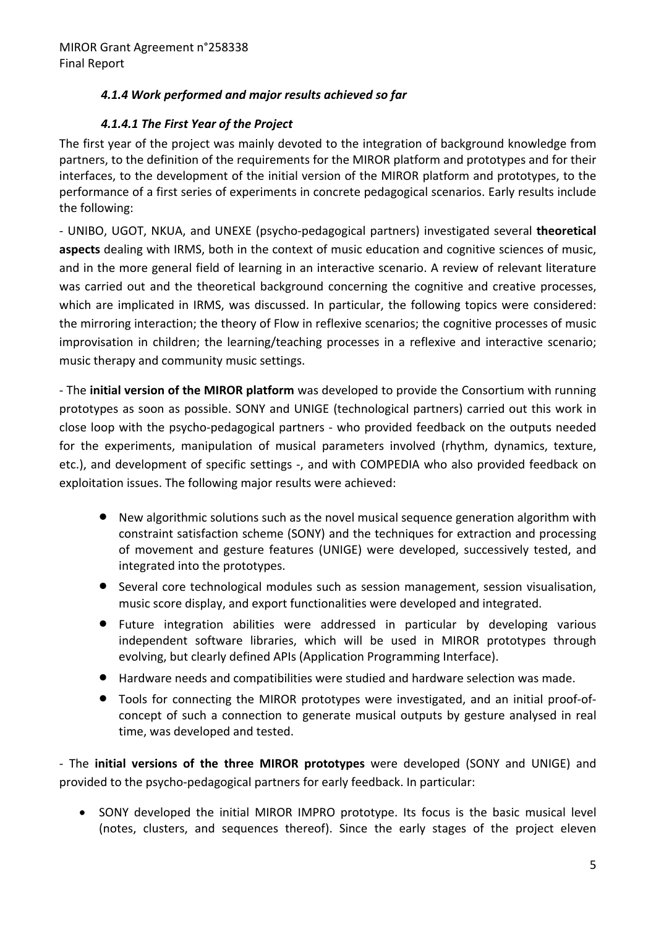## *4.1.4 Work performed and major results achieved so far*

## *4.1.4.1 The First Year of the Project*

The first year of the project was mainly devoted to the integration of background knowledge from partners, to the definition of the requirements for the MIROR platform and prototypes and for their interfaces, to the development of the initial version of the MIROR platform and prototypes, to the performance of a first series of experiments in concrete pedagogical scenarios. Early results include the following:

‐ UNIBO, UGOT, NKUA, and UNEXE (psycho‐pedagogical partners) investigated several **theoretical aspects** dealing with IRMS, both in the context of music education and cognitive sciences of music, and in the more general field of learning in an interactive scenario. A review of relevant literature was carried out and the theoretical background concerning the cognitive and creative processes, which are implicated in IRMS, was discussed. In particular, the following topics were considered: the mirroring interaction; the theory of Flow in reflexive scenarios; the cognitive processes of music improvisation in children; the learning/teaching processes in a reflexive and interactive scenario; music therapy and community music settings.

‐ The **initial version of the MIROR platform** was developed to provide the Consortium with running prototypes as soon as possible. SONY and UNIGE (technological partners) carried out this work in close loop with the psycho‐pedagogical partners ‐ who provided feedback on the outputs needed for the experiments, manipulation of musical parameters involved (rhythm, dynamics, texture, etc.), and development of specific settings ‐, and with COMPEDIA who also provided feedback on exploitation issues. The following major results were achieved:

- New algorithmic solutions such as the novel musical sequence generation algorithm with constraint satisfaction scheme (SONY) and the techniques for extraction and processing of movement and gesture features (UNIGE) were developed, successively tested, and integrated into the prototypes.
- Several core technological modules such as session management, session visualisation, music score display, and export functionalities were developed and integrated.
- Future integration abilities were addressed in particular by developing various independent software libraries, which will be used in MIROR prototypes through evolving, but clearly defined APIs (Application Programming Interface).
- Hardware needs and compatibilities were studied and hardware selection was made.
- Tools for connecting the MIROR prototypes were investigated, and an initial proof‐of‐ concept of such a connection to generate musical outputs by gesture analysed in real time, was developed and tested.

‐ The **initial versions of the three MIROR prototypes** were developed (SONY and UNIGE) and provided to the psycho‐pedagogical partners for early feedback. In particular:

• SONY developed the initial MIROR IMPRO prototype. Its focus is the basic musical level (notes, clusters, and sequences thereof). Since the early stages of the project eleven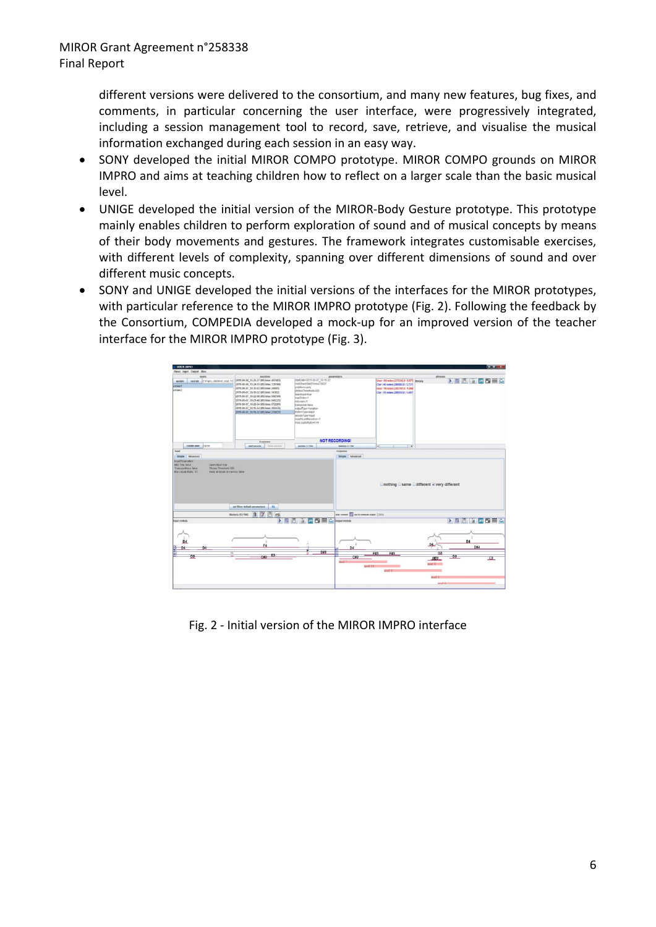different versions were delivered to the consortium, and many new features, bug fixes, and comments, in particular concerning the user interface, were progressively integrated, including a session management tool to record, save, retrieve, and visualise the musical information exchanged during each session in an easy way.

- SONY developed the initial MIROR COMPO prototype. MIROR COMPO grounds on MIROR IMPRO and aims at teaching children how to reflect on a larger scale than the basic musical level.
- UNIGE developed the initial version of the MIROR‐Body Gesture prototype. This prototype mainly enables children to perform exploration of sound and of musical concepts by means of their body movements and gestures. The framework integrates customisable exercises, with different levels of complexity, spanning over different dimensions of sound and over different music concepts.
- SONY and UNIGE developed the initial versions of the interfaces for the MIROR prototypes, with particular reference to the MIROR IMPRO prototype (Fig. 2). Following the feedback by the Consortium, COMPEDIA developed a mock‐up for an improved version of the teacher interface for the MIROR IMPRO prototype (Fig. 3).



Fig. 2 ‐ Initial version of the MIROR IMPRO interface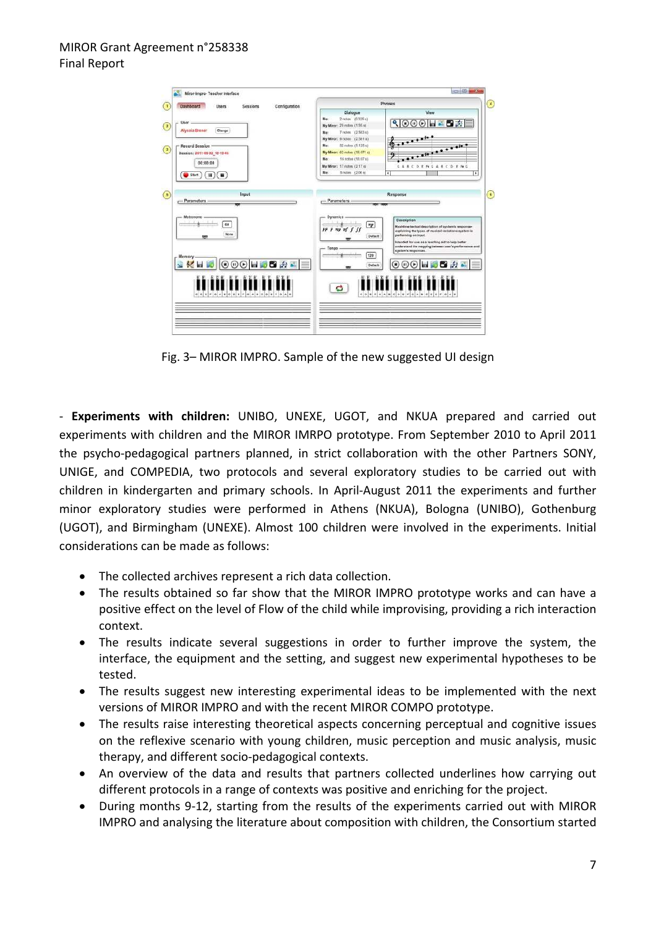

Fig. 3– MIROR IMPRO. Sample of the new suggested UI design

‐ **Experiments with children:** UNIBO, UNEXE, UGOT, and NKUA prepared and carried out experiments with children and the MIROR IMRPO prototype. From September 2010 to April 2011 the psycho‐pedagogical partners planned, in strict collaboration with the other Partners SONY, UNIGE, and COMPEDIA, two protocols and several exploratory studies to be carried out with children in kindergarten and primary schools. In April‐August 2011 the experiments and further minor exploratory studies were performed in Athens (NKUA), Bologna (UNIBO), Gothenburg (UGOT), and Birmingham (UNEXE). Almost 100 children were involved in the experiments. Initial considerations can be made as follows:

- The collected archives represent a rich data collection.
- The results obtained so far show that the MIROR IMPRO prototype works and can have a positive effect on the level of Flow of the child while improvising, providing a rich interaction context.
- The results indicate several suggestions in order to further improve the system, the interface, the equipment and the setting, and suggest new experimental hypotheses to be tested.
- The results suggest new interesting experimental ideas to be implemented with the next versions of MIROR IMPRO and with the recent MIROR COMPO prototype.
- The results raise interesting theoretical aspects concerning perceptual and cognitive issues on the reflexive scenario with young children, music perception and music analysis, music therapy, and different socio‐pedagogical contexts.
- An overview of the data and results that partners collected underlines how carrying out different protocols in a range of contexts was positive and enriching for the project.
- During months 9‐12, starting from the results of the experiments carried out with MIROR IMPRO and analysing the literature about composition with children, the Consortium started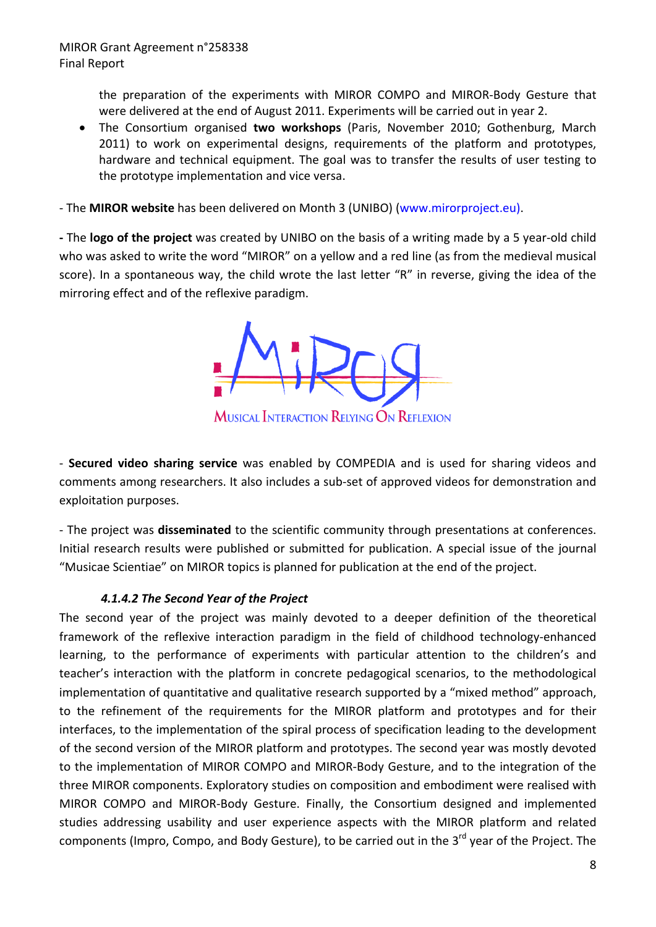the preparation of the experiments with MIROR COMPO and MIROR‐Body Gesture that were delivered at the end of August 2011. Experiments will be carried out in year 2.

• The Consortium organised **two workshops** (Paris, November 2010; Gothenburg, March 2011) to work on experimental designs, requirements of the platform and prototypes, hardware and technical equipment. The goal was to transfer the results of user testing to the prototype implementation and vice versa.

‐ The **MIROR website** has been delivered on Month 3 (UNIBO) (www.mirorproject.eu).

**‐** The **logo of the project** was created by UNIBO on the basis of a writing made by a 5 year‐old child who was asked to write the word "MIROR" on a yellow and a red line (as from the medieval musical score). In a spontaneous way, the child wrote the last letter "R" in reverse, giving the idea of the mirroring effect and of the reflexive paradigm.



**MUSICAL INTERACTION RELYING ON REFLEXION** 

‐ **Secured video sharing service** was enabled by COMPEDIA and is used for sharing videos and comments among researchers. It also includes a sub‐set of approved videos for demonstration and exploitation purposes.

‐ The project was **disseminated** to the scientific community through presentations at conferences. Initial research results were published or submitted for publication. A special issue of the journal "Musicae Scientiae" on MIROR topics is planned for publication at the end of the project.

#### *4.1.4.2 The Second Year of the Project*

The second year of the project was mainly devoted to a deeper definition of the theoretical framework of the reflexive interaction paradigm in the field of childhood technology-enhanced learning, to the performance of experiments with particular attention to the children's and teacher's interaction with the platform in concrete pedagogical scenarios, to the methodological implementation of quantitative and qualitative research supported by a "mixed method" approach, to the refinement of the requirements for the MIROR platform and prototypes and for their interfaces, to the implementation of the spiral process of specification leading to the development of the second version of the MIROR platform and prototypes. The second year was mostly devoted to the implementation of MIROR COMPO and MIROR‐Body Gesture, and to the integration of the three MIROR components. Exploratory studies on composition and embodiment were realised with MIROR COMPO and MIROR‐Body Gesture. Finally, the Consortium designed and implemented studies addressing usability and user experience aspects with the MIROR platform and related components (Impro, Compo, and Body Gesture), to be carried out in the 3<sup>rd</sup> year of the Project. The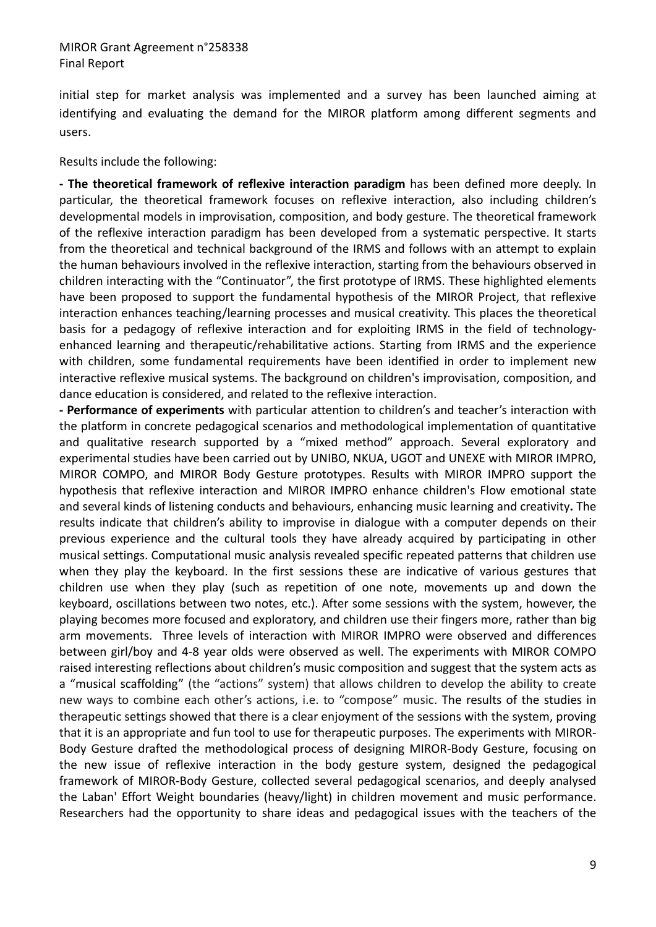initial step for market analysis was implemented and a survey has been launched aiming at identifying and evaluating the demand for the MIROR platform among different segments and users.

Results include the following:

**‐ The theoretical framework of reflexive interaction paradigm** has been defined more deeply. In particular, the theoretical framework focuses on reflexive interaction, also including children's developmental models in improvisation, composition, and body gesture. The theoretical framework of the reflexive interaction paradigm has been developed from a systematic perspective. It starts from the theoretical and technical background of the IRMS and follows with an attempt to explain the human behaviours involved in the reflexive interaction, starting from the behaviours observed in children interacting with the "Continuator", the first prototype of IRMS. These highlighted elements have been proposed to support the fundamental hypothesis of the MIROR Project, that reflexive interaction enhances teaching/learning processes and musical creativity. This places the theoretical basis for a pedagogy of reflexive interaction and for exploiting IRMS in the field of technologyenhanced learning and therapeutic/rehabilitative actions. Starting from IRMS and the experience with children, some fundamental requirements have been identified in order to implement new interactive reflexive musical systems. The background on children's improvisation, composition, and dance education is considered, and related to the reflexive interaction.

**‐ Performance of experiments** with particular attention to children's and teacher's interaction with the platform in concrete pedagogical scenarios and methodological implementation of quantitative and qualitative research supported by a "mixed method" approach. Several exploratory and experimental studies have been carried out by UNIBO, NKUA, UGOT and UNEXE with MIROR IMPRO, MIROR COMPO, and MIROR Body Gesture prototypes. Results with MIROR IMPRO support the hypothesis that reflexive interaction and MIROR IMPRO enhance children's Flow emotional state and several kinds of listening conducts and behaviours, enhancing music learning and creativity**.** The results indicate that children's ability to improvise in dialogue with a computer depends on their previous experience and the cultural tools they have already acquired by participating in other musical settings. Computational music analysis revealed specific repeated patterns that children use when they play the keyboard. In the first sessions these are indicative of various gestures that children use when they play (such as repetition of one note, movements up and down the keyboard, oscillations between two notes, etc.). After some sessions with the system, however, the playing becomes more focused and exploratory, and children use their fingers more, rather than big arm movements. Three levels of interaction with MIROR IMPRO were observed and differences between girl/boy and 4‐8 year olds were observed as well. The experiments with MIROR COMPO raised interesting reflections about children's music composition and suggest that the system acts as a "musical scaffolding" (the "actions" system) that allows children to develop the ability to create new ways to combine each other's actions, i.e. to "compose" music. The results of the studies in therapeutic settings showed that there is a clear enjoyment of the sessions with the system, proving that it is an appropriate and fun tool to use for therapeutic purposes. The experiments with MIROR‐ Body Gesture drafted the methodological process of designing MIROR‐Body Gesture, focusing on the new issue of reflexive interaction in the body gesture system, designed the pedagogical framework of MIROR‐Body Gesture, collected several pedagogical scenarios, and deeply analysed the Laban' Effort Weight boundaries (heavy/light) in children movement and music performance. Researchers had the opportunity to share ideas and pedagogical issues with the teachers of the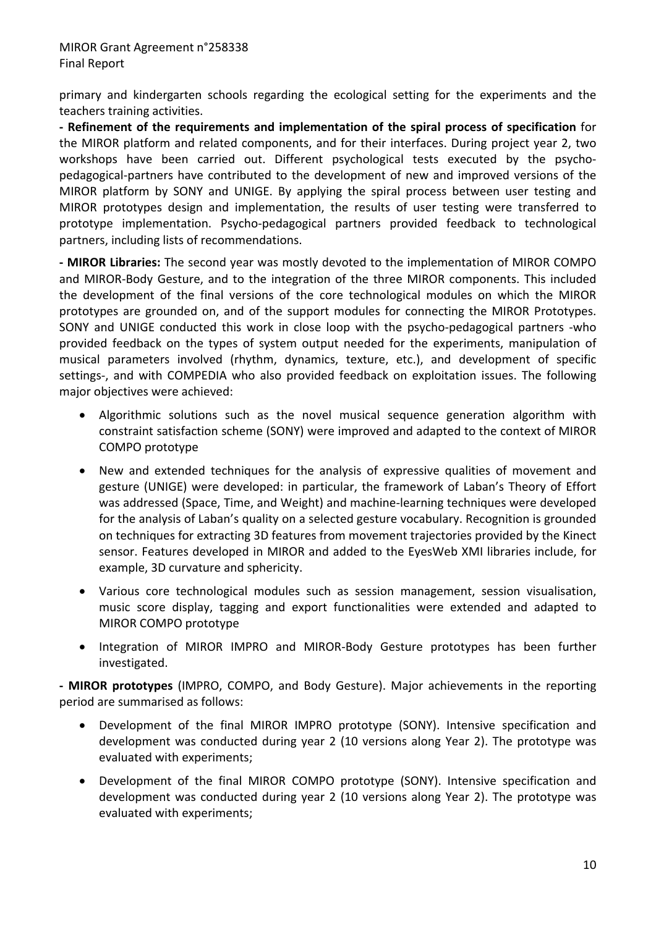primary and kindergarten schools regarding the ecological setting for the experiments and the teachers training activities.

**‐ Refinement of the requirements and implementation of the spiral process of specification** for the MIROR platform and related components, and for their interfaces. During project year 2, two workshops have been carried out. Different psychological tests executed by the psychopedagogical‐partners have contributed to the development of new and improved versions of the MIROR platform by SONY and UNIGE. By applying the spiral process between user testing and MIROR prototypes design and implementation, the results of user testing were transferred to prototype implementation. Psycho‐pedagogical partners provided feedback to technological partners, including lists of recommendations.

**‐ MIROR Libraries:** The second year was mostly devoted to the implementation of MIROR COMPO and MIROR‐Body Gesture, and to the integration of the three MIROR components. This included the development of the final versions of the core technological modules on which the MIROR prototypes are grounded on, and of the support modules for connecting the MIROR Prototypes. SONY and UNIGE conducted this work in close loop with the psycho‐pedagogical partners ‐who provided feedback on the types of system output needed for the experiments, manipulation of musical parameters involved (rhythm, dynamics, texture, etc.), and development of specific settings-, and with COMPEDIA who also provided feedback on exploitation issues. The following major objectives were achieved:

- Algorithmic solutions such as the novel musical sequence generation algorithm with constraint satisfaction scheme (SONY) were improved and adapted to the context of MIROR COMPO prototype
- New and extended techniques for the analysis of expressive qualities of movement and gesture (UNIGE) were developed: in particular, the framework of Laban's Theory of Effort was addressed (Space, Time, and Weight) and machine‐learning techniques were developed for the analysis of Laban's quality on a selected gesture vocabulary. Recognition is grounded on techniques for extracting 3D features from movement trajectories provided by the Kinect sensor. Features developed in MIROR and added to the EyesWeb XMI libraries include, for example, 3D curvature and sphericity.
- Various core technological modules such as session management, session visualisation, music score display, tagging and export functionalities were extended and adapted to MIROR COMPO prototype
- Integration of MIROR IMPRO and MIROR‐Body Gesture prototypes has been further investigated.

**‐ MIROR prototypes** (IMPRO, COMPO, and Body Gesture). Major achievements in the reporting period are summarised as follows:

- Development of the final MIROR IMPRO prototype (SONY). Intensive specification and development was conducted during year 2 (10 versions along Year 2). The prototype was evaluated with experiments;
- Development of the final MIROR COMPO prototype (SONY). Intensive specification and development was conducted during year 2 (10 versions along Year 2). The prototype was evaluated with experiments;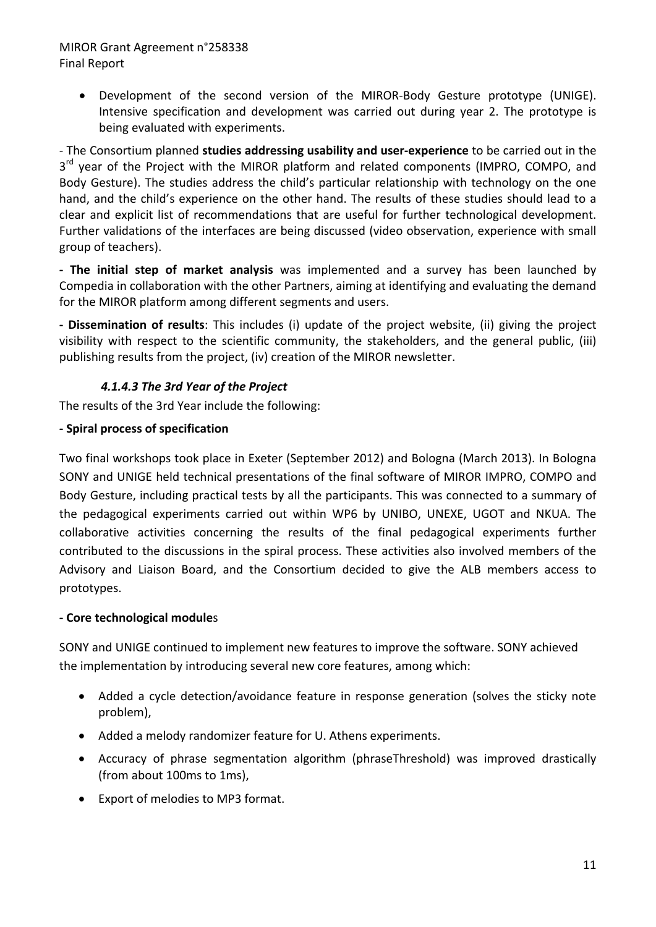• Development of the second version of the MIROR‐Body Gesture prototype (UNIGE). Intensive specification and development was carried out during year 2. The prototype is being evaluated with experiments.

‐ The Consortium planned **studies addressing usability and user‐experience** to be carried out in the 3<sup>rd</sup> year of the Project with the MIROR platform and related components (IMPRO, COMPO, and Body Gesture). The studies address the child's particular relationship with technology on the one hand, and the child's experience on the other hand. The results of these studies should lead to a clear and explicit list of recommendations that are useful for further technological development. Further validations of the interfaces are being discussed (video observation, experience with small group of teachers).

**‐ The initial step of market analysis** was implemented and a survey has been launched by Compedia in collaboration with the other Partners, aiming at identifying and evaluating the demand for the MIROR platform among different segments and users.

**‐ Dissemination of results**: This includes (i) update of the project website, (ii) giving the project visibility with respect to the scientific community, the stakeholders, and the general public, (iii) publishing results from the project, (iv) creation of the MIROR newsletter.

#### *4.1.4.3 The 3rd Year of the Project*

The results of the 3rd Year include the following:

#### **‐ Spiral process of specification**

Two final workshops took place in Exeter (September 2012) and Bologna (March 2013). In Bologna SONY and UNIGE held technical presentations of the final software of MIROR IMPRO, COMPO and Body Gesture, including practical tests by all the participants. This was connected to a summary of the pedagogical experiments carried out within WP6 by UNIBO, UNEXE, UGOT and NKUA. The collaborative activities concerning the results of the final pedagogical experiments further contributed to the discussions in the spiral process. These activities also involved members of the Advisory and Liaison Board, and the Consortium decided to give the ALB members access to prototypes.

#### **‐ Core technological module**s

SONY and UNIGE continued to implement new features to improve the software. SONY achieved the implementation by introducing several new core features, among which:

- Added a cycle detection/avoidance feature in response generation (solves the sticky note problem),
- Added a melody randomizer feature for U. Athens experiments.
- Accuracy of phrase segmentation algorithm (phraseThreshold) was improved drastically (from about 100ms to 1ms),
- Export of melodies to MP3 format.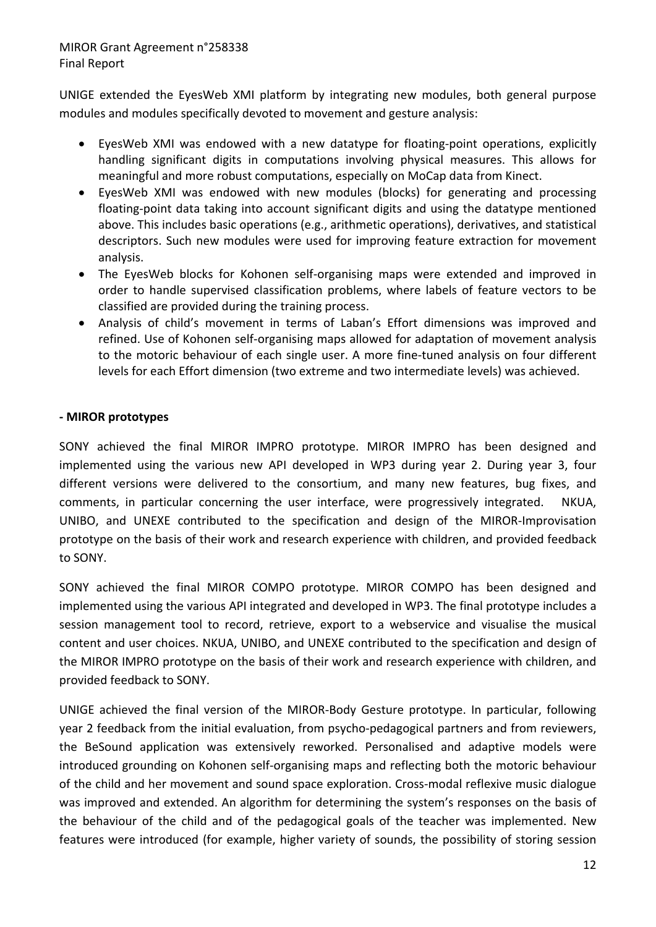UNIGE extended the EyesWeb XMI platform by integrating new modules, both general purpose modules and modules specifically devoted to movement and gesture analysis:

- EyesWeb XMI was endowed with a new datatype for floating‐point operations, explicitly handling significant digits in computations involving physical measures. This allows for meaningful and more robust computations, especially on MoCap data from Kinect.
- EyesWeb XMI was endowed with new modules (blocks) for generating and processing floating‐point data taking into account significant digits and using the datatype mentioned above. This includes basic operations (e.g., arithmetic operations), derivatives, and statistical descriptors. Such new modules were used for improving feature extraction for movement analysis.
- The EyesWeb blocks for Kohonen self-organising maps were extended and improved in order to handle supervised classification problems, where labels of feature vectors to be classified are provided during the training process.
- Analysis of child's movement in terms of Laban's Effort dimensions was improved and refined. Use of Kohonen self‐organising maps allowed for adaptation of movement analysis to the motoric behaviour of each single user. A more fine-tuned analysis on four different levels for each Effort dimension (two extreme and two intermediate levels) was achieved.

#### **‐ MIROR prototypes**

SONY achieved the final MIROR IMPRO prototype. MIROR IMPRO has been designed and implemented using the various new API developed in WP3 during year 2. During year 3, four different versions were delivered to the consortium, and many new features, bug fixes, and comments, in particular concerning the user interface, were progressively integrated. NKUA, UNIBO, and UNEXE contributed to the specification and design of the MIROR‐Improvisation prototype on the basis of their work and research experience with children, and provided feedback to SONY.

SONY achieved the final MIROR COMPO prototype. MIROR COMPO has been designed and implemented using the various API integrated and developed in WP3. The final prototype includes a session management tool to record, retrieve, export to a webservice and visualise the musical content and user choices. NKUA, UNIBO, and UNEXE contributed to the specification and design of the MIROR IMPRO prototype on the basis of their work and research experience with children, and provided feedback to SONY.

UNIGE achieved the final version of the MIROR‐Body Gesture prototype. In particular, following year 2 feedback from the initial evaluation, from psycho‐pedagogical partners and from reviewers, the BeSound application was extensively reworked. Personalised and adaptive models were introduced grounding on Kohonen self‐organising maps and reflecting both the motoric behaviour of the child and her movement and sound space exploration. Cross-modal reflexive music dialogue was improved and extended. An algorithm for determining the system's responses on the basis of the behaviour of the child and of the pedagogical goals of the teacher was implemented. New features were introduced (for example, higher variety of sounds, the possibility of storing session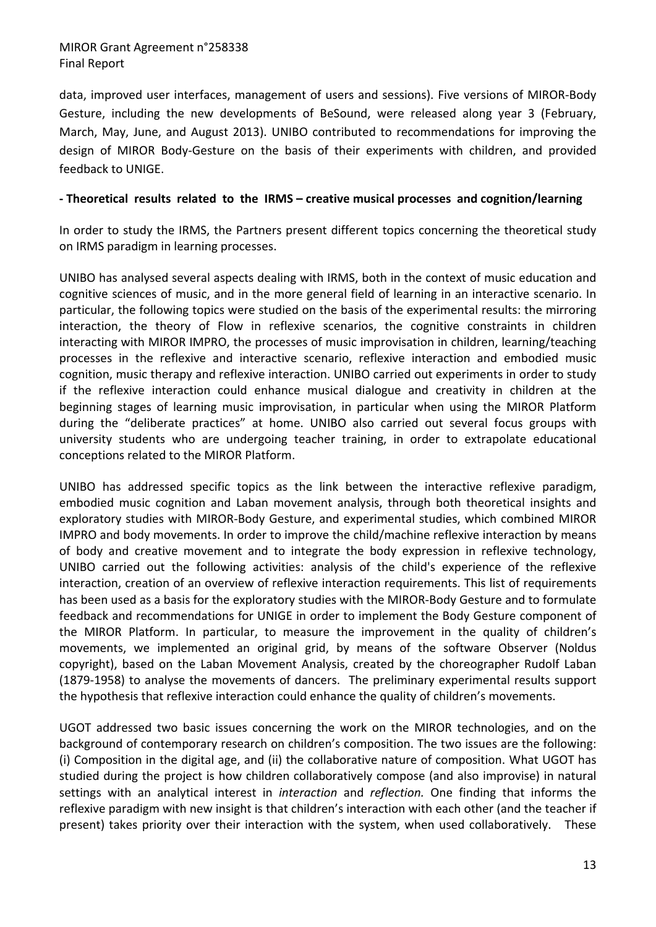data, improved user interfaces, management of users and sessions). Five versions of MIROR‐Body Gesture, including the new developments of BeSound, were released along year 3 (February, March, May, June, and August 2013). UNIBO contributed to recommendations for improving the design of MIROR Body‐Gesture on the basis of their experiments with children, and provided feedback to UNIGE.

#### - Theoretical results related to the IRMS – creative musical processes and cognition/learning

In order to study the IRMS, the Partners present different topics concerning the theoretical study on IRMS paradigm in learning processes.

UNIBO has analysed several aspects dealing with IRMS, both in the context of music education and cognitive sciences of music, and in the more general field of learning in an interactive scenario. In particular, the following topics were studied on the basis of the experimental results: the mirroring interaction, the theory of Flow in reflexive scenarios, the cognitive constraints in children interacting with MIROR IMPRO, the processes of music improvisation in children, learning/teaching processes in the reflexive and interactive scenario, reflexive interaction and embodied music cognition, music therapy and reflexive interaction. UNIBO carried out experiments in order to study if the reflexive interaction could enhance musical dialogue and creativity in children at the beginning stages of learning music improvisation, in particular when using the MIROR Platform during the "deliberate practices" at home. UNIBO also carried out several focus groups with university students who are undergoing teacher training, in order to extrapolate educational conceptions related to the MIROR Platform.

UNIBO has addressed specific topics as the link between the interactive reflexive paradigm, embodied music cognition and Laban movement analysis, through both theoretical insights and exploratory studies with MIROR‐Body Gesture, and experimental studies, which combined MIROR IMPRO and body movements. In order to improve the child/machine reflexive interaction by means of body and creative movement and to integrate the body expression in reflexive technology, UNIBO carried out the following activities: analysis of the child's experience of the reflexive interaction, creation of an overview of reflexive interaction requirements. This list of requirements has been used as a basis for the exploratory studies with the MIROR‐Body Gesture and to formulate feedback and recommendations for UNIGE in order to implement the Body Gesture component of the MIROR Platform. In particular, to measure the improvement in the quality of children's movements, we implemented an original grid, by means of the software Observer (Noldus copyright), based on the Laban Movement Analysis, created by the choreographer Rudolf Laban (1879‐1958) to analyse the movements of dancers. The preliminary experimental results support the hypothesis that reflexive interaction could enhance the quality of children's movements.

UGOT addressed two basic issues concerning the work on the MIROR technologies, and on the background of contemporary research on children's composition. The two issues are the following: (i) Composition in the digital age, and (ii) the collaborative nature of composition. What UGOT has studied during the project is how children collaboratively compose (and also improvise) in natural settings with an analytical interest in *interaction* and *reflection.* One finding that informs the reflexive paradigm with new insight is that children's interaction with each other (and the teacher if present) takes priority over their interaction with the system, when used collaboratively. These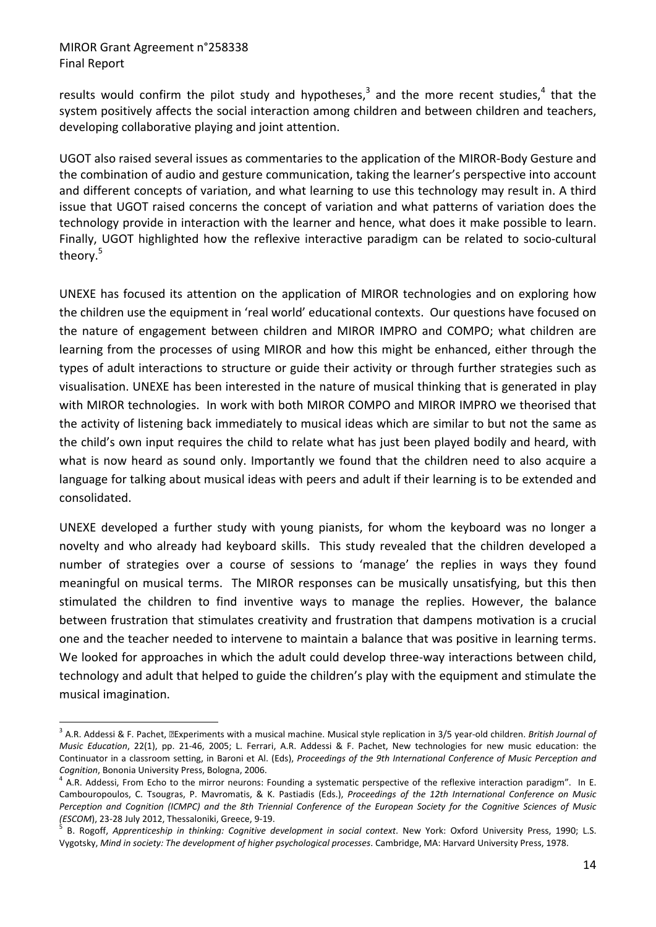results would confirm the pilot study and hypotheses,<sup>3</sup> and the more recent studies,<sup>4</sup> that the system positively affects the social interaction among children and between children and teachers, developing collaborative playing and joint attention.

UGOT also raised several issues as commentaries to the application of the MIROR‐Body Gesture and the combination of audio and gesture communication, taking the learner's perspective into account and different concepts of variation, and what learning to use this technology may result in. A third issue that UGOT raised concerns the concept of variation and what patterns of variation does the technology provide in interaction with the learner and hence, what does it make possible to learn. Finally, UGOT highlighted how the reflexive interactive paradigm can be related to socio‐cultural theory.<sup>5</sup>

UNEXE has focused its attention on the application of MIROR technologies and on exploring how the children use the equipment in 'real world' educational contexts. Our questions have focused on the nature of engagement between children and MIROR IMPRO and COMPO; what children are learning from the processes of using MIROR and how this might be enhanced, either through the types of adult interactions to structure or guide their activity or through further strategies such as visualisation. UNEXE has been interested in the nature of musical thinking that is generated in play with MIROR technologies. In work with both MIROR COMPO and MIROR IMPRO we theorised that the activity of listening back immediately to musical ideas which are similar to but not the same as the child's own input requires the child to relate what has just been played bodily and heard, with what is now heard as sound only. Importantly we found that the children need to also acquire a language for talking about musical ideas with peers and adult if their learning is to be extended and consolidated.

UNEXE developed a further study with young pianists, for whom the keyboard was no longer a novelty and who already had keyboard skills. This study revealed that the children developed a number of strategies over a course of sessions to 'manage' the replies in ways they found meaningful on musical terms. The MIROR responses can be musically unsatisfying, but this then stimulated the children to find inventive ways to manage the replies. However, the balance between frustration that stimulates creativity and frustration that dampens motivation is a crucial one and the teacher needed to intervene to maintain a balance that was positive in learning terms. We looked for approaches in which the adult could develop three-way interactions between child, technology and adult that helped to guide the children's play with the equipment and stimulate the musical imagination.

<sup>&</sup>lt;sup>3</sup> A.R. Addessi & F. Pachet, **⊠Experiments with a musical machine. Musical style replication in 3/5 year-old children.** *British Journal of Music Education*, 22(1), pp. 21‐46, 2005; L. Ferrari, A.R. Addessi & F. Pachet, New technologies for new music education: the Continuator in a classroom setting, in Baroni et Al. (Eds), *Proceedings of the 9th International Conference of Music Perception and Cognition*, Bononia University Press, Bologna, 2006.

 $^4$  A.R. Addessi, From Echo to the mirror neurons: Founding a systematic perspective of the reflexive interaction paradigm". In E. Cambouropoulos, C. Tsougras, P. Mavromatis, & K. Pastiadis (Eds.), *Proceedings of the 12th International Conference on Music* Perception and Cognition (ICMPC) and the 8th Triennial Conference of the European Society for the Cognitive Sciences of Music *(ESCOM*), 23‐28 July 2012, Thessaloniki, Greece, 9‐19.

<sup>5</sup> B. Rogoff, *Apprenticeship in thinking: Cognitive development in social context*. New York: Oxford University Press, 1990; L.S. Vygotsky, *Mind in society: The development of higher psychological processes*. Cambridge, MA: Harvard University Press, 1978.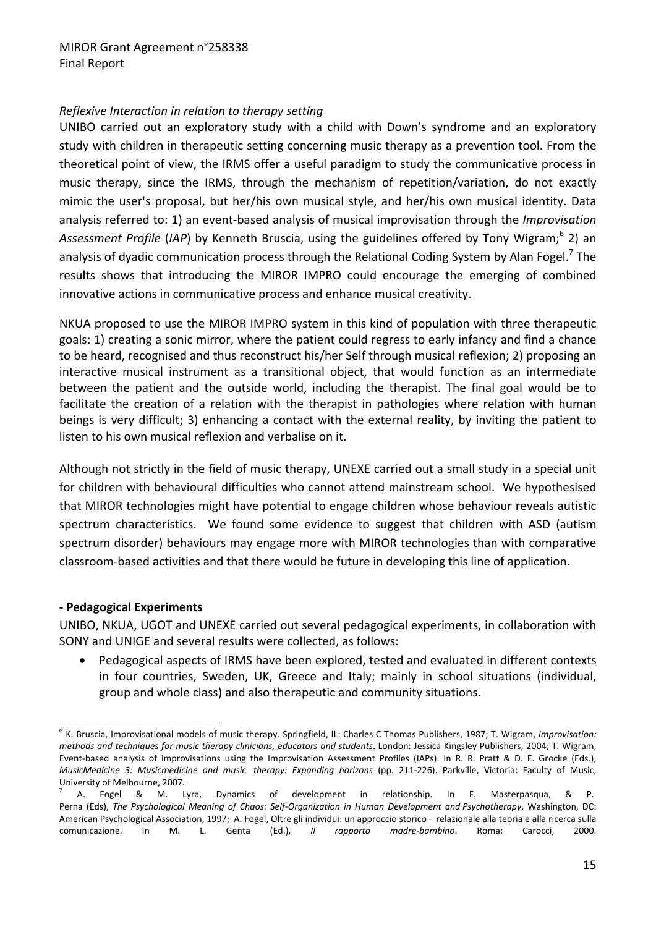#### *Reflexive Interaction in relation to therapy setting*

UNIBO carried out an exploratory study with a child with Down's syndrome and an exploratory study with children in therapeutic setting concerning music therapy as a prevention tool. From the theoretical point of view, the IRMS offer a useful paradigm to study the communicative process in music therapy, since the IRMS, through the mechanism of repetition/variation, do not exactly mimic the user's proposal, but her/his own musical style, and her/his own musical identity. Data analysis referred to: 1) an event‐based analysis of musical improvisation through the *Improvisation* Assessment Profile (IAP) by Kenneth Bruscia, using the guidelines offered by Tony Wigram;<sup>6</sup> 2) an analysis of dyadic communication process through the Relational Coding System by Alan Fogel.<sup>7</sup> The results shows that introducing the MIROR IMPRO could encourage the emerging of combined innovative actions in communicative process and enhance musical creativity.

NKUA proposed to use the MIROR IMPRO system in this kind of population with three therapeutic goals: 1) creating a sonic mirror, where the patient could regress to early infancy and find a chance to be heard, recognised and thus reconstruct his/her Self through musical reflexion; 2) proposing an interactive musical instrument as a transitional object, that would function as an intermediate between the patient and the outside world, including the therapist. The final goal would be to facilitate the creation of a relation with the therapist in pathologies where relation with human beings is very difficult; 3) enhancing a contact with the external reality, by inviting the patient to listen to his own musical reflexion and verbalise on it.

Although not strictly in the field of music therapy, UNEXE carried out a small study in a special unit for children with behavioural difficulties who cannot attend mainstream school. We hypothesised that MIROR technologies might have potential to engage children whose behaviour reveals autistic spectrum characteristics. We found some evidence to suggest that children with ASD (autism spectrum disorder) behaviours may engage more with MIROR technologies than with comparative classroom‐based activities and that there would be future in developing this line of application.

#### **‐ Pedagogical Experiments**

UNIBO, NKUA, UGOT and UNEXE carried out several pedagogical experiments, in collaboration with SONY and UNIGE and several results were collected, as follows:

• Pedagogical aspects of IRMS have been explored, tested and evaluated in different contexts in four countries, Sweden, UK, Greece and Italy; mainly in school situations (individual, group and whole class) and also therapeutic and community situations.

<sup>6</sup> K. Bruscia, Improvisational models of music therapy. Springfield, IL: Charles C Thomas Publishers, 1987; T. Wigram, *Improvisation: methods and techniques for music therapy clinicians, educators and students*. London: Jessica Kingsley Publishers, 2004; T. Wigram, Event-based analysis of improvisations using the Improvisation Assessment Profiles (IAPs). In R. R. Pratt & D. E. Grocke (Eds.), *MusicMedicine 3: Musicmedicine and music therapy: Expanding horizons* (pp. 211‐226). Parkville, Victoria: Faculty of Music, University of Melbourne, 2007.

<sup>7</sup> A. Fogel & M. Lyra, Dynamics of development in relationship. In F. Masterpasqua, & P. Perna (Eds), *The Psychological Meaning of Chaos: Self‐Organization in Human Development and Psychotherapy*. Washington, DC: American Psychological Association, 1997; A. Fogel, Oltre gli individui: un approccio storico – relazionale alla teoria e alla ricerca sulla comunicazione. In M. L. Genta (Ed.), *Il rapporto madre‐bambino*. Roma: Carocci, 2000.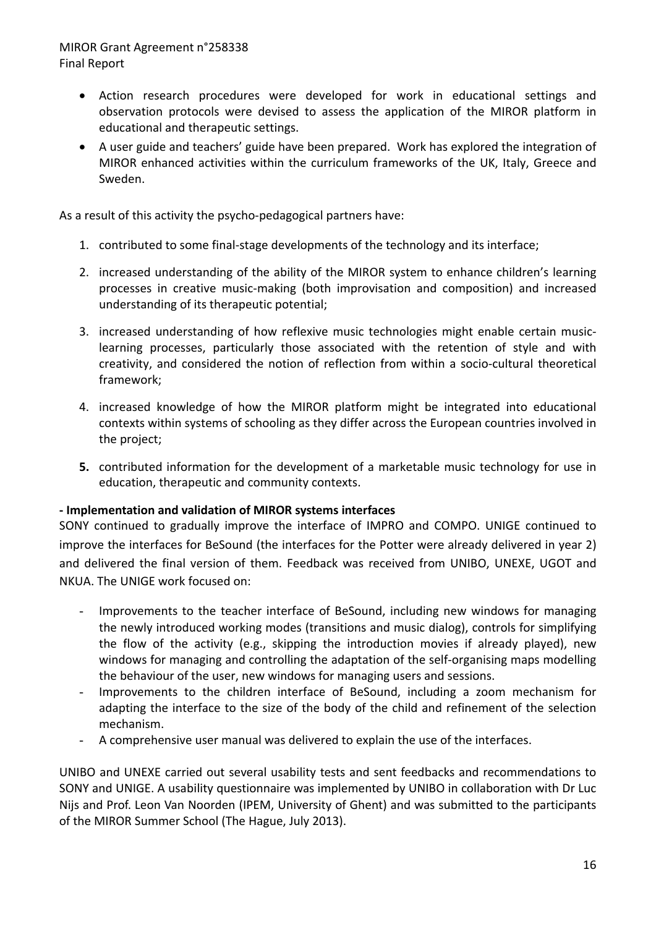- Action research procedures were developed for work in educational settings and observation protocols were devised to assess the application of the MIROR platform in educational and therapeutic settings.
- A user guide and teachers' guide have been prepared. Work has explored the integration of MIROR enhanced activities within the curriculum frameworks of the UK, Italy, Greece and Sweden.

As a result of this activity the psycho-pedagogical partners have:

- 1. contributed to some final‐stage developments of the technology and its interface;
- 2. increased understanding of the ability of the MIROR system to enhance children's learning processes in creative music‐making (both improvisation and composition) and increased understanding of its therapeutic potential;
- 3. increased understanding of how reflexive music technologies might enable certain music‐ learning processes, particularly those associated with the retention of style and with creativity, and considered the notion of reflection from within a socio‐cultural theoretical framework;
- 4. increased knowledge of how the MIROR platform might be integrated into educational contexts within systems of schooling as they differ across the European countries involved in the project;
- **5.** contributed information for the development of a marketable music technology for use in education, therapeutic and community contexts.

#### **‐ Implementation and validation of MIROR systems interfaces**

SONY continued to gradually improve the interface of IMPRO and COMPO. UNIGE continued to improve the interfaces for BeSound (the interfaces for the Potter were already delivered in year 2) and delivered the final version of them. Feedback was received from UNIBO, UNEXE, UGOT and NKUA. The UNIGE work focused on:

- Improvements to the teacher interface of BeSound, including new windows for managing the newly introduced working modes (transitions and music dialog), controls for simplifying the flow of the activity (e.g., skipping the introduction movies if already played), new windows for managing and controlling the adaptation of the self-organising maps modelling the behaviour of the user, new windows for managing users and sessions.
- Improvements to the children interface of BeSound, including a zoom mechanism for adapting the interface to the size of the body of the child and refinement of the selection mechanism.
- A comprehensive user manual was delivered to explain the use of the interfaces.

UNIBO and UNEXE carried out several usability tests and sent feedbacks and recommendations to SONY and UNIGE. A usability questionnaire was implemented by UNIBO in collaboration with Dr Luc Nijs and Prof. Leon Van Noorden (IPEM, University of Ghent) and was submitted to the participants of the MIROR Summer School (The Hague, July 2013).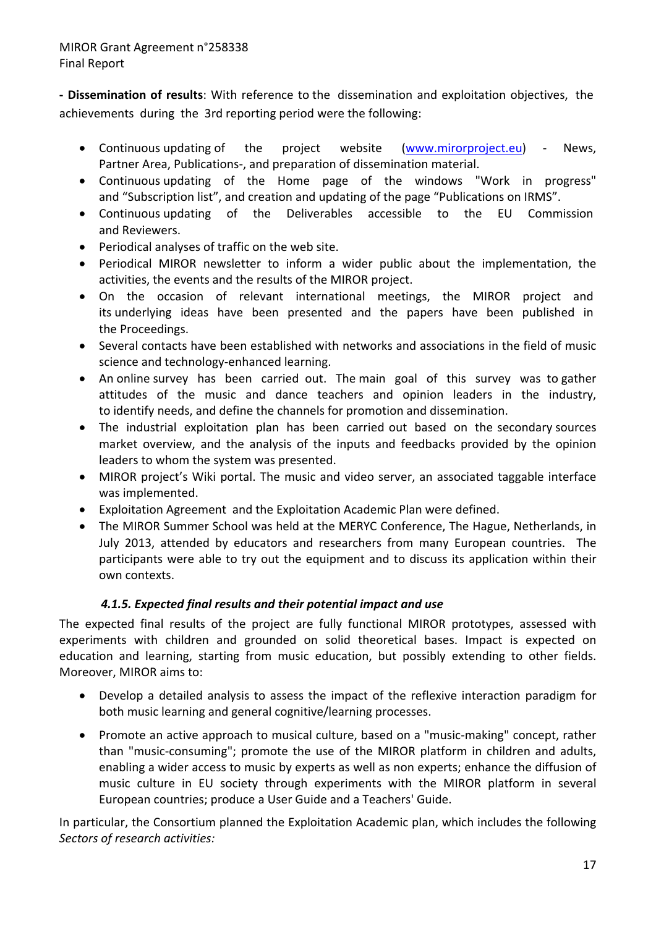**‐ Dissemination of results**: With reference to the dissemination and exploitation objectives, the achievements during the 3rd reporting period were the following:

- Continuous updating of the project website (www.mirorproject.eu) News, Partner Area, Publications‐, and preparation of dissemination material.
- Continuous updating of the Home page of the windows "Work in progress" and "Subscription list", and creation and updating of the page "Publications on IRMS".
- Continuous updating of the Deliverables accessible to the EU Commission and Reviewers.
- Periodical analyses of traffic on the web site.
- Periodical MIROR newsletter to inform a wider public about the implementation, the activities, the events and the results of the MIROR project.
- On the occasion of relevant international meetings, the MIROR project and its underlying ideas have been presented and the papers have been published in the Proceedings.
- Several contacts have been established with networks and associations in the field of music science and technology‐enhanced learning.
- An online survey has been carried out. The main goal of this survey was to gather attitudes of the music and dance teachers and opinion leaders in the industry, to identify needs, and define the channels for promotion and dissemination.
- The industrial exploitation plan has been carried out based on the secondary sources market overview, and the analysis of the inputs and feedbacks provided by the opinion leaders to whom the system was presented.
- MIROR project's Wiki portal. The music and video server, an associated taggable interface was implemented.
- Exploitation Agreement and the Exploitation Academic Plan were defined.
- The MIROR Summer School was held at the MERYC Conference, The Hague, Netherlands, in July 2013, attended by educators and researchers from many European countries. The participants were able to try out the equipment and to discuss its application within their own contexts.

#### *4.1.5. Expected final results and their potential impact and use*

The expected final results of the project are fully functional MIROR prototypes, assessed with experiments with children and grounded on solid theoretical bases. Impact is expected on education and learning, starting from music education, but possibly extending to other fields. Moreover, MIROR aims to:

- Develop a detailed analysis to assess the impact of the reflexive interaction paradigm for both music learning and general cognitive/learning processes.
- Promote an active approach to musical culture, based on a "music‐making" concept, rather than "music‐consuming"; promote the use of the MIROR platform in children and adults, enabling a wider access to music by experts as well as non experts; enhance the diffusion of music culture in EU society through experiments with the MIROR platform in several European countries; produce a User Guide and a Teachers' Guide.

In particular, the Consortium planned the Exploitation Academic plan, which includes the following *Sectors of research activities:*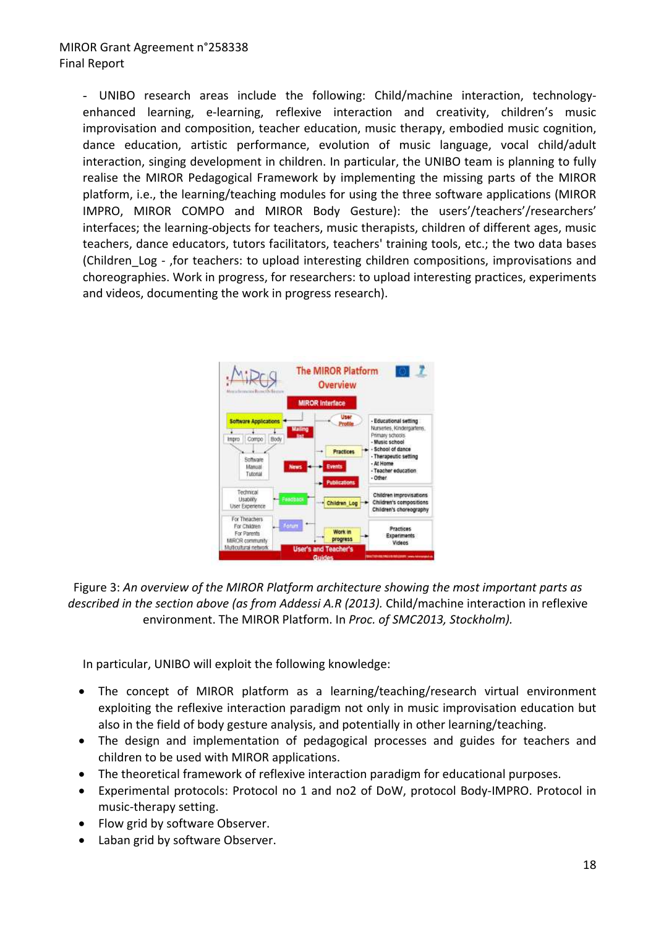- UNIBO research areas include the following: Child/machine interaction, technology‐ enhanced learning, e-learning, reflexive interaction and creativity, children's music improvisation and composition, teacher education, music therapy, embodied music cognition, dance education, artistic performance, evolution of music language, vocal child/adult interaction, singing development in children. In particular, the UNIBO team is planning to fully realise the MIROR Pedagogical Framework by implementing the missing parts of the MIROR platform, i.e., the learning/teaching modules for using the three software applications (MIROR IMPRO, MIROR COMPO and MIROR Body Gesture): the users'/teachers'/researchers' interfaces; the learning‐objects for teachers, music therapists, children of different ages, music teachers, dance educators, tutors facilitators, teachers' training tools, etc.; the two data bases (Children Log - ,for teachers: to upload interesting children compositions, improvisations and choreographies. Work in progress, for researchers: to upload interesting practices, experiments and videos, documenting the work in progress research).



Figure 3: *An overview of the MIROR Platform architecture showing the most important parts as described in the section above (as from Addessi A.R (2013).* Child/machine interaction in reflexive environment. The MIROR Platform. In *Proc. of SMC2013, Stockholm).*

In particular, UNIBO will exploit the following knowledge:

- The concept of MIROR platform as a learning/teaching/research virtual environment exploiting the reflexive interaction paradigm not only in music improvisation education but also in the field of body gesture analysis, and potentially in other learning/teaching.
- The design and implementation of pedagogical processes and guides for teachers and children to be used with MIROR applications.
- The theoretical framework of reflexive interaction paradigm for educational purposes.
- Experimental protocols: Protocol no 1 and no2 of DoW, protocol Body‐IMPRO. Protocol in music‐therapy setting.
- Flow grid by software Observer.
- Laban grid by software Observer.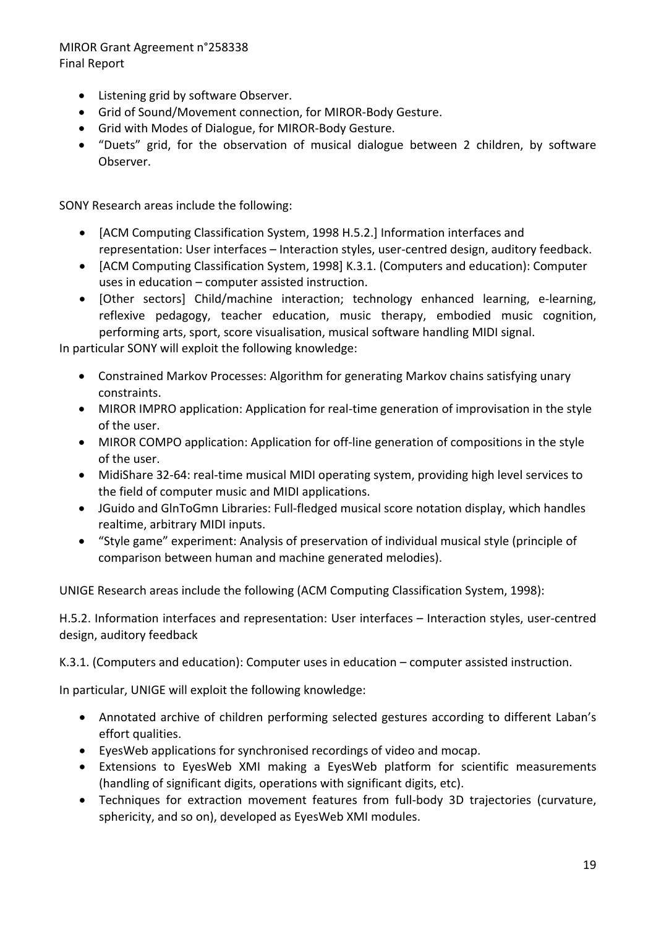- Listening grid by software Observer.
- Grid of Sound/Movement connection, for MIROR‐Body Gesture.
- Grid with Modes of Dialogue, for MIROR‐Body Gesture.
- "Duets" grid, for the observation of musical dialogue between 2 children, by software Observer.

SONY Research areas include the following:

- [ACM Computing Classification System, 1998 H.5.2.] Information interfaces and representation: User interfaces – Interaction styles, user‐centred design, auditory feedback.
- [ACM Computing Classification System, 1998] K.3.1. (Computers and education): Computer uses in education – computer assisted instruction.
- [Other sectors] Child/machine interaction; technology enhanced learning, e‐learning, reflexive pedagogy, teacher education, music therapy, embodied music cognition, performing arts, sport, score visualisation, musical software handling MIDI signal.

In particular SONY will exploit the following knowledge:

- Constrained Markov Processes: Algorithm for generating Markov chains satisfying unary constraints.
- MIROR IMPRO application: Application for real-time generation of improvisation in the style of the user.
- MIROR COMPO application: Application for off-line generation of compositions in the style of the user.
- MidiShare 32-64: real-time musical MIDI operating system, providing high level services to the field of computer music and MIDI applications.
- JGuido and GlnToGmn Libraries: Full‐fledged musical score notation display, which handles realtime, arbitrary MIDI inputs.
- "Style game" experiment: Analysis of preservation of individual musical style (principle of comparison between human and machine generated melodies).

UNIGE Research areas include the following (ACM Computing Classification System, 1998):

H.5.2. Information interfaces and representation: User interfaces – Interaction styles, user‐centred design, auditory feedback

K.3.1. (Computers and education): Computer uses in education – computer assisted instruction.

In particular, UNIGE will exploit the following knowledge:

- Annotated archive of children performing selected gestures according to different Laban's effort qualities.
- EyesWeb applications for synchronised recordings of video and mocap.
- Extensions to EyesWeb XMI making a EyesWeb platform for scientific measurements (handling of significant digits, operations with significant digits, etc).
- Techniques for extraction movement features from full‐body 3D trajectories (curvature, sphericity, and so on), developed as EyesWeb XMI modules.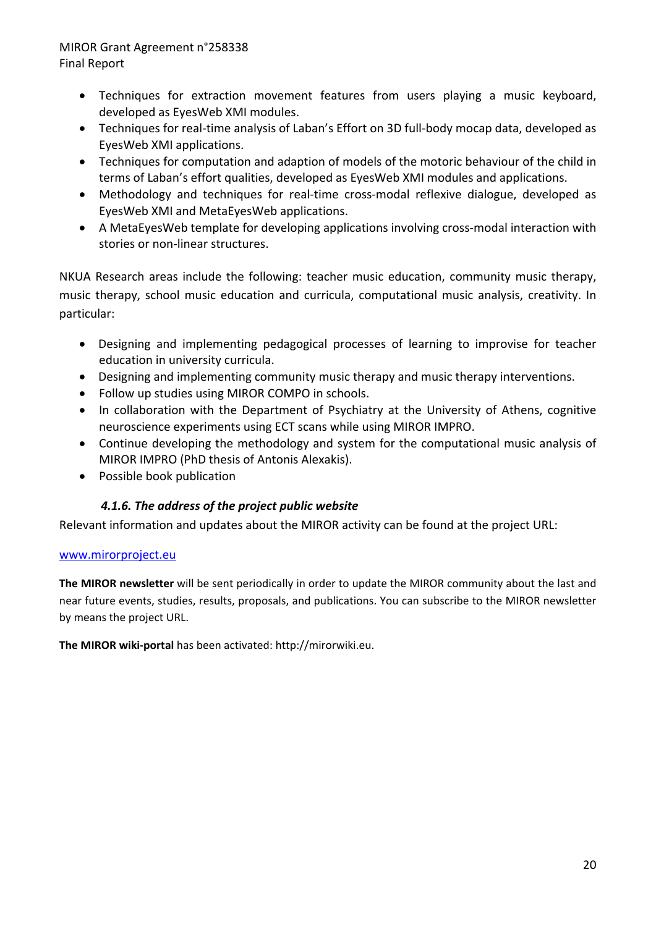- Techniques for extraction movement features from users playing a music keyboard, developed as EyesWeb XMI modules.
- Techniques for real‐time analysis of Laban's Effort on 3D full‐body mocap data, developed as EyesWeb XMI applications.
- Techniques for computation and adaption of models of the motoric behaviour of the child in terms of Laban's effort qualities, developed as EyesWeb XMI modules and applications.
- Methodology and techniques for real-time cross-modal reflexive dialogue, developed as EyesWeb XMI and MetaEyesWeb applications.
- A MetaEyesWeb template for developing applications involving cross-modal interaction with stories or non‐linear structures.

NKUA Research areas include the following: teacher music education, community music therapy, music therapy, school music education and curricula, computational music analysis, creativity. In particular:

- Designing and implementing pedagogical processes of learning to improvise for teacher education in university curricula.
- Designing and implementing community music therapy and music therapy interventions.
- Follow up studies using MIROR COMPO in schools.
- In collaboration with the Department of Psychiatry at the University of Athens, cognitive neuroscience experiments using ECT scans while using MIROR IMPRO.
- Continue developing the methodology and system for the computational music analysis of MIROR IMPRO (PhD thesis of Antonis Alexakis).
- Possible book publication

#### *4.1.6. The address of the project public website*

Relevant information and updates about the MIROR activity can be found at the project URL:

#### www.mirorproject.eu

**The MIROR newsletter** will be sent periodically in order to update the MIROR community about the last and near future events, studies, results, proposals, and publications. You can subscribe to the MIROR newsletter by means the project URL.

**The MIROR wiki‐portal** has been activated: http://mirorwiki.eu.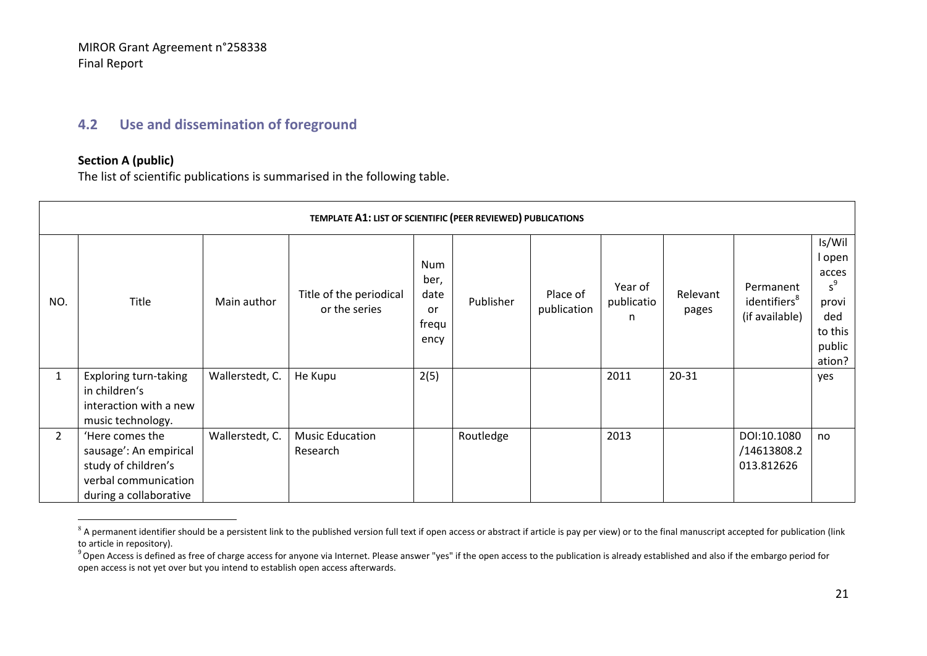#### **4.2 Use and dissemination of foreground**

#### **Section A (public)**

The list of scientific publications is summarised in the following table.

|                | TEMPLATE A1: LIST OF SCIENTIFIC (PEER REVIEWED) PUBLICATIONS                                                       |                 |                                          |                                            |           |                         |                            |                   |                                                         |                                                                                   |  |  |  |
|----------------|--------------------------------------------------------------------------------------------------------------------|-----------------|------------------------------------------|--------------------------------------------|-----------|-------------------------|----------------------------|-------------------|---------------------------------------------------------|-----------------------------------------------------------------------------------|--|--|--|
| NO.            | Title                                                                                                              | Main author     | Title of the periodical<br>or the series | Num<br>ber,<br>date<br>or<br>frequ<br>ency | Publisher | Place of<br>publication | Year of<br>publicatio<br>n | Relevant<br>pages | Permanent<br>identifiers <sup>8</sup><br>(if available) | Is/Wil<br>l open<br>acces<br>$s^9$<br>provi<br>ded<br>to this<br>public<br>ation? |  |  |  |
| $\mathbf{1}$   | Exploring turn-taking<br>in children's<br>interaction with a new<br>music technology.                              | Wallerstedt, C. | He Kupu                                  | 2(5)                                       |           |                         | 2011                       | $20 - 31$         |                                                         | yes                                                                               |  |  |  |
| $\overline{2}$ | 'Here comes the<br>sausage': An empirical<br>study of children's<br>verbal communication<br>during a collaborative | Wallerstedt, C. | <b>Music Education</b><br>Research       |                                            | Routledge |                         | 2013                       |                   | DOI:10.1080<br>/14613808.2<br>013.812626                | no                                                                                |  |  |  |

 ${}^8$  A permanent identifier should be a persistent link to the published version full text if open access or abstract if article is pay per view) or to the final manuscript accepted for publication (link to article in repository).

 $^9$ Open Access is defined as free of charge access for anyone via Internet. Please answer "yes" if the open access to the publication is already established and also if the embargo period for open access is not yet over but you intend to establish open access afterwards.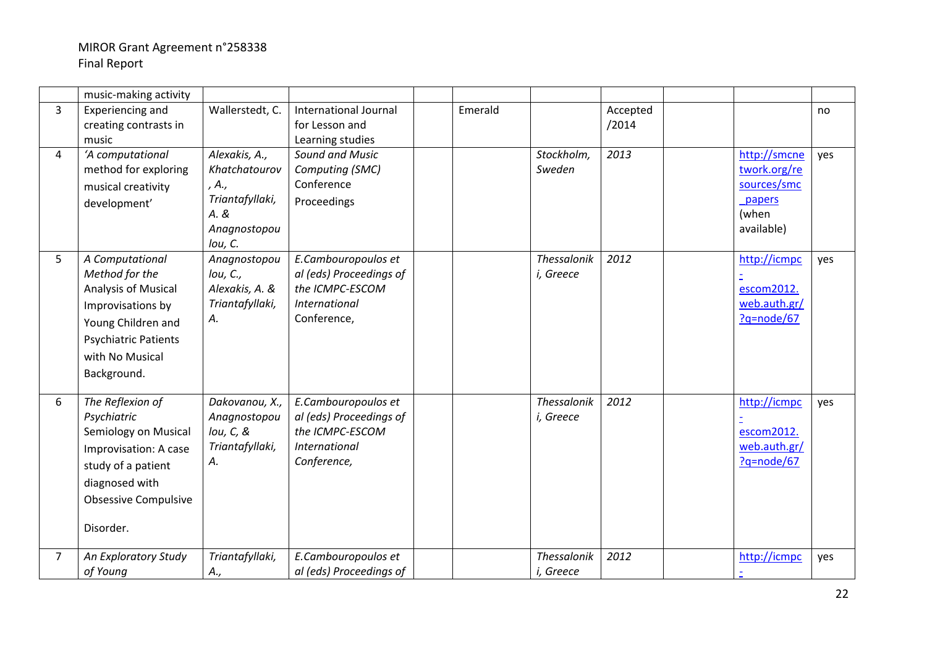|                | music-making activity       |                                   |                                            |         |                    |          |                            |     |
|----------------|-----------------------------|-----------------------------------|--------------------------------------------|---------|--------------------|----------|----------------------------|-----|
| $\overline{3}$ | Experiencing and            | Wallerstedt, C.                   | <b>International Journal</b>               | Emerald |                    | Accepted |                            | no  |
|                | creating contrasts in       |                                   | for Lesson and                             |         |                    | /2014    |                            |     |
|                | music                       |                                   | Learning studies                           |         |                    |          |                            |     |
| $\overline{4}$ | 'A computational            | Alexakis, A.,                     | <b>Sound and Music</b>                     |         | Stockholm,         | 2013     | http://smcne               | yes |
|                | method for exploring        | Khatchatourov                     | Computing (SMC)                            |         | Sweden             |          | twork.org/re               |     |
|                | musical creativity          | , A.,                             | Conference                                 |         |                    |          | sources/smc                |     |
|                | development'                | Triantafyllaki,                   | Proceedings                                |         |                    |          | papers                     |     |
|                |                             | A. &                              |                                            |         |                    |          | (when                      |     |
|                |                             | Anagnostopou                      |                                            |         |                    |          | available)                 |     |
|                |                             | lou, C.                           |                                            |         |                    |          |                            |     |
| 5              | A Computational             | Anagnostopou                      | E.Cambouropoulos et                        |         | <b>Thessalonik</b> | 2012     | http://icmpc               | yes |
|                | Method for the              | Iou, C.,                          | al (eds) Proceedings of<br>the ICMPC-ESCOM |         | i, Greece          |          |                            |     |
|                | Analysis of Musical         | Alexakis, A. &<br>Triantafyllaki, | International                              |         |                    |          | escom2012.<br>web.auth.gr/ |     |
|                | Improvisations by           | Α.                                | Conference,                                |         |                    |          | ?q=node/67                 |     |
|                | Young Children and          |                                   |                                            |         |                    |          |                            |     |
|                | <b>Psychiatric Patients</b> |                                   |                                            |         |                    |          |                            |     |
|                | with No Musical             |                                   |                                            |         |                    |          |                            |     |
|                | Background.                 |                                   |                                            |         |                    |          |                            |     |
|                |                             |                                   |                                            |         |                    |          |                            |     |
| 6              | The Reflexion of            | Dakovanou, X.,                    | E.Cambouropoulos et                        |         | Thessalonik        | 2012     | http://icmpc               | yes |
|                | Psychiatric                 | Anagnostopou                      | al (eds) Proceedings of                    |         | i, Greece          |          |                            |     |
|                | Semiology on Musical        | $Iou, C, 8$                       | the ICMPC-ESCOM                            |         |                    |          | escom2012.                 |     |
|                | Improvisation: A case       | Triantafyllaki,                   | International                              |         |                    |          | web.auth.gr/               |     |
|                | study of a patient          | А.                                | Conference,                                |         |                    |          | $?q = node/67$             |     |
|                | diagnosed with              |                                   |                                            |         |                    |          |                            |     |
|                | <b>Obsessive Compulsive</b> |                                   |                                            |         |                    |          |                            |     |
|                |                             |                                   |                                            |         |                    |          |                            |     |
|                | Disorder.                   |                                   |                                            |         |                    |          |                            |     |
|                |                             |                                   |                                            |         |                    |          |                            |     |
| 7              | An Exploratory Study        | Triantafyllaki,                   | E.Cambouropoulos et                        |         | Thessalonik        | 2012     | http://icmpc               | yes |
|                | of Young                    | A.,                               | al (eds) Proceedings of                    |         | i, Greece          |          |                            |     |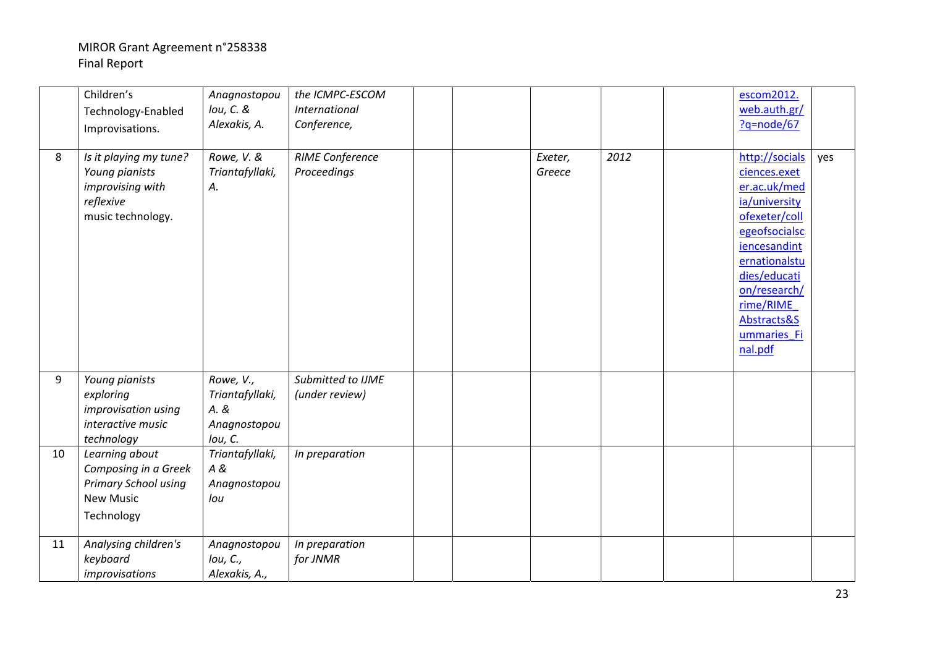|    | Children's<br>Technology-Enabled<br>Improvisations.                                              | Anagnostopou<br>lou, C. &<br>Alexakis, A.                       | the ICMPC-ESCOM<br>International<br>Conference, |  |                   |      | escom2012.<br>web.auth.gr/<br>?q=node/67                                                                                                                                                                                 |     |
|----|--------------------------------------------------------------------------------------------------|-----------------------------------------------------------------|-------------------------------------------------|--|-------------------|------|--------------------------------------------------------------------------------------------------------------------------------------------------------------------------------------------------------------------------|-----|
| 8  | Is it playing my tune?<br>Young pianists<br>improvising with<br>reflexive<br>music technology.   | Rowe, V. &<br>Triantafyllaki,<br>А.                             | <b>RIME Conference</b><br>Proceedings           |  | Exeter,<br>Greece | 2012 | http://socials<br>ciences.exet<br>er.ac.uk/med<br>ia/university<br>ofexeter/coll<br>egeofsocialsc<br>iencesandint<br>ernationalstu<br>dies/educati<br>on/research/<br>rime/RIME<br>Abstracts&S<br>ummaries Fi<br>nal.pdf | yes |
| 9  | Young pianists<br>exploring<br>improvisation using<br>interactive music<br>technology            | Rowe, V.,<br>Triantafyllaki,<br>A. &<br>Anagnostopou<br>lou, C. | Submitted to IJME<br>(under review)             |  |                   |      |                                                                                                                                                                                                                          |     |
| 10 | Learning about<br>Composing in a Greek<br>Primary School using<br><b>New Music</b><br>Technology | Triantafyllaki,<br>A &<br>Anagnostopou<br>lou                   | In preparation                                  |  |                   |      |                                                                                                                                                                                                                          |     |
| 11 | Analysing children's<br>keyboard<br>improvisations                                               | Anagnostopou<br>Iou, C.,<br>Alexakis, A.,                       | In preparation<br>for JNMR                      |  |                   |      |                                                                                                                                                                                                                          |     |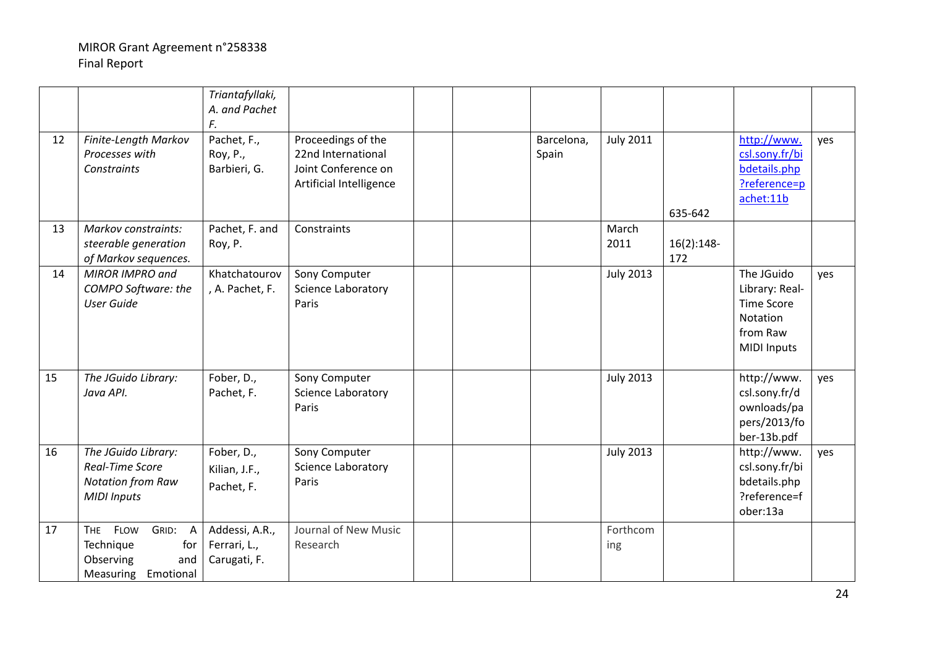|    |                                                                                                        | Triantafyllaki,<br>A. and Pachet<br>F.         |                                                                                            |  |                     |                  |                     |                                                                                                 |     |
|----|--------------------------------------------------------------------------------------------------------|------------------------------------------------|--------------------------------------------------------------------------------------------|--|---------------------|------------------|---------------------|-------------------------------------------------------------------------------------------------|-----|
| 12 | Finite-Length Markov<br>Processes with<br><b>Constraints</b>                                           | Pachet, F.,<br>Roy, P.,<br>Barbieri, G.        | Proceedings of the<br>22nd International<br>Joint Conference on<br>Artificial Intelligence |  | Barcelona,<br>Spain | <b>July 2011</b> | 635-642             | http://www.<br>csl.sony.fr/bi<br>bdetails.php<br>?reference=p<br>achet:11b                      | yes |
| 13 | Markov constraints:<br>steerable generation<br>of Markov sequences.                                    | Pachet, F. and<br>Roy, P.                      | Constraints                                                                                |  |                     | March<br>2011    | $16(2):148-$<br>172 |                                                                                                 |     |
| 14 | MIROR IMPRO and<br>COMPO Software: the<br><b>User Guide</b>                                            | Khatchatourov<br>, A. Pachet, F.               | Sony Computer<br>Science Laboratory<br>Paris                                               |  |                     | <b>July 2013</b> |                     | The JGuido<br>Library: Real-<br><b>Time Score</b><br>Notation<br>from Raw<br><b>MIDI Inputs</b> | yes |
| 15 | The JGuido Library:<br>Java API.                                                                       | Fober, D.,<br>Pachet, F.                       | Sony Computer<br>Science Laboratory<br>Paris                                               |  |                     | <b>July 2013</b> |                     | http://www.<br>csl.sony.fr/d<br>ownloads/pa<br>pers/2013/fo<br>ber-13b.pdf                      | yes |
| 16 | The JGuido Library:<br><b>Real-Time Score</b><br><b>Notation from Raw</b><br><b>MIDI Inputs</b>        | Fober, D.,<br>Kilian, J.F.,<br>Pachet, F.      | Sony Computer<br>Science Laboratory<br>Paris                                               |  |                     | <b>July 2013</b> |                     | http://www.<br>csl.sony.fr/bi<br>bdetails.php<br>?reference=f<br>ober:13a                       | yes |
| 17 | <b>FLOW</b><br>GRID: A<br><b>THE</b><br>Technique<br>for<br>Observing<br>and<br>Measuring<br>Emotional | Addessi, A.R.,<br>Ferrari, L.,<br>Carugati, F. | Journal of New Music<br>Research                                                           |  |                     | Forthcom<br>ing  |                     |                                                                                                 |     |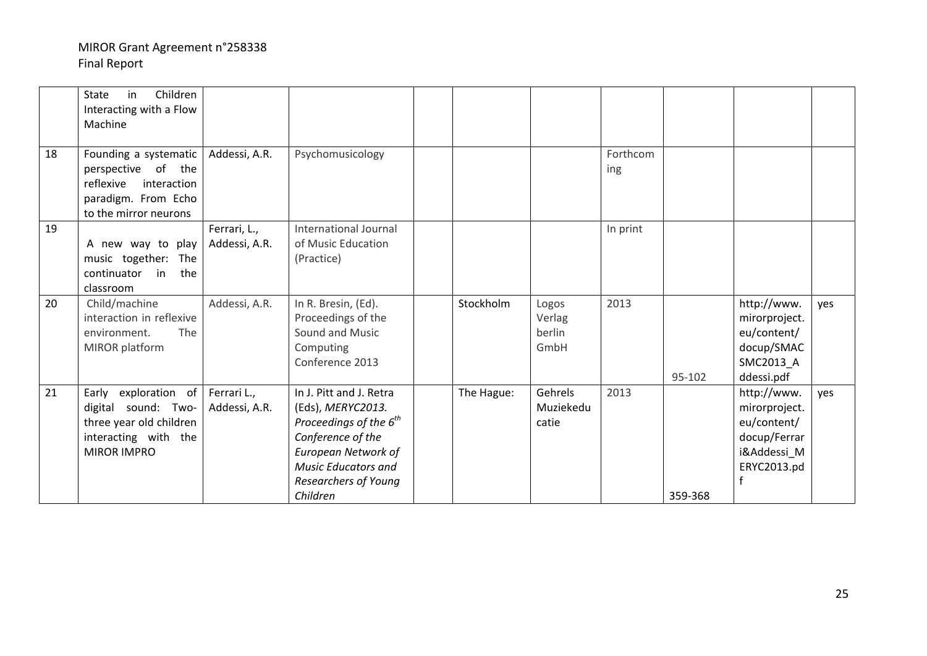|    | Children<br>in<br>State<br>Interacting with a Flow<br>Machine                                                           |                               |                                                                                                                                                                                           |            |                                   |                 |         |                                                                                                          |     |
|----|-------------------------------------------------------------------------------------------------------------------------|-------------------------------|-------------------------------------------------------------------------------------------------------------------------------------------------------------------------------------------|------------|-----------------------------------|-----------------|---------|----------------------------------------------------------------------------------------------------------|-----|
| 18 | Founding a systematic<br>perspective of the<br>reflexive<br>interaction<br>paradigm. From Echo<br>to the mirror neurons | Addessi, A.R.                 | Psychomusicology                                                                                                                                                                          |            |                                   | Forthcom<br>ing |         |                                                                                                          |     |
| 19 | A new way to play<br>music together: The<br>continuator in<br>the<br>classroom                                          | Ferrari, L.,<br>Addessi, A.R. | International Journal<br>of Music Education<br>(Practice)                                                                                                                                 |            |                                   | In print        |         |                                                                                                          |     |
| 20 | Child/machine<br>interaction in reflexive<br>environment.<br><b>The</b><br>MIROR platform                               | Addessi, A.R.                 | In R. Bresin, (Ed).<br>Proceedings of the<br>Sound and Music<br>Computing<br>Conference 2013                                                                                              | Stockholm  | Logos<br>Verlag<br>berlin<br>GmbH | 2013            | 95-102  | http://www.<br>mirorproject.<br>eu/content/<br>docup/SMAC<br>SMC2013_A<br>ddessi.pdf                     | yes |
| 21 | Early exploration of<br>digital sound: Two-<br>three year old children<br>interacting with the<br><b>MIROR IMPRO</b>    | Ferrari L.,<br>Addessi, A.R.  | In J. Pitt and J. Retra<br>(Eds), MERYC2013.<br>Proceedings of the $6^{th}$<br>Conference of the<br>European Network of<br><b>Music Educators and</b><br>Researchers of Young<br>Children | The Hague: | Gehrels<br>Muziekedu<br>catie     | 2013            | 359-368 | http://www.<br>mirorproject.<br>eu/content/<br>docup/Ferrar<br>i&Addessi_M<br>ERYC2013.pd<br>$\mathbf f$ | yes |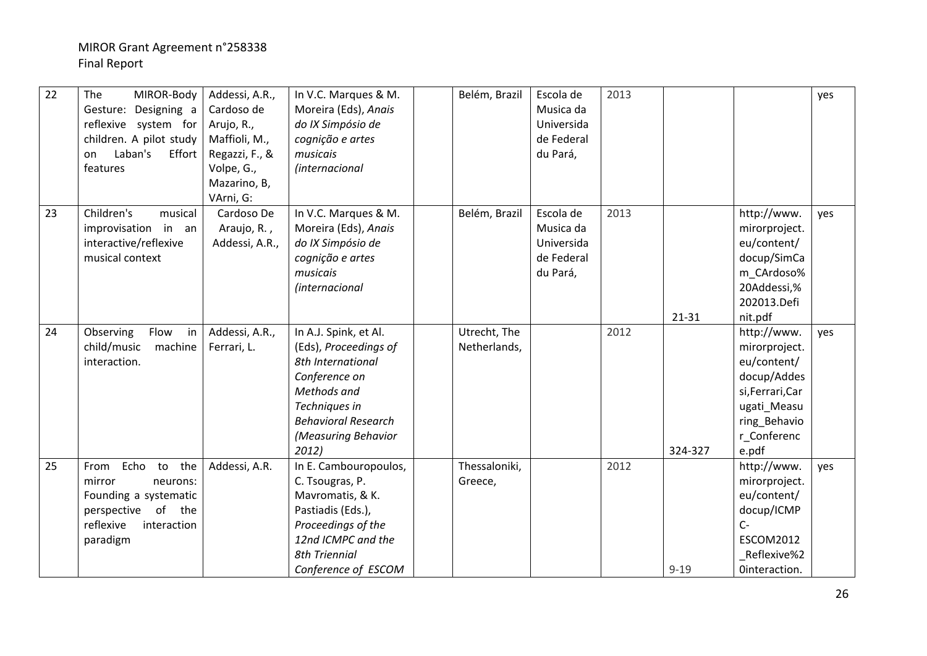| $\overline{22}$ | The<br>MIROR-Body<br>Gesture: Designing a<br>reflexive system for<br>children. A pilot study<br>Laban's<br>Effort<br>on<br>features    | Addessi, A.R.,<br>Cardoso de<br>Arujo, R.,<br>Maffioli, M.,<br>Regazzi, F., &<br>Volpe, G.,<br>Mazarino, B,<br>VArni, G: | In V.C. Marques & M.<br>Moreira (Eds), Anais<br>do IX Simpósio de<br>cognição e artes<br>musicais<br>(internacional                                                                | Belém, Brazil                | Escola de<br>Musica da<br>Universida<br>de Federal<br>du Pará, | 2013 |          |                                                                                                                                       | yes |
|-----------------|----------------------------------------------------------------------------------------------------------------------------------------|--------------------------------------------------------------------------------------------------------------------------|------------------------------------------------------------------------------------------------------------------------------------------------------------------------------------|------------------------------|----------------------------------------------------------------|------|----------|---------------------------------------------------------------------------------------------------------------------------------------|-----|
| 23              | Children's<br>musical<br>improvisation in an<br>interactive/reflexive<br>musical context                                               | Cardoso De<br>Araujo, R.,<br>Addessi, A.R.,                                                                              | In V.C. Marques & M.<br>Moreira (Eds), Anais<br>do IX Simpósio de<br>cognição e artes<br>musicais<br><i>(internacional</i>                                                         | Belém, Brazil                | Escola de<br>Musica da<br>Universida<br>de Federal<br>du Pará, | 2013 | 21-31    | http://www.<br>mirorproject.<br>eu/content/<br>docup/SimCa<br>m_CArdoso%<br>20Addessi,%<br>202013.Defi<br>nit.pdf                     | yes |
| 24              | Observing<br>Flow<br>in<br>child/music<br>machine<br>interaction.                                                                      | Addessi, A.R.,<br>Ferrari, L.                                                                                            | In A.J. Spink, et Al.<br>(Eds), Proceedings of<br>8th International<br>Conference on<br>Methods and<br>Techniques in<br><b>Behavioral Research</b><br>(Measuring Behavior<br>2012) | Utrecht, The<br>Netherlands, |                                                                | 2012 | 324-327  | http://www.<br>mirorproject.<br>eu/content/<br>docup/Addes<br>si, Ferrari, Car<br>ugati_Measu<br>ring_Behavio<br>r_Conferenc<br>e.pdf | yes |
| 25              | Echo<br>the<br>to<br>From<br>mirror<br>neurons:<br>Founding a systematic<br>perspective of the<br>reflexive<br>interaction<br>paradigm | Addessi, A.R.                                                                                                            | In E. Cambouropoulos,<br>C. Tsougras, P.<br>Mavromatis, & K.<br>Pastiadis (Eds.),<br>Proceedings of the<br>12nd ICMPC and the<br><b>8th Triennial</b><br>Conference of ESCOM       | Thessaloniki,<br>Greece,     |                                                                | 2012 | $9 - 19$ | http://www.<br>mirorproject.<br>eu/content/<br>docup/ICMP<br>$C -$<br><b>ESCOM2012</b><br>Reflexive%2<br>Ointeraction.                | yes |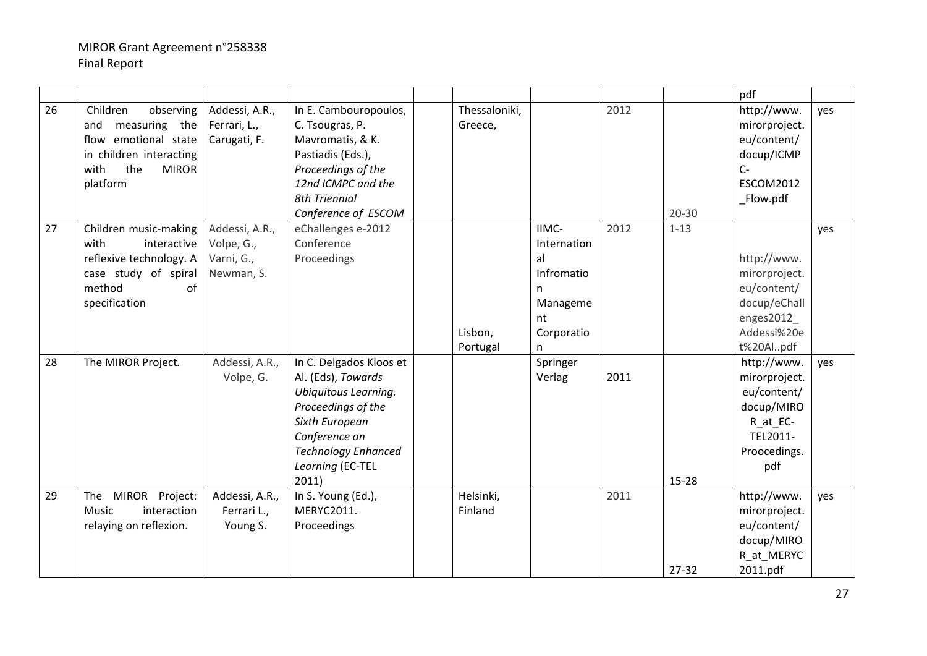|    |                                                                                                                                             |                                                          |                                                                                                                                                                                           |                          |                                                                                    |      |           | pdf                                                                                                      |     |
|----|---------------------------------------------------------------------------------------------------------------------------------------------|----------------------------------------------------------|-------------------------------------------------------------------------------------------------------------------------------------------------------------------------------------------|--------------------------|------------------------------------------------------------------------------------|------|-----------|----------------------------------------------------------------------------------------------------------|-----|
| 26 | Children<br>observing<br>measuring the<br>and<br>flow emotional state<br>in children interacting<br>the<br>with<br><b>MIROR</b><br>platform | Addessi, A.R.,<br>Ferrari, L.,<br>Carugati, F.           | In E. Cambouropoulos,<br>C. Tsougras, P.<br>Mavromatis, & K.<br>Pastiadis (Eds.),<br>Proceedings of the<br>12nd ICMPC and the<br><b>8th Triennial</b><br>Conference of ESCOM              | Thessaloniki,<br>Greece, |                                                                                    | 2012 | $20 - 30$ | http://www.<br>mirorproject.<br>eu/content/<br>docup/ICMP<br>$C-$<br><b>ESCOM2012</b><br>Flow.pdf        | yes |
| 27 | Children music-making<br>with<br>interactive<br>reflexive technology. A<br>case study of spiral<br>method<br>of<br>specification            | Addessi, A.R.,<br>Volpe, G.,<br>Varni, G.,<br>Newman, S. | eChallenges e-2012<br>Conference<br>Proceedings                                                                                                                                           | Lisbon,<br>Portugal      | IIMC-<br>Internation<br>al<br>Infromatio<br>n<br>Manageme<br>nt<br>Corporatio<br>n | 2012 | $1 - 13$  | http://www.<br>mirorproject.<br>eu/content/<br>docup/eChall<br>enges2012_<br>Addessi%20e<br>t%20Alpdf    | yes |
| 28 | The MIROR Project.                                                                                                                          | Addessi, A.R.,<br>Volpe, G.                              | In C. Delgados Kloos et<br>Al. (Eds), Towards<br>Ubiquitous Learning.<br>Proceedings of the<br>Sixth European<br>Conference on<br><b>Technology Enhanced</b><br>Learning (EC-TEL<br>2011) |                          | Springer<br>Verlag                                                                 | 2011 | 15-28     | http://www.<br>mirorproject.<br>eu/content/<br>docup/MIRO<br>R_at_EC-<br>TEL2011-<br>Proocedings.<br>pdf | yes |
| 29 | The MIROR Project:<br>Music<br>interaction<br>relaying on reflexion.                                                                        | Addessi, A.R.,<br>Ferrari L.,<br>Young S.                | In S. Young (Ed.),<br>MERYC2011.<br>Proceedings                                                                                                                                           | Helsinki,<br>Finland     |                                                                                    | 2011 | $27 - 32$ | http://www.<br>mirorproject.<br>eu/content/<br>docup/MIRO<br>R_at_MERYC<br>2011.pdf                      | yes |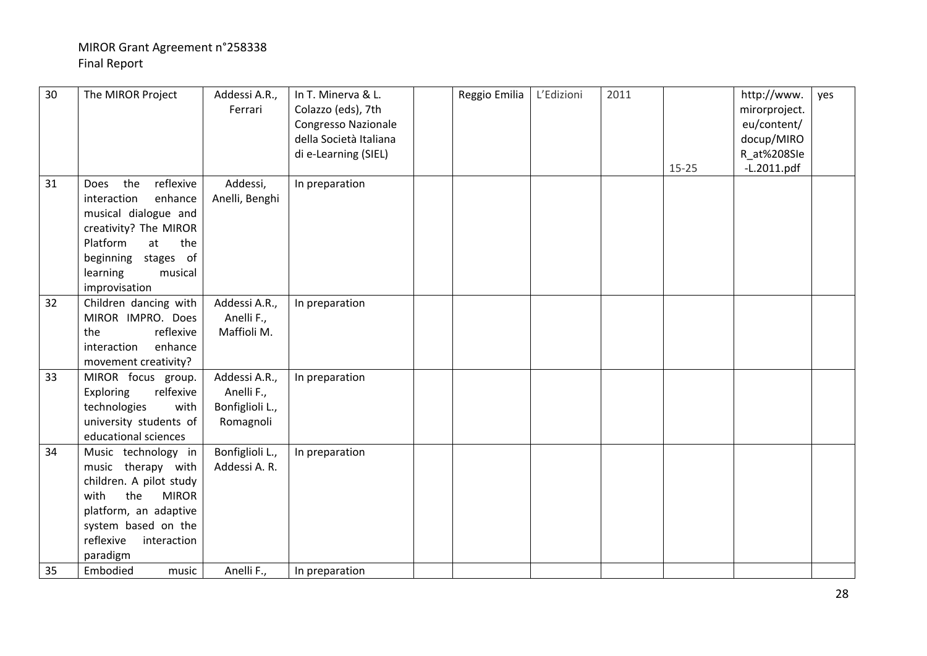| 30 | The MIROR Project                                                                                                                                                                           | Addessi A.R.,<br>Ferrari                                    | In T. Minerva & L.<br>Colazzo (eds), 7th<br><b>Congresso Nazionale</b><br>della Società Italiana<br>di e-Learning (SIEL) | Reggio Emilia | L'Edizioni | 2011 | $15 - 25$ | http://www.<br>mirorproject.<br>eu/content/<br>docup/MIRO<br>R_at%208Sle<br>$-L.2011.pdf$ | yes |
|----|---------------------------------------------------------------------------------------------------------------------------------------------------------------------------------------------|-------------------------------------------------------------|--------------------------------------------------------------------------------------------------------------------------|---------------|------------|------|-----------|-------------------------------------------------------------------------------------------|-----|
| 31 | the<br>reflexive<br>Does<br>interaction<br>enhance<br>musical dialogue and<br>creativity? The MIROR<br>Platform<br>the<br>at<br>beginning stages of<br>learning<br>musical<br>improvisation | Addessi,<br>Anelli, Benghi                                  | In preparation                                                                                                           |               |            |      |           |                                                                                           |     |
| 32 | Children dancing with<br>MIROR IMPRO. Does<br>reflexive<br>the<br>interaction<br>enhance<br>movement creativity?                                                                            | Addessi A.R.,<br>Anelli F.,<br>Maffioli M.                  | In preparation                                                                                                           |               |            |      |           |                                                                                           |     |
| 33 | MIROR focus group.<br>Exploring<br>relfexive<br>technologies<br>with<br>university students of<br>educational sciences                                                                      | Addessi A.R.,<br>Anelli F.,<br>Bonfiglioli L.,<br>Romagnoli | In preparation                                                                                                           |               |            |      |           |                                                                                           |     |
| 34 | Music technology in<br>music therapy with<br>children. A pilot study<br>the<br>with<br><b>MIROR</b><br>platform, an adaptive<br>system based on the<br>reflexive<br>interaction<br>paradigm | Bonfiglioli L.,<br>Addessi A. R.                            | In preparation                                                                                                           |               |            |      |           |                                                                                           |     |
| 35 | Embodied<br>music                                                                                                                                                                           | Anelli F.,                                                  | In preparation                                                                                                           |               |            |      |           |                                                                                           |     |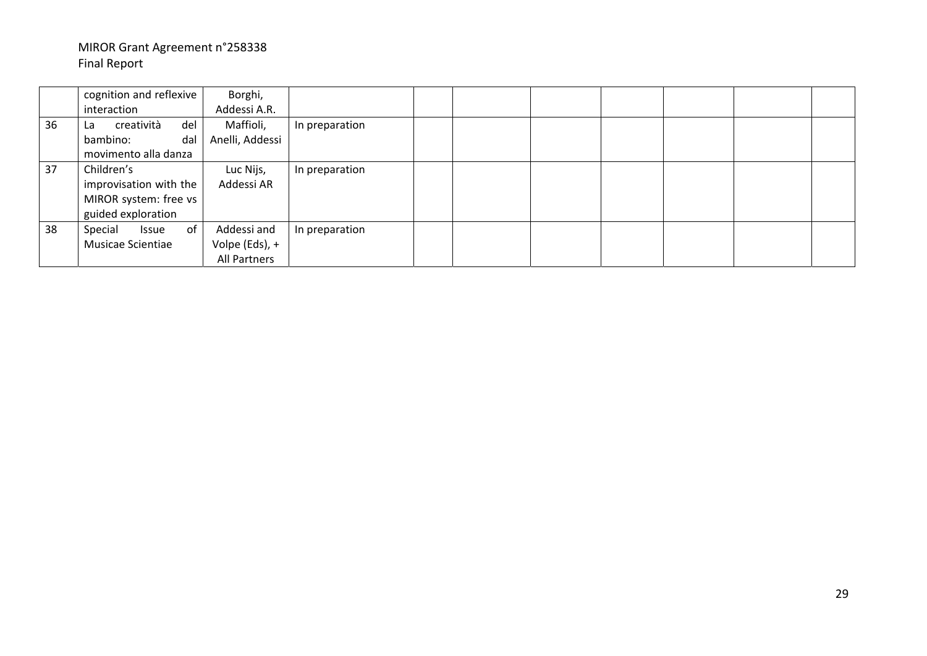|    | cognition and reflexive<br>interaction                                              | Borghi,<br>Addessi A.R.                       |                |  |  |  |  |
|----|-------------------------------------------------------------------------------------|-----------------------------------------------|----------------|--|--|--|--|
| 36 | creatività<br>del<br>La<br>dal<br>bambino:<br>movimento alla danza                  | Maffioli,<br>Anelli, Addessi                  | In preparation |  |  |  |  |
| 37 | Children's<br>improvisation with the<br>MIROR system: free vs<br>guided exploration | Luc Nijs,<br>Addessi AR                       | In preparation |  |  |  |  |
| 38 | of<br>Special<br>Issue<br>Musicae Scientiae                                         | Addessi and<br>Volpe (Eds), +<br>All Partners | In preparation |  |  |  |  |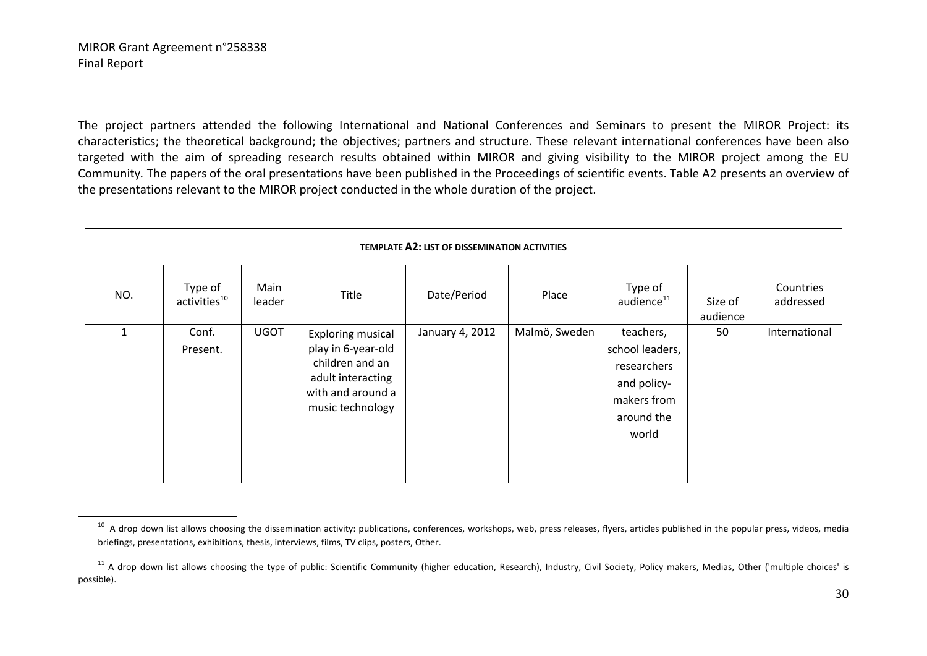The project partners attended the following International and National Conferences and Seminars to present the MIROR Project: its characteristics; the theoretical background; the objectives; partners and structure. These relevant international conferences have been also targeted with the aim of spreading research results obtained within MIROR and giving visibility to the MIROR project among the EU Community*.* The papers of the oral presentations have been published in the Proceedings of scientific events. Table A2 presents an overview of the presentations relevant to the MIROR project conducted in the whole duration of the project.

|     | TEMPLATE A2: LIST OF DISSEMINATION ACTIVITIES |                |                                                                                                                                 |                 |               |                                                                                                  |                     |                        |  |  |  |  |  |
|-----|-----------------------------------------------|----------------|---------------------------------------------------------------------------------------------------------------------------------|-----------------|---------------|--------------------------------------------------------------------------------------------------|---------------------|------------------------|--|--|--|--|--|
| NO. | Type of<br>activities <sup>10</sup>           | Main<br>leader | Title                                                                                                                           | Date/Period     | Place         | Type of<br>audience <sup>11</sup>                                                                | Size of<br>audience | Countries<br>addressed |  |  |  |  |  |
|     | Conf.<br>Present.                             | <b>UGOT</b>    | <b>Exploring musical</b><br>play in 6-year-old<br>children and an<br>adult interacting<br>with and around a<br>music technology | January 4, 2012 | Malmö, Sweden | teachers,<br>school leaders,<br>researchers<br>and policy-<br>makers from<br>around the<br>world | 50                  | International          |  |  |  |  |  |

<sup>&</sup>lt;sup>10</sup> A drop down list allows choosing the dissemination activity: publications, conferences, workshops, web, press releases, flyers, articles published in the popular press, videos, media briefings, presentations, exhibitions, thesis, interviews, films, TV clips, posters, Other.

<sup>&</sup>lt;sup>11</sup> A drop down list allows choosing the type of public: Scientific Community (higher education, Research), Industry, Civil Society, Policy makers, Medias, Other ('multiple choices' is possible).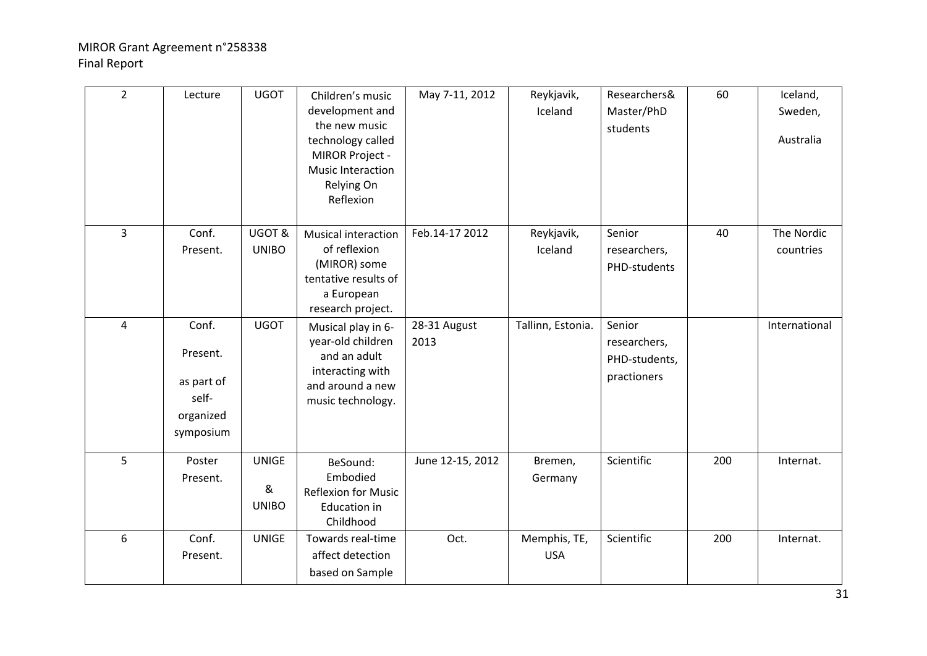| $\overline{2}$ | Lecture                                                            | <b>UGOT</b>                       | Children's music<br>development and<br>the new music<br>technology called<br>MIROR Project -<br>Music Interaction<br>Relying On<br>Reflexion | May 7-11, 2012       | Reykjavik,<br>Iceland      | Researchers&<br>Master/PhD<br>students                 | 60  | Iceland,<br>Sweden,<br>Australia |
|----------------|--------------------------------------------------------------------|-----------------------------------|----------------------------------------------------------------------------------------------------------------------------------------------|----------------------|----------------------------|--------------------------------------------------------|-----|----------------------------------|
| $\mathbf{3}$   | Conf.<br>Present.                                                  | UGOT&<br><b>UNIBO</b>             | <b>Musical interaction</b><br>of reflexion<br>(MIROR) some<br>tentative results of<br>a European<br>research project.                        | Feb.14-17 2012       | Reykjavik,<br>Iceland      | Senior<br>researchers,<br>PHD-students                 | 40  | The Nordic<br>countries          |
| 4              | Conf.<br>Present.<br>as part of<br>self-<br>organized<br>symposium | <b>UGOT</b>                       | Musical play in 6-<br>year-old children<br>and an adult<br>interacting with<br>and around a new<br>music technology.                         | 28-31 August<br>2013 | Tallinn, Estonia.          | Senior<br>researchers,<br>PHD-students,<br>practioners |     | International                    |
| 5              | Poster<br>Present.                                                 | <b>UNIGE</b><br>&<br><b>UNIBO</b> | BeSound:<br>Embodied<br>Reflexion for Music<br><b>Education in</b><br>Childhood                                                              | June 12-15, 2012     | Bremen,<br>Germany         | Scientific                                             | 200 | Internat.                        |
| 6              | Conf.<br>Present.                                                  | <b>UNIGE</b>                      | Towards real-time<br>affect detection<br>based on Sample                                                                                     | Oct.                 | Memphis, TE,<br><b>USA</b> | Scientific                                             | 200 | Internat.                        |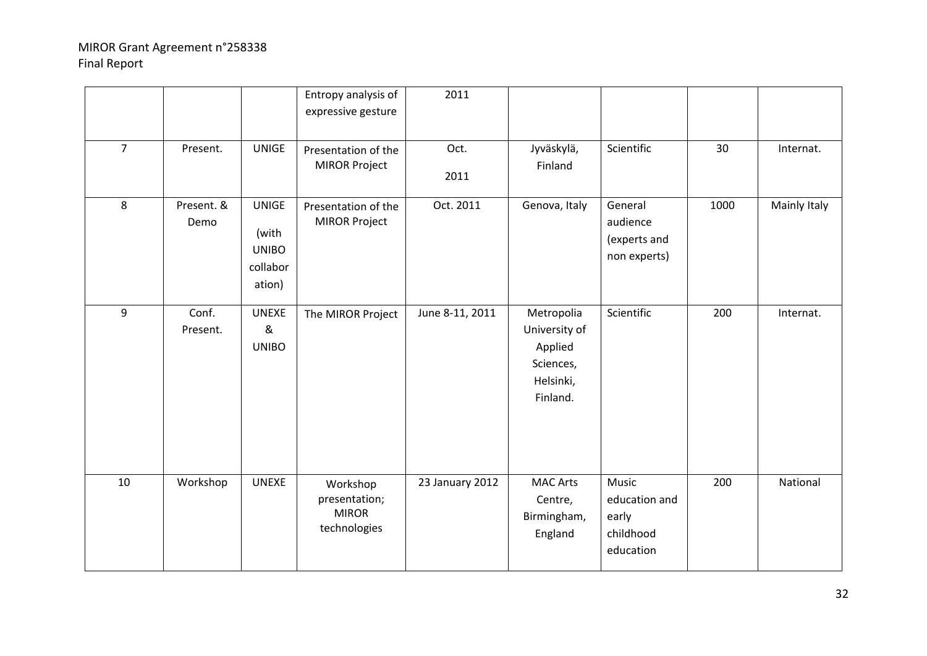|                |                    |                                                             | Entropy analysis of<br>expressive gesture                 | 2011            |                                                                              |                                                           |      |              |
|----------------|--------------------|-------------------------------------------------------------|-----------------------------------------------------------|-----------------|------------------------------------------------------------------------------|-----------------------------------------------------------|------|--------------|
| $\overline{7}$ | Present.           | <b>UNIGE</b>                                                | Presentation of the<br><b>MIROR Project</b>               | Oct.<br>2011    | Jyväskylä,<br>Finland                                                        | Scientific                                                | 30   | Internat.    |
| 8              | Present. &<br>Demo | <b>UNIGE</b><br>(with<br><b>UNIBO</b><br>collabor<br>ation) | Presentation of the<br><b>MIROR Project</b>               | Oct. 2011       | Genova, Italy                                                                | General<br>audience<br>(experts and<br>non experts)       | 1000 | Mainly Italy |
| 9              | Conf.<br>Present.  | <b>UNEXE</b><br>&<br><b>UNIBO</b>                           | The MIROR Project                                         | June 8-11, 2011 | Metropolia<br>University of<br>Applied<br>Sciences,<br>Helsinki,<br>Finland. | Scientific                                                | 200  | Internat.    |
| 10             | Workshop           | <b>UNEXE</b>                                                | Workshop<br>presentation;<br><b>MIROR</b><br>technologies | 23 January 2012 | <b>MAC Arts</b><br>Centre,<br>Birmingham,<br>England                         | Music<br>education and<br>early<br>childhood<br>education | 200  | National     |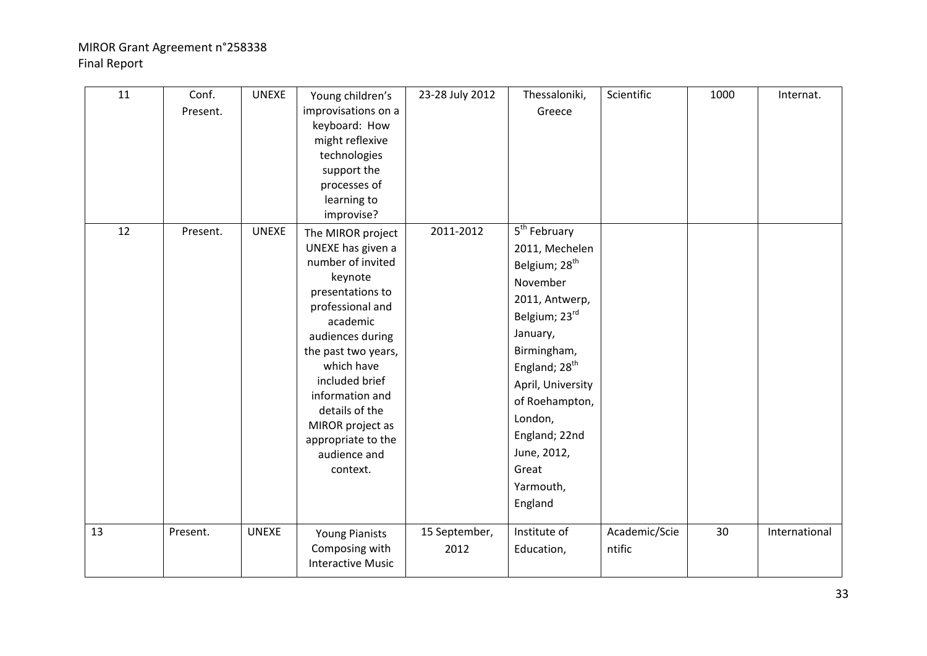| 11 | Conf.<br>Present. | <b>UNEXE</b> | Young children's<br>improvisations on a<br>keyboard: How<br>might reflexive<br>technologies<br>support the<br>processes of<br>learning to<br>improvise?                                                                                                                                                          | 23-28 July 2012       | Thessaloniki,<br>Greece                                                                                                                                                                                                                                                                           | Scientific              | 1000 | Internat.     |
|----|-------------------|--------------|------------------------------------------------------------------------------------------------------------------------------------------------------------------------------------------------------------------------------------------------------------------------------------------------------------------|-----------------------|---------------------------------------------------------------------------------------------------------------------------------------------------------------------------------------------------------------------------------------------------------------------------------------------------|-------------------------|------|---------------|
| 12 | Present.          | <b>UNEXE</b> | The MIROR project<br>UNEXE has given a<br>number of invited<br>keynote<br>presentations to<br>professional and<br>academic<br>audiences during<br>the past two years,<br>which have<br>included brief<br>information and<br>details of the<br>MIROR project as<br>appropriate to the<br>audience and<br>context. | 2011-2012             | 5 <sup>th</sup> February<br>2011, Mechelen<br>Belgium; 28 <sup>th</sup><br>November<br>2011, Antwerp,<br>Belgium; 23rd<br>January,<br>Birmingham,<br>England; 28 <sup>th</sup><br>April, University<br>of Roehampton,<br>London,<br>England; 22nd<br>June, 2012,<br>Great<br>Yarmouth,<br>England |                         |      |               |
| 13 | Present.          | <b>UNEXE</b> | <b>Young Pianists</b><br>Composing with<br><b>Interactive Music</b>                                                                                                                                                                                                                                              | 15 September,<br>2012 | Institute of<br>Education,                                                                                                                                                                                                                                                                        | Academic/Scie<br>ntific | 30   | International |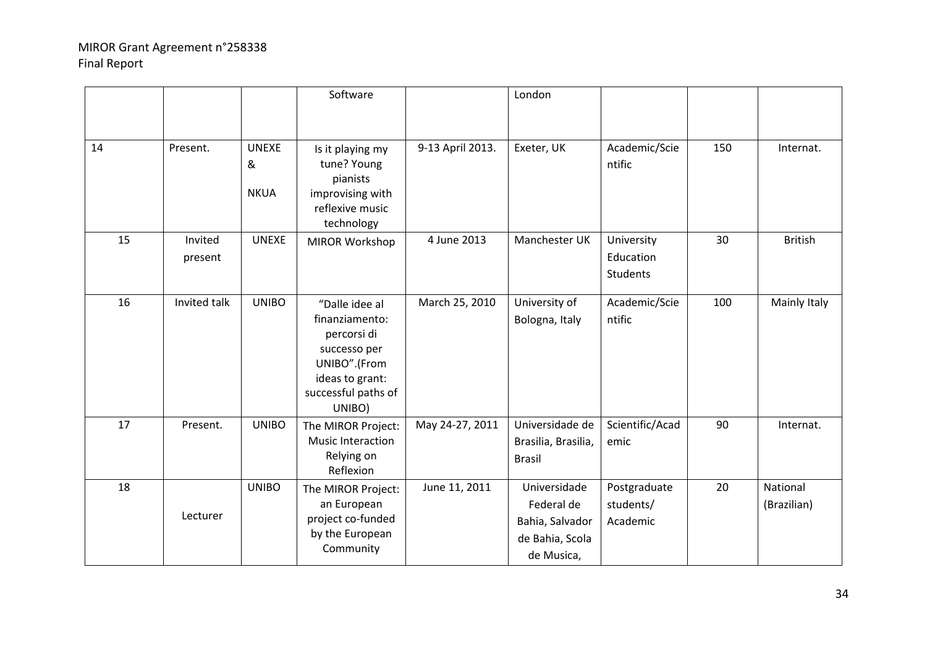|    |                    |                                  | Software                                                                                                                            |                  | London                                                                         |                                       |     |                         |
|----|--------------------|----------------------------------|-------------------------------------------------------------------------------------------------------------------------------------|------------------|--------------------------------------------------------------------------------|---------------------------------------|-----|-------------------------|
| 14 | Present.           | <b>UNEXE</b><br>&<br><b>NKUA</b> | Is it playing my<br>tune? Young<br>pianists<br>improvising with<br>reflexive music<br>technology                                    | 9-13 April 2013. | Exeter, UK                                                                     | Academic/Scie<br>ntific               | 150 | Internat.               |
| 15 | Invited<br>present | <b>UNEXE</b>                     | <b>MIROR Workshop</b>                                                                                                               | 4 June 2013      | Manchester UK                                                                  | University<br>Education<br>Students   | 30  | <b>British</b>          |
| 16 | Invited talk       | <b>UNIBO</b>                     | "Dalle idee al<br>finanziamento:<br>percorsi di<br>successo per<br>UNIBO".(From<br>ideas to grant:<br>successful paths of<br>UNIBO) | March 25, 2010   | University of<br>Bologna, Italy                                                | Academic/Scie<br>ntific               | 100 | Mainly Italy            |
| 17 | Present.           | <b>UNIBO</b>                     | The MIROR Project:<br>Music Interaction<br>Relying on<br>Reflexion                                                                  | May 24-27, 2011  | Universidade de<br>Brasilia, Brasilia,<br><b>Brasil</b>                        | Scientific/Acad<br>emic               | 90  | Internat.               |
| 18 | Lecturer           | <b>UNIBO</b>                     | The MIROR Project:<br>an European<br>project co-funded<br>by the European<br>Community                                              | June 11, 2011    | Universidade<br>Federal de<br>Bahia, Salvador<br>de Bahia, Scola<br>de Musica, | Postgraduate<br>students/<br>Academic | 20  | National<br>(Brazilian) |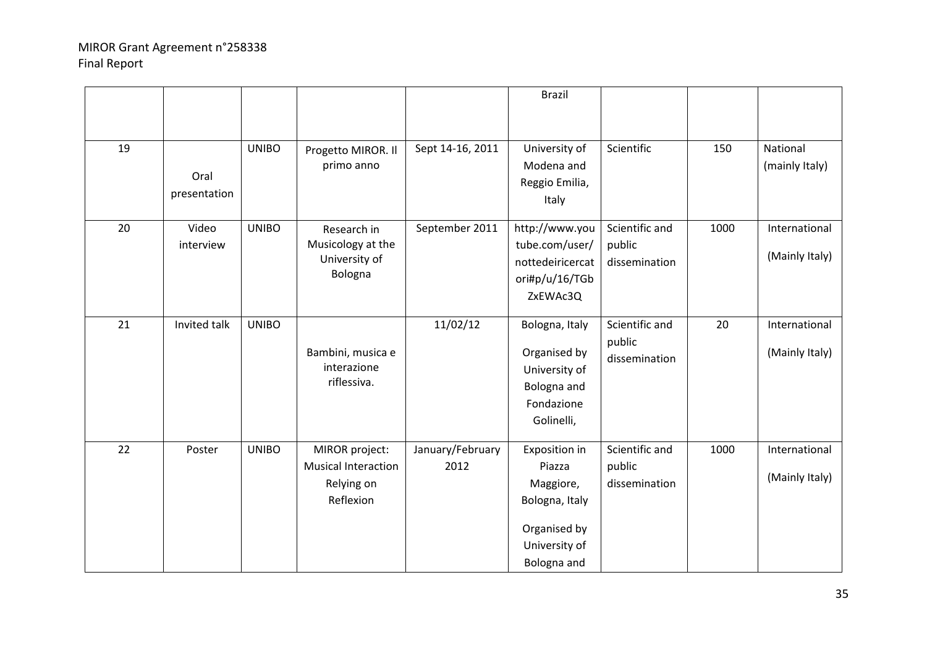|    |                      |              |                                                                         |                          | <b>Brazil</b>                                                                                          |                                           |      |                                 |
|----|----------------------|--------------|-------------------------------------------------------------------------|--------------------------|--------------------------------------------------------------------------------------------------------|-------------------------------------------|------|---------------------------------|
| 19 | Oral<br>presentation | <b>UNIBO</b> | Progetto MIROR. Il<br>primo anno                                        | Sept 14-16, 2011         | University of<br>Modena and<br>Reggio Emilia,<br>Italy                                                 | Scientific                                | 150  | National<br>(mainly Italy)      |
| 20 | Video<br>interview   | <b>UNIBO</b> | Research in<br>Musicology at the<br>University of<br>Bologna            | September 2011           | http://www.you<br>tube.com/user/<br>nottedeiricercat<br>ori#p/u/16/TGb<br>ZxEWAc3Q                     | Scientific and<br>public<br>dissemination | 1000 | International<br>(Mainly Italy) |
| 21 | Invited talk         | <b>UNIBO</b> | Bambini, musica e<br>interazione<br>riflessiva.                         | 11/02/12                 | Bologna, Italy<br>Organised by<br>University of<br>Bologna and<br>Fondazione<br>Golinelli,             | Scientific and<br>public<br>dissemination | 20   | International<br>(Mainly Italy) |
| 22 | Poster               | <b>UNIBO</b> | MIROR project:<br><b>Musical Interaction</b><br>Relying on<br>Reflexion | January/February<br>2012 | Exposition in<br>Piazza<br>Maggiore,<br>Bologna, Italy<br>Organised by<br>University of<br>Bologna and | Scientific and<br>public<br>dissemination | 1000 | International<br>(Mainly Italy) |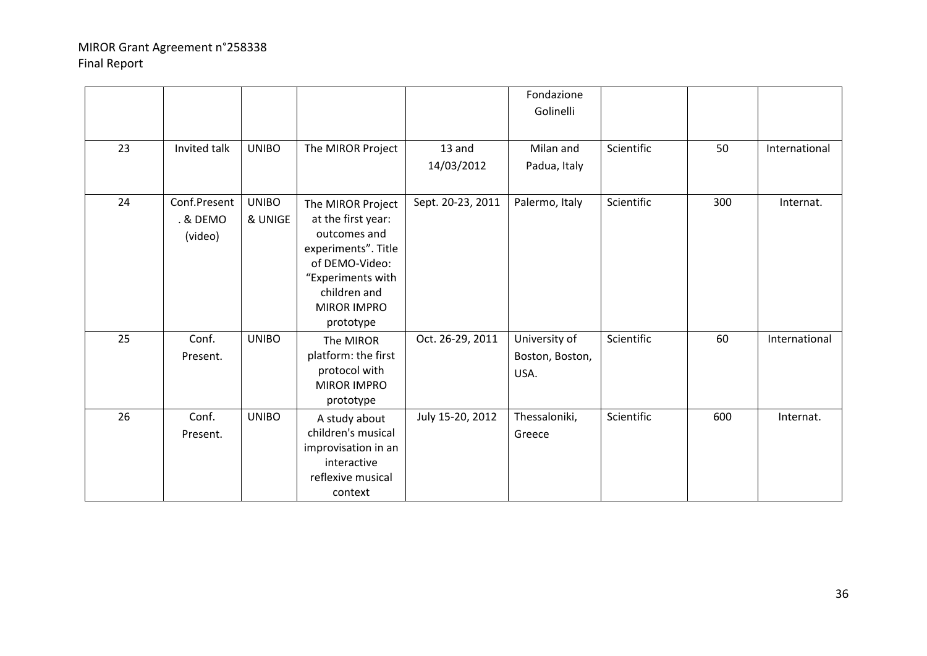|    |                                     |                         |                                                                                                                                                                          |                      | Fondazione<br>Golinelli                  |            |     |               |
|----|-------------------------------------|-------------------------|--------------------------------------------------------------------------------------------------------------------------------------------------------------------------|----------------------|------------------------------------------|------------|-----|---------------|
| 23 | Invited talk                        | <b>UNIBO</b>            | The MIROR Project                                                                                                                                                        | 13 and<br>14/03/2012 | Milan and<br>Padua, Italy                | Scientific | 50  | International |
| 24 | Conf.Present<br>. & DEMO<br>(video) | <b>UNIBO</b><br>& UNIGE | The MIROR Project<br>at the first year:<br>outcomes and<br>experiments". Title<br>of DEMO-Video:<br>"Experiments with<br>children and<br><b>MIROR IMPRO</b><br>prototype | Sept. 20-23, 2011    | Palermo, Italy                           | Scientific | 300 | Internat.     |
| 25 | Conf.<br>Present.                   | <b>UNIBO</b>            | The MIROR<br>platform: the first<br>protocol with<br><b>MIROR IMPRO</b><br>prototype                                                                                     | Oct. 26-29, 2011     | University of<br>Boston, Boston,<br>USA. | Scientific | 60  | International |
| 26 | Conf.<br>Present.                   | <b>UNIBO</b>            | A study about<br>children's musical<br>improvisation in an<br>interactive<br>reflexive musical<br>context                                                                | July 15-20, 2012     | Thessaloniki,<br>Greece                  | Scientific | 600 | Internat.     |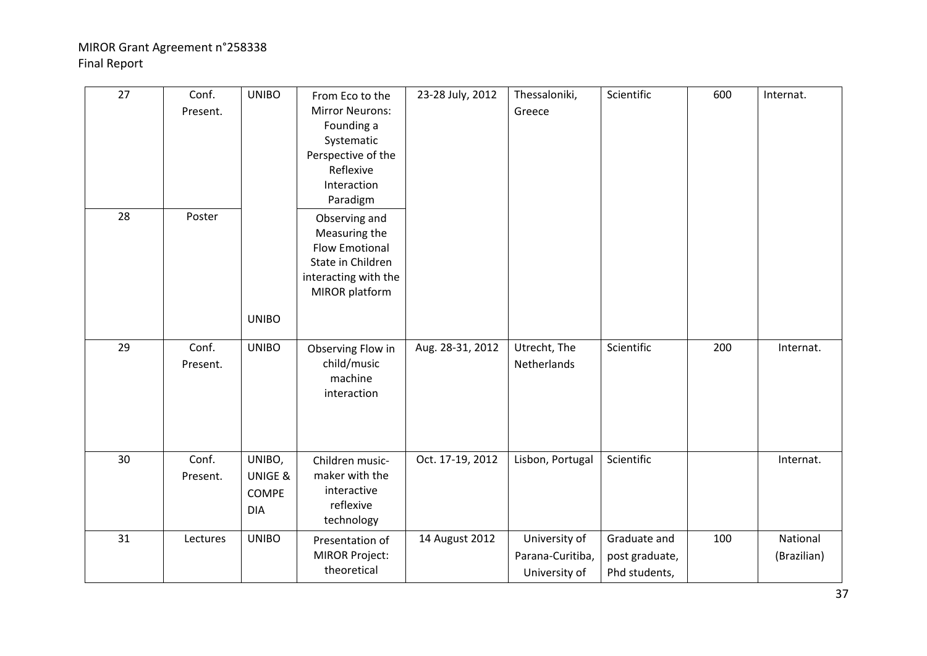| 27 | Conf.<br>Present. | <b>UNIBO</b>                                    | From Eco to the<br><b>Mirror Neurons:</b><br>Founding a<br>Systematic<br>Perspective of the<br>Reflexive<br>Interaction<br>Paradigm | 23-28 July, 2012 | Thessaloniki,<br>Greece                            | Scientific                                      | 600 | Internat.               |
|----|-------------------|-------------------------------------------------|-------------------------------------------------------------------------------------------------------------------------------------|------------------|----------------------------------------------------|-------------------------------------------------|-----|-------------------------|
| 28 | Poster            | <b>UNIBO</b>                                    | Observing and<br>Measuring the<br><b>Flow Emotional</b><br>State in Children<br>interacting with the<br>MIROR platform              |                  |                                                    |                                                 |     |                         |
| 29 | Conf.<br>Present. | <b>UNIBO</b>                                    | Observing Flow in<br>child/music<br>machine<br>interaction                                                                          | Aug. 28-31, 2012 | Utrecht, The<br>Netherlands                        | Scientific                                      | 200 | Internat.               |
| 30 | Conf.<br>Present. | UNIBO,<br>UNIGE &<br><b>COMPE</b><br><b>DIA</b> | Children music-<br>maker with the<br>interactive<br>reflexive<br>technology                                                         | Oct. 17-19, 2012 | Lisbon, Portugal                                   | Scientific                                      |     | Internat.               |
| 31 | Lectures          | <b>UNIBO</b>                                    | Presentation of<br><b>MIROR Project:</b><br>theoretical                                                                             | 14 August 2012   | University of<br>Parana-Curitiba,<br>University of | Graduate and<br>post graduate,<br>Phd students, | 100 | National<br>(Brazilian) |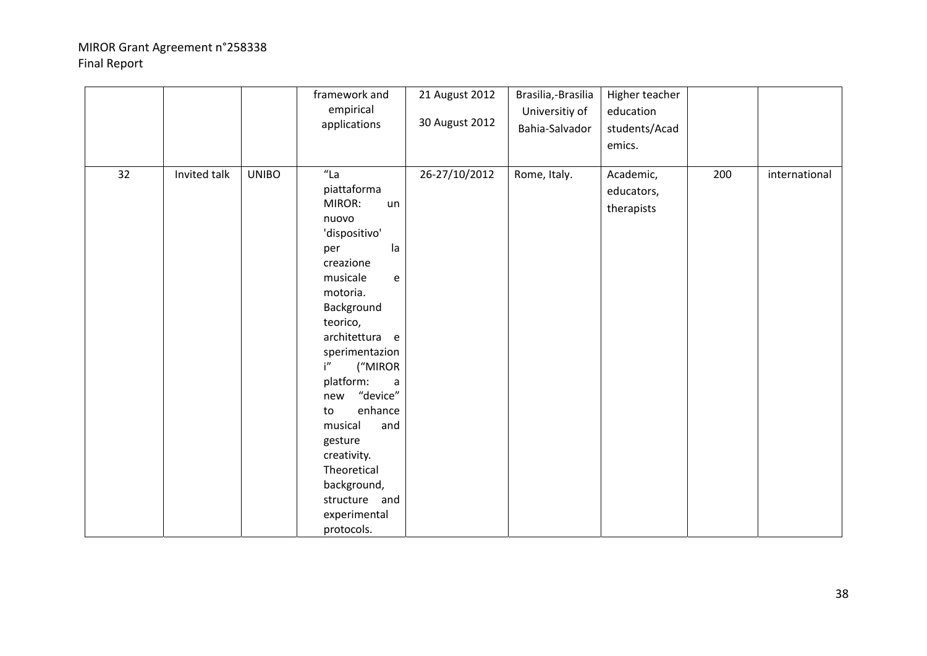|    |              |              | framework and<br>empirical<br>applications                                                                                                                                                                                                                                                                                                                                                                                      | 21 August 2012<br>30 August 2012 | Brasilia,-Brasilia<br>Universitiy of<br>Bahia-Salvador | Higher teacher<br>education<br>students/Acad<br>emics. |     |               |
|----|--------------|--------------|---------------------------------------------------------------------------------------------------------------------------------------------------------------------------------------------------------------------------------------------------------------------------------------------------------------------------------------------------------------------------------------------------------------------------------|----------------------------------|--------------------------------------------------------|--------------------------------------------------------|-----|---------------|
| 32 | Invited talk | <b>UNIBO</b> | $"$ La<br>piattaforma<br>MIROR:<br>un<br>nuovo<br>'dispositivo'<br>la<br>per<br>creazione<br>musicale<br>$\mathsf{e}% _{t}\left( t\right)$<br>motoria.<br>Background<br>teorico,<br>architettura e<br>sperimentazion<br>i"<br>("MIROR<br>platform:<br>$\mathsf{a}$<br>"device"<br>new<br>enhance<br>to<br>musical<br>and<br>gesture<br>creativity.<br>Theoretical<br>background,<br>structure and<br>experimental<br>protocols. | 26-27/10/2012                    | Rome, Italy.                                           | Academic,<br>educators,<br>therapists                  | 200 | international |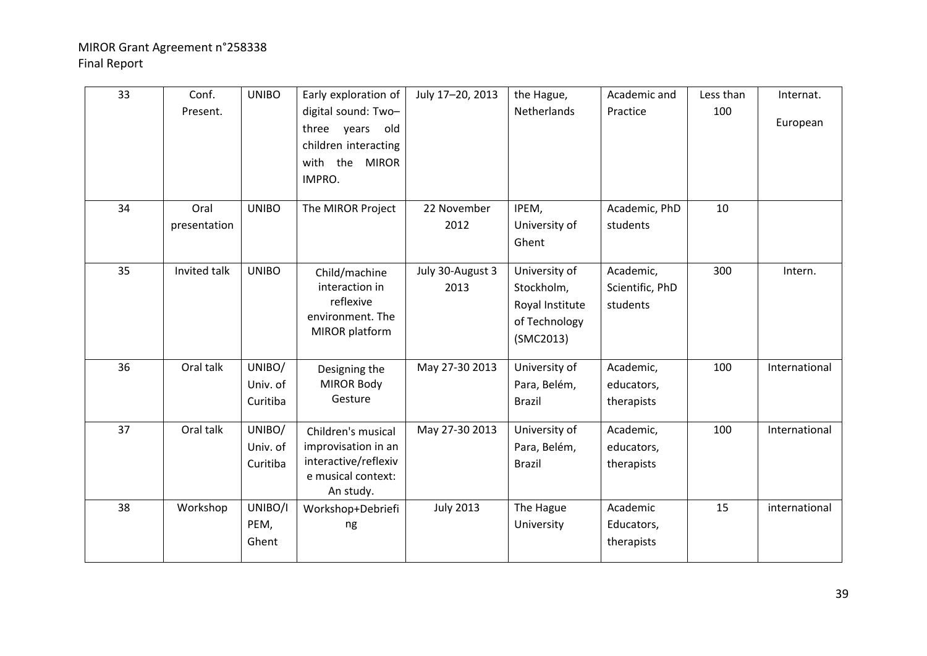| 33 | Conf.<br>Present.    | <b>UNIBO</b>                   | Early exploration of<br>digital sound: Two-<br>old<br>three years<br>children interacting<br>with the<br><b>MIROR</b><br>IMPRO. | July 17-20, 2013         | the Hague,<br>Netherlands                                                    | Academic and<br>Practice                 | Less than<br>100 | Internat.<br>European |
|----|----------------------|--------------------------------|---------------------------------------------------------------------------------------------------------------------------------|--------------------------|------------------------------------------------------------------------------|------------------------------------------|------------------|-----------------------|
| 34 | Oral<br>presentation | <b>UNIBO</b>                   | The MIROR Project                                                                                                               | 22 November<br>2012      | IPEM,<br>University of<br>Ghent                                              | Academic, PhD<br>students                | 10               |                       |
| 35 | Invited talk         | <b>UNIBO</b>                   | Child/machine<br>interaction in<br>reflexive<br>environment. The<br>MIROR platform                                              | July 30-August 3<br>2013 | University of<br>Stockholm,<br>Royal Institute<br>of Technology<br>(SMC2013) | Academic,<br>Scientific, PhD<br>students | 300              | Intern.               |
| 36 | Oral talk            | UNIBO/<br>Univ. of<br>Curitiba | Designing the<br><b>MIROR Body</b><br>Gesture                                                                                   | May 27-30 2013           | University of<br>Para, Belém,<br><b>Brazil</b>                               | Academic,<br>educators,<br>therapists    | 100              | International         |
| 37 | Oral talk            | UNIBO/<br>Univ. of<br>Curitiba | Children's musical<br>improvisation in an<br>interactive/reflexiv<br>e musical context:<br>An study.                            | May 27-30 2013           | University of<br>Para, Belém,<br><b>Brazil</b>                               | Academic,<br>educators,<br>therapists    | 100              | International         |
| 38 | Workshop             | UNIBO/I<br>PEM,<br>Ghent       | Workshop+Debriefi<br>ng                                                                                                         | <b>July 2013</b>         | The Hague<br>University                                                      | Academic<br>Educators,<br>therapists     | 15               | international         |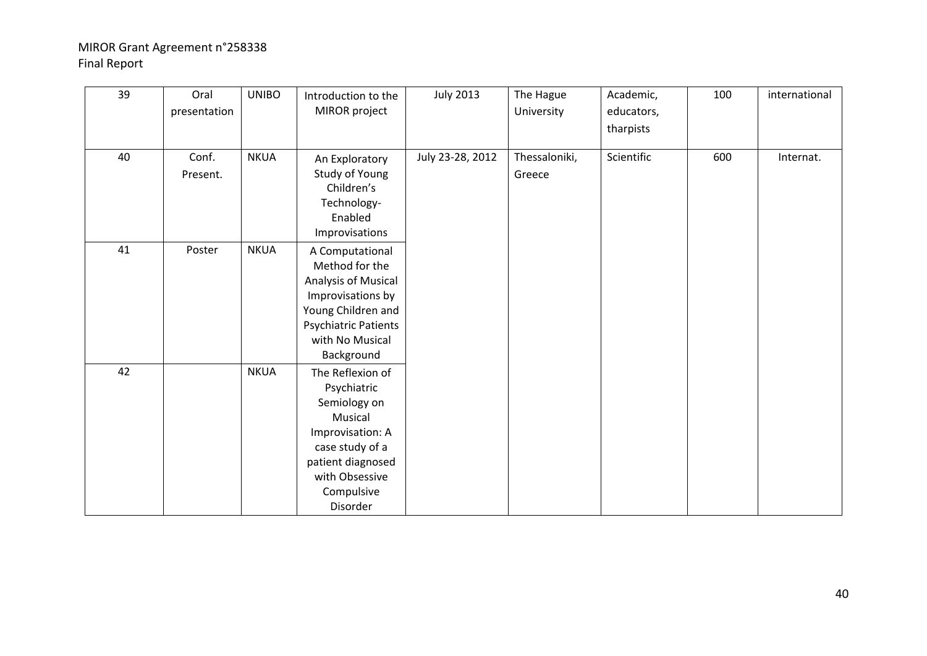| 39 | Oral<br>presentation | <b>UNIBO</b> | Introduction to the<br>MIROR project                                                                                                                               | <b>July 2013</b> | The Hague<br>University | Academic,<br>educators,<br>tharpists | 100 | international |
|----|----------------------|--------------|--------------------------------------------------------------------------------------------------------------------------------------------------------------------|------------------|-------------------------|--------------------------------------|-----|---------------|
| 40 | Conf.<br>Present.    | <b>NKUA</b>  | An Exploratory<br>Study of Young<br>Children's<br>Technology-<br>Enabled<br>Improvisations                                                                         | July 23-28, 2012 | Thessaloniki,<br>Greece | Scientific                           | 600 | Internat.     |
| 41 | Poster               | <b>NKUA</b>  | A Computational<br>Method for the<br>Analysis of Musical<br>Improvisations by<br>Young Children and<br>Psychiatric Patients<br>with No Musical<br>Background       |                  |                         |                                      |     |               |
| 42 |                      | <b>NKUA</b>  | The Reflexion of<br>Psychiatric<br>Semiology on<br>Musical<br>Improvisation: A<br>case study of a<br>patient diagnosed<br>with Obsessive<br>Compulsive<br>Disorder |                  |                         |                                      |     |               |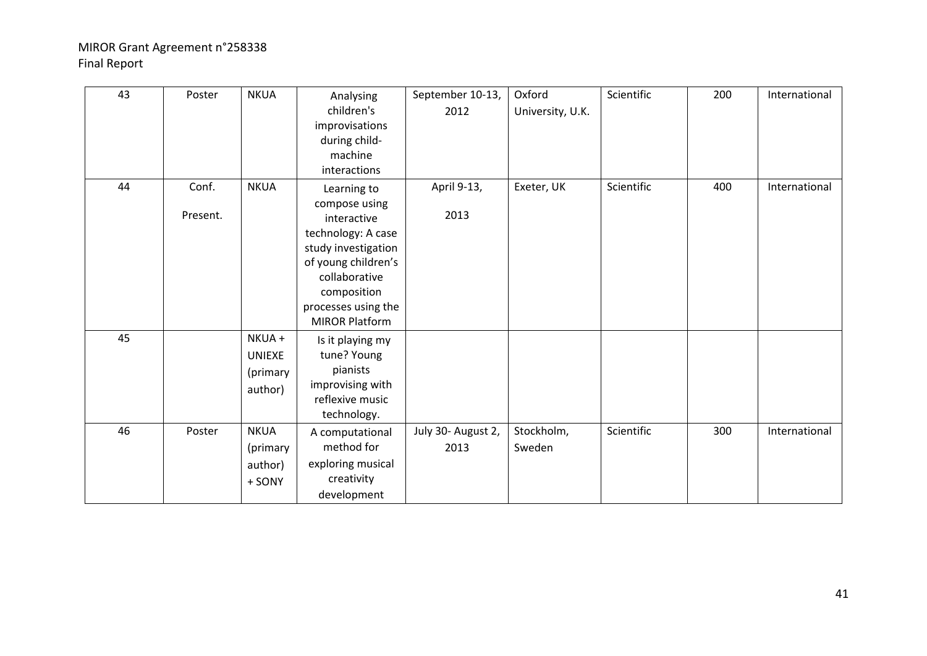| 43 | Poster            | <b>NKUA</b>                                    | Analysing<br>children's<br>improvisations<br>during child-<br>machine<br>interactions                                                                                                           | September 10-13,<br>2012   | Oxford<br>University, U.K. | Scientific | 200 | International |
|----|-------------------|------------------------------------------------|-------------------------------------------------------------------------------------------------------------------------------------------------------------------------------------------------|----------------------------|----------------------------|------------|-----|---------------|
| 44 | Conf.<br>Present. | <b>NKUA</b>                                    | Learning to<br>compose using<br>interactive<br>technology: A case<br>study investigation<br>of young children's<br>collaborative<br>composition<br>processes using the<br><b>MIROR Platform</b> | April 9-13,<br>2013        | Exeter, UK                 | Scientific | 400 | International |
| 45 |                   | NKUA +<br><b>UNIEXE</b><br>(primary<br>author) | Is it playing my<br>tune? Young<br>pianists<br>improvising with<br>reflexive music<br>technology.                                                                                               |                            |                            |            |     |               |
| 46 | Poster            | <b>NKUA</b><br>(primary<br>author)<br>+ SONY   | A computational<br>method for<br>exploring musical<br>creativity<br>development                                                                                                                 | July 30- August 2,<br>2013 | Stockholm,<br>Sweden       | Scientific | 300 | International |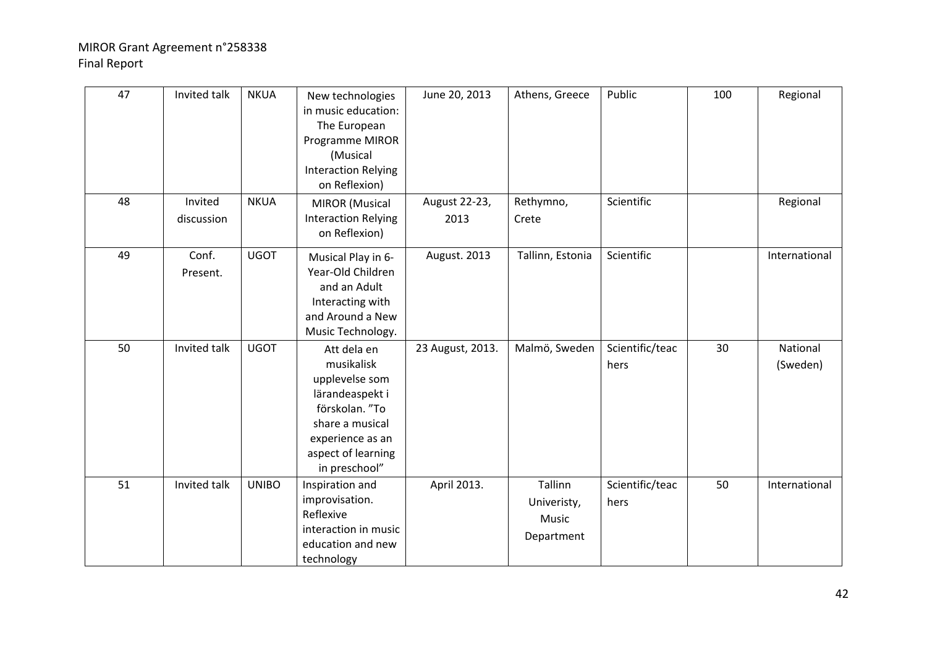| 47 | Invited talk          | <b>NKUA</b>  | New technologies<br>in music education:<br>The European<br>Programme MIROR<br>(Musical<br><b>Interaction Relying</b><br>on Reflexion)                          | June 20, 2013         | Athens, Greece                                | Public                  | 100 | Regional             |
|----|-----------------------|--------------|----------------------------------------------------------------------------------------------------------------------------------------------------------------|-----------------------|-----------------------------------------------|-------------------------|-----|----------------------|
| 48 | Invited<br>discussion | <b>NKUA</b>  | <b>MIROR</b> (Musical<br><b>Interaction Relying</b><br>on Reflexion)                                                                                           | August 22-23,<br>2013 | Rethymno,<br>Crete                            | Scientific              |     | Regional             |
| 49 | Conf.<br>Present.     | <b>UGOT</b>  | Musical Play in 6-<br>Year-Old Children<br>and an Adult<br>Interacting with<br>and Around a New<br>Music Technology.                                           | August. 2013          | Tallinn, Estonia                              | Scientific              |     | International        |
| 50 | Invited talk          | <b>UGOT</b>  | Att dela en<br>musikalisk<br>upplevelse som<br>lärandeaspekt i<br>förskolan. "To<br>share a musical<br>experience as an<br>aspect of learning<br>in preschool" | 23 August, 2013.      | Malmö, Sweden                                 | Scientific/teac<br>hers | 30  | National<br>(Sweden) |
| 51 | Invited talk          | <b>UNIBO</b> | Inspiration and<br>improvisation.<br>Reflexive<br>interaction in music<br>education and new<br>technology                                                      | April 2013.           | Tallinn<br>Univeristy,<br>Music<br>Department | Scientific/teac<br>hers | 50  | International        |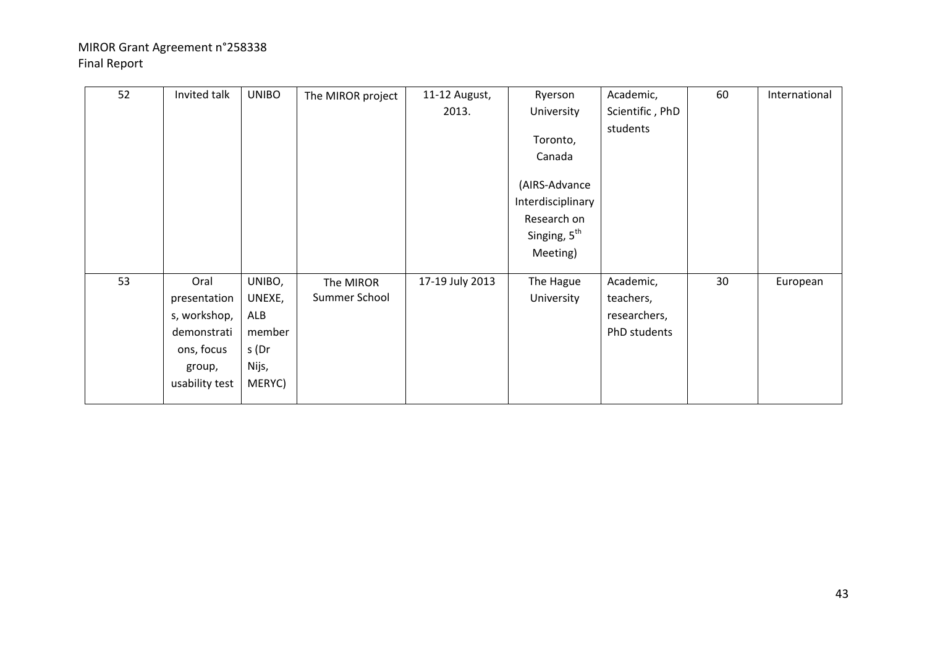| 52 | Invited talk   | <b>UNIBO</b> | The MIROR project | 11-12 August,   | Ryerson                  | Academic,       | 60 | International |
|----|----------------|--------------|-------------------|-----------------|--------------------------|-----------------|----|---------------|
|    |                |              |                   | 2013.           | University               | Scientific, PhD |    |               |
|    |                |              |                   |                 |                          | students        |    |               |
|    |                |              |                   |                 | Toronto,                 |                 |    |               |
|    |                |              |                   |                 | Canada                   |                 |    |               |
|    |                |              |                   |                 |                          |                 |    |               |
|    |                |              |                   |                 | (AIRS-Advance            |                 |    |               |
|    |                |              |                   |                 | Interdisciplinary        |                 |    |               |
|    |                |              |                   |                 | Research on              |                 |    |               |
|    |                |              |                   |                 | Singing, 5 <sup>th</sup> |                 |    |               |
|    |                |              |                   |                 | Meeting)                 |                 |    |               |
|    |                |              |                   |                 |                          |                 |    |               |
| 53 | Oral           | UNIBO,       | The MIROR         | 17-19 July 2013 | The Hague                | Academic,       | 30 | European      |
|    | presentation   | UNEXE,       | Summer School     |                 | University               | teachers,       |    |               |
|    | s, workshop,   | ALB          |                   |                 |                          | researchers,    |    |               |
|    | demonstrati    | member       |                   |                 |                          | PhD students    |    |               |
|    | ons, focus     | s (Dr        |                   |                 |                          |                 |    |               |
|    | group,         | Nijs,        |                   |                 |                          |                 |    |               |
|    | usability test | MERYC)       |                   |                 |                          |                 |    |               |
|    |                |              |                   |                 |                          |                 |    |               |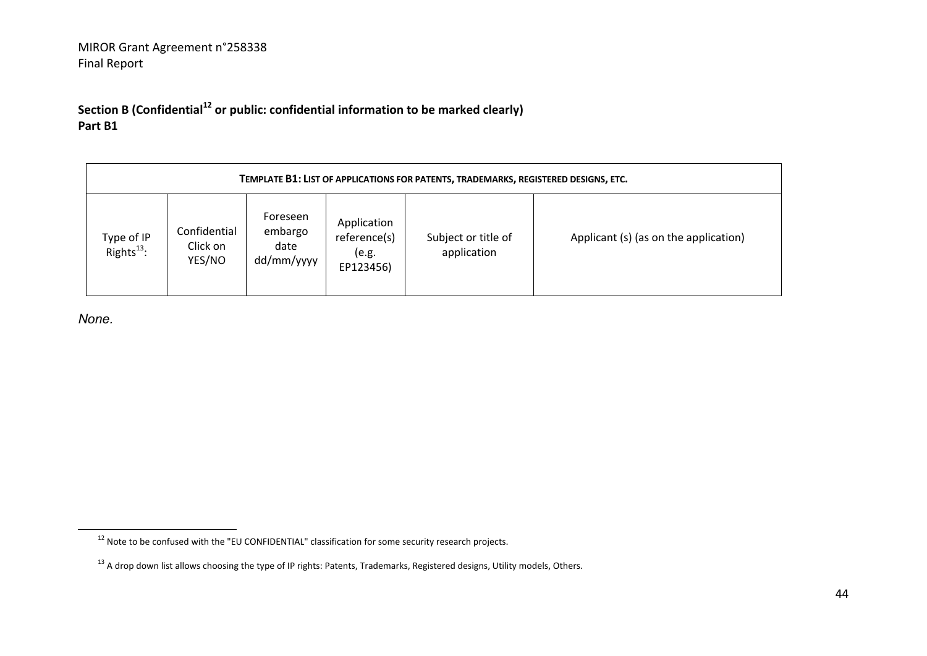**Section B (Confidential<sup>12</sup> or public: confidential information to be marked clearly) Part B1** 

|                                      | TEMPLATE B1: LIST OF APPLICATIONS FOR PATENTS, TRADEMARKS, REGISTERED DESIGNS, ETC. |                                           |                                                   |                                    |                                       |  |  |  |  |  |  |  |
|--------------------------------------|-------------------------------------------------------------------------------------|-------------------------------------------|---------------------------------------------------|------------------------------------|---------------------------------------|--|--|--|--|--|--|--|
| Type of IP<br>Rights <sup>13</sup> : | Confidential<br>Click on<br>YES/NO                                                  | Foreseen<br>embargo<br>date<br>dd/mm/yyyy | Application<br>reference(s)<br>(e.g.<br>EP123456) | Subject or title of<br>application | Applicant (s) (as on the application) |  |  |  |  |  |  |  |

*None.*

 $^{12}$  Note to be confused with the "EU CONFIDENTIAL" classification for some security research projects.

<sup>&</sup>lt;sup>13</sup> A drop down list allows choosing the type of IP rights: Patents, Trademarks, Registered designs, Utility models, Others.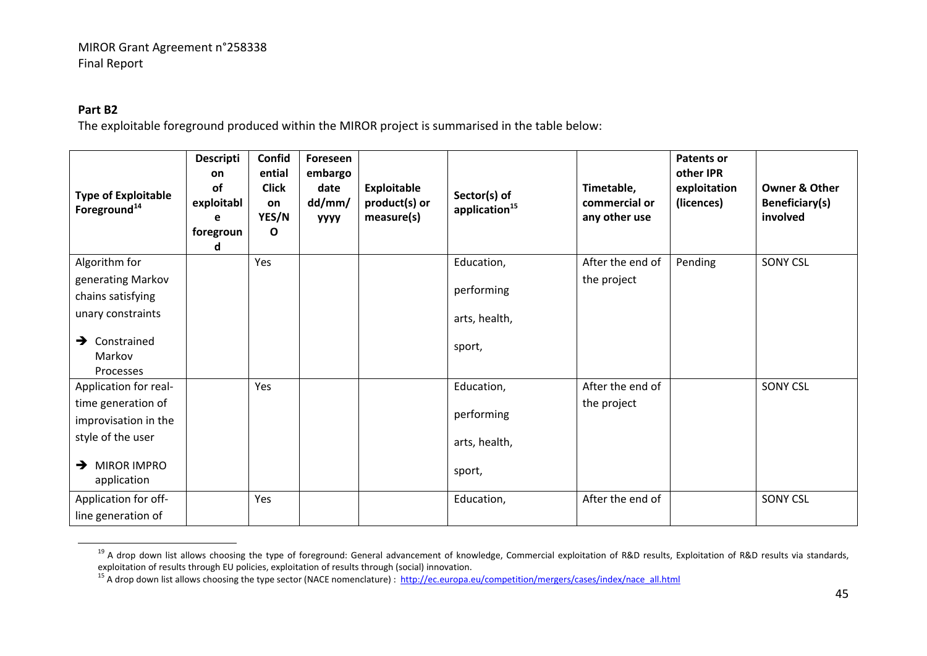#### **Part B2**

The exploitable foreground produced within the MIROR project is summarised in the table below:

| <b>Type of Exploitable</b><br>Foreground <sup>14</sup> | <b>Descripti</b><br><b>on</b><br>of<br>exploitabl<br>е<br>foregroun<br>d | Confid<br>ential<br><b>Click</b><br>on<br>YES/N<br>O | Foreseen<br>embargo<br>date<br>dd/mm/<br><b>YYYY</b> | <b>Exploitable</b><br>product(s) or<br>measure(s) | Sector(s) of<br>application <sup>15</sup> | Timetable,<br>commercial or<br>any other use | <b>Patents or</b><br>other IPR<br>exploitation<br>(licences) | <b>Owner &amp; Other</b><br>Beneficiary(s)<br>involved |
|--------------------------------------------------------|--------------------------------------------------------------------------|------------------------------------------------------|------------------------------------------------------|---------------------------------------------------|-------------------------------------------|----------------------------------------------|--------------------------------------------------------------|--------------------------------------------------------|
| Algorithm for                                          |                                                                          | Yes                                                  |                                                      |                                                   | Education,                                | After the end of                             | Pending                                                      | <b>SONY CSL</b>                                        |
| generating Markov                                      |                                                                          |                                                      |                                                      |                                                   |                                           | the project                                  |                                                              |                                                        |
| chains satisfying                                      |                                                                          |                                                      |                                                      |                                                   | performing                                |                                              |                                                              |                                                        |
| unary constraints                                      |                                                                          |                                                      |                                                      |                                                   | arts, health,                             |                                              |                                                              |                                                        |
| Constrained<br>→                                       |                                                                          |                                                      |                                                      |                                                   | sport,                                    |                                              |                                                              |                                                        |
| Markov                                                 |                                                                          |                                                      |                                                      |                                                   |                                           |                                              |                                                              |                                                        |
| Processes                                              |                                                                          |                                                      |                                                      |                                                   |                                           |                                              |                                                              |                                                        |
| Application for real-                                  |                                                                          | Yes                                                  |                                                      |                                                   | Education,                                | After the end of                             |                                                              | <b>SONY CSL</b>                                        |
| time generation of                                     |                                                                          |                                                      |                                                      |                                                   |                                           | the project                                  |                                                              |                                                        |
| improvisation in the                                   |                                                                          |                                                      |                                                      |                                                   | performing                                |                                              |                                                              |                                                        |
| style of the user                                      |                                                                          |                                                      |                                                      |                                                   | arts, health,                             |                                              |                                                              |                                                        |
| $\rightarrow$ MIROR IMPRO                              |                                                                          |                                                      |                                                      |                                                   | sport,                                    |                                              |                                                              |                                                        |
| application                                            |                                                                          |                                                      |                                                      |                                                   |                                           |                                              |                                                              |                                                        |
| Application for off-                                   |                                                                          | Yes                                                  |                                                      |                                                   | Education,                                | After the end of                             |                                                              | <b>SONY CSL</b>                                        |
| line generation of                                     |                                                                          |                                                      |                                                      |                                                   |                                           |                                              |                                                              |                                                        |

<sup>&</sup>lt;sup>19</sup> A drop down list allows choosing the type of foreground: General advancement of knowledge, Commercial exploitation of R&D results, Exploitation of R&D results via standards, exploitation of results through EU policies, exploitation of results through (social) innovation.

<sup>&</sup>lt;sup>15</sup> A drop down list allows choosing the type sector (NACE nomenclature) : http://ec.europa.eu/competition/mergers/cases/index/nace\_all.html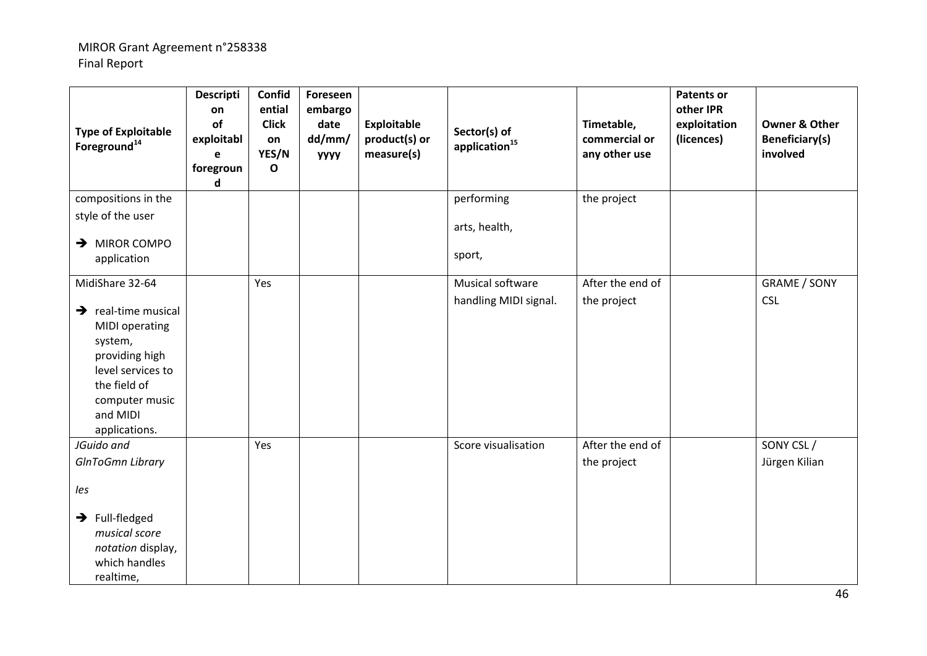| <b>Type of Exploitable</b><br>Foreground <sup>14</sup>                                                                                                                    | <b>Descripti</b><br>on<br>of<br>exploitabl<br>e<br>foregroun<br>d | Confid<br>ential<br><b>Click</b><br>on<br>YES/N<br>$\mathbf{o}$ | Foreseen<br>embargo<br>date<br>dd/mm/<br><b>УУУУ</b> | <b>Exploitable</b><br>product(s) or<br>measure(s) | Sector(s) of<br>application <sup>15</sup> | Timetable,<br>commercial or<br>any other use | <b>Patents or</b><br>other IPR<br>exploitation<br>(licences) | <b>Owner &amp; Other</b><br><b>Beneficiary(s)</b><br>involved |
|---------------------------------------------------------------------------------------------------------------------------------------------------------------------------|-------------------------------------------------------------------|-----------------------------------------------------------------|------------------------------------------------------|---------------------------------------------------|-------------------------------------------|----------------------------------------------|--------------------------------------------------------------|---------------------------------------------------------------|
| compositions in the                                                                                                                                                       |                                                                   |                                                                 |                                                      |                                                   | performing                                | the project                                  |                                                              |                                                               |
| style of the user                                                                                                                                                         |                                                                   |                                                                 |                                                      |                                                   | arts, health,                             |                                              |                                                              |                                                               |
| $\rightarrow$ MIROR COMPO                                                                                                                                                 |                                                                   |                                                                 |                                                      |                                                   |                                           |                                              |                                                              |                                                               |
| application                                                                                                                                                               |                                                                   |                                                                 |                                                      |                                                   | sport,                                    |                                              |                                                              |                                                               |
| MidiShare 32-64                                                                                                                                                           |                                                                   | Yes                                                             |                                                      |                                                   | Musical software                          | After the end of                             |                                                              | <b>GRAME / SONY</b>                                           |
| $\rightarrow$ real-time musical<br><b>MIDI</b> operating<br>system,<br>providing high<br>level services to<br>the field of<br>computer music<br>and MIDI<br>applications. |                                                                   |                                                                 |                                                      |                                                   | handling MIDI signal.                     | the project                                  |                                                              | <b>CSL</b>                                                    |
| JGuido and                                                                                                                                                                |                                                                   | Yes                                                             |                                                      |                                                   | Score visualisation                       | After the end of                             |                                                              | SONY CSL/                                                     |
| <b>GInToGmn Library</b>                                                                                                                                                   |                                                                   |                                                                 |                                                      |                                                   |                                           | the project                                  |                                                              | Jürgen Kilian                                                 |
| les                                                                                                                                                                       |                                                                   |                                                                 |                                                      |                                                   |                                           |                                              |                                                              |                                                               |
| $\rightarrow$ Full-fledged<br>musical score<br>notation display,<br>which handles<br>realtime,                                                                            |                                                                   |                                                                 |                                                      |                                                   |                                           |                                              |                                                              |                                                               |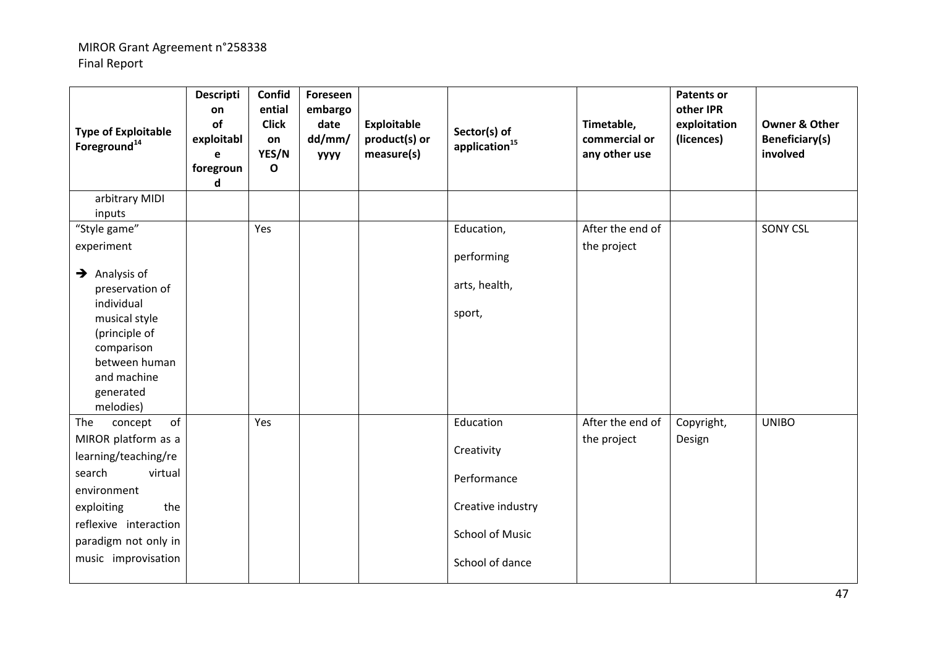| <b>Type of Exploitable</b><br>Foreground <sup>14</sup>                                                                                                                                               | <b>Descripti</b><br>on<br>of<br>exploitabl<br>e<br>foregroun<br>d | Confid<br>ential<br><b>Click</b><br>on<br>YES/N<br>$\mathbf{o}$ | Foreseen<br>embargo<br>date<br>dd/mm/<br><b>YYYY</b> | <b>Exploitable</b><br>product(s) or<br>measure(s) | Sector(s) of<br>application <sup>15</sup>                                                                | Timetable,<br>commercial or<br>any other use | <b>Patents or</b><br>other IPR<br>exploitation<br>(licences) | <b>Owner &amp; Other</b><br>Beneficiary(s)<br>involved |
|------------------------------------------------------------------------------------------------------------------------------------------------------------------------------------------------------|-------------------------------------------------------------------|-----------------------------------------------------------------|------------------------------------------------------|---------------------------------------------------|----------------------------------------------------------------------------------------------------------|----------------------------------------------|--------------------------------------------------------------|--------------------------------------------------------|
| arbitrary MIDI<br>inputs                                                                                                                                                                             |                                                                   |                                                                 |                                                      |                                                   |                                                                                                          |                                              |                                                              |                                                        |
| "Style game"<br>experiment<br>$\rightarrow$ Analysis of<br>preservation of<br>individual<br>musical style<br>(principle of<br>comparison<br>between human<br>and machine<br>generated<br>melodies)   |                                                                   | Yes                                                             |                                                      |                                                   | Education,<br>performing<br>arts, health,<br>sport,                                                      | After the end of<br>the project              |                                                              | <b>SONY CSL</b>                                        |
| of<br>The<br>concept<br>MIROR platform as a<br>learning/teaching/re<br>search<br>virtual<br>environment<br>the<br>exploiting<br>reflexive interaction<br>paradigm not only in<br>music improvisation |                                                                   | Yes                                                             |                                                      |                                                   | Education<br>Creativity<br>Performance<br>Creative industry<br><b>School of Music</b><br>School of dance | After the end of<br>the project              | Copyright,<br>Design                                         | <b>UNIBO</b>                                           |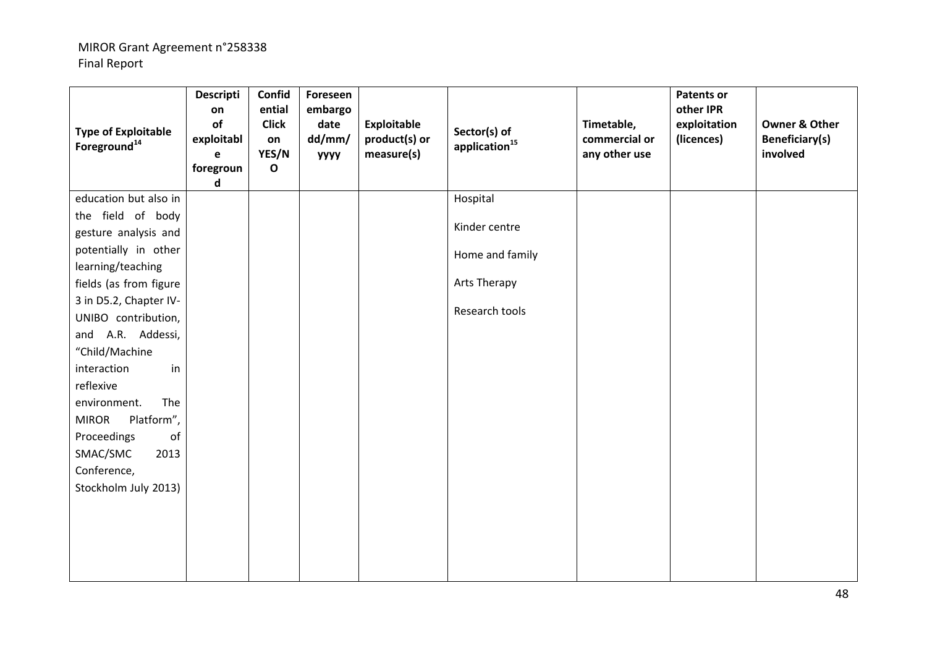| <b>Type of Exploitable</b><br>Foreground <sup>14</sup> | <b>Descripti</b><br>on<br>of<br>exploitabl<br>e<br>foregroun<br>$\mathsf{d}$ | Confid<br>ential<br><b>Click</b><br>on<br>YES/N<br>$\mathbf{o}$ | Foreseen<br>embargo<br>date<br>dd/mm/<br><b>YYYY</b> | <b>Exploitable</b><br>product(s) or<br>measure(s) | Sector(s) of<br>application <sup>15</sup> | Timetable,<br>commercial or<br>any other use | <b>Patents or</b><br>other IPR<br>exploitation<br>(licences) | <b>Owner &amp; Other</b><br>Beneficiary(s)<br>involved |
|--------------------------------------------------------|------------------------------------------------------------------------------|-----------------------------------------------------------------|------------------------------------------------------|---------------------------------------------------|-------------------------------------------|----------------------------------------------|--------------------------------------------------------------|--------------------------------------------------------|
| education but also in                                  |                                                                              |                                                                 |                                                      |                                                   | Hospital                                  |                                              |                                                              |                                                        |
| the field of body                                      |                                                                              |                                                                 |                                                      |                                                   |                                           |                                              |                                                              |                                                        |
| gesture analysis and                                   |                                                                              |                                                                 |                                                      |                                                   | Kinder centre                             |                                              |                                                              |                                                        |
| potentially in other                                   |                                                                              |                                                                 |                                                      |                                                   | Home and family                           |                                              |                                                              |                                                        |
| learning/teaching                                      |                                                                              |                                                                 |                                                      |                                                   |                                           |                                              |                                                              |                                                        |
| fields (as from figure                                 |                                                                              |                                                                 |                                                      |                                                   | Arts Therapy                              |                                              |                                                              |                                                        |
| 3 in D5.2, Chapter IV-                                 |                                                                              |                                                                 |                                                      |                                                   | Research tools                            |                                              |                                                              |                                                        |
| UNIBO contribution,                                    |                                                                              |                                                                 |                                                      |                                                   |                                           |                                              |                                                              |                                                        |
| and A.R. Addessi,                                      |                                                                              |                                                                 |                                                      |                                                   |                                           |                                              |                                                              |                                                        |
| "Child/Machine                                         |                                                                              |                                                                 |                                                      |                                                   |                                           |                                              |                                                              |                                                        |
| interaction<br>in                                      |                                                                              |                                                                 |                                                      |                                                   |                                           |                                              |                                                              |                                                        |
| reflexive                                              |                                                                              |                                                                 |                                                      |                                                   |                                           |                                              |                                                              |                                                        |
| The<br>environment.                                    |                                                                              |                                                                 |                                                      |                                                   |                                           |                                              |                                                              |                                                        |
| Platform",<br><b>MIROR</b>                             |                                                                              |                                                                 |                                                      |                                                   |                                           |                                              |                                                              |                                                        |
| of<br>Proceedings                                      |                                                                              |                                                                 |                                                      |                                                   |                                           |                                              |                                                              |                                                        |
| SMAC/SMC<br>2013                                       |                                                                              |                                                                 |                                                      |                                                   |                                           |                                              |                                                              |                                                        |
| Conference,                                            |                                                                              |                                                                 |                                                      |                                                   |                                           |                                              |                                                              |                                                        |
| Stockholm July 2013)                                   |                                                                              |                                                                 |                                                      |                                                   |                                           |                                              |                                                              |                                                        |
|                                                        |                                                                              |                                                                 |                                                      |                                                   |                                           |                                              |                                                              |                                                        |
|                                                        |                                                                              |                                                                 |                                                      |                                                   |                                           |                                              |                                                              |                                                        |
|                                                        |                                                                              |                                                                 |                                                      |                                                   |                                           |                                              |                                                              |                                                        |
|                                                        |                                                                              |                                                                 |                                                      |                                                   |                                           |                                              |                                                              |                                                        |
|                                                        |                                                                              |                                                                 |                                                      |                                                   |                                           |                                              |                                                              |                                                        |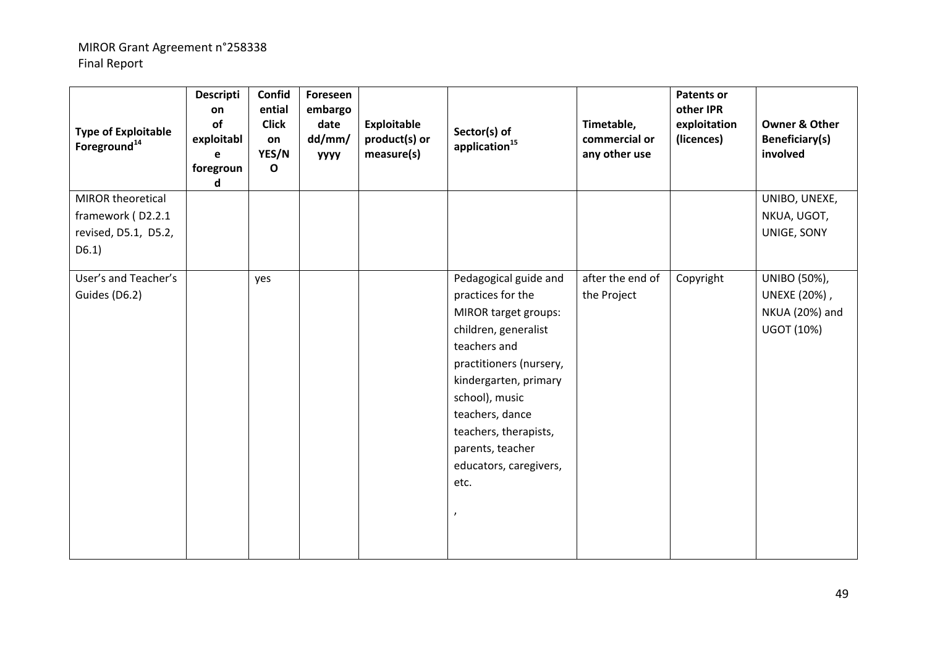| <b>Type of Exploitable</b><br>Foreground <sup>14</sup> | Descripti<br>on<br>of<br>exploitabl<br>e<br>foregroun<br>d | Confid<br>ential<br><b>Click</b><br>on<br>YES/N<br>$\mathbf{o}$ | Foreseen<br>embargo<br>date<br>dd/mm/<br><b>УУУУ</b> | <b>Exploitable</b><br>product(s) or<br>measure(s) | Sector(s) of<br>application <sup>15</sup> | Timetable,<br>commercial or<br>any other use | <b>Patents or</b><br>other IPR<br>exploitation<br>(licences) | <b>Owner &amp; Other</b><br>Beneficiary(s)<br>involved |
|--------------------------------------------------------|------------------------------------------------------------|-----------------------------------------------------------------|------------------------------------------------------|---------------------------------------------------|-------------------------------------------|----------------------------------------------|--------------------------------------------------------------|--------------------------------------------------------|
| MIROR theoretical                                      |                                                            |                                                                 |                                                      |                                                   |                                           |                                              |                                                              | UNIBO, UNEXE,                                          |
| framework (D2.2.1                                      |                                                            |                                                                 |                                                      |                                                   |                                           |                                              |                                                              | NKUA, UGOT,                                            |
| revised, D5.1, D5.2,                                   |                                                            |                                                                 |                                                      |                                                   |                                           |                                              |                                                              | UNIGE, SONY                                            |
| D6.1)                                                  |                                                            |                                                                 |                                                      |                                                   |                                           |                                              |                                                              |                                                        |
| User's and Teacher's                                   |                                                            | yes                                                             |                                                      |                                                   | Pedagogical guide and                     | after the end of                             | Copyright                                                    | UNIBO (50%),                                           |
| Guides (D6.2)                                          |                                                            |                                                                 |                                                      |                                                   | practices for the                         | the Project                                  |                                                              | UNEXE (20%),                                           |
|                                                        |                                                            |                                                                 |                                                      |                                                   | MIROR target groups:                      |                                              |                                                              | NKUA (20%) and                                         |
|                                                        |                                                            |                                                                 |                                                      |                                                   | children, generalist                      |                                              |                                                              | UGOT (10%)                                             |
|                                                        |                                                            |                                                                 |                                                      |                                                   | teachers and                              |                                              |                                                              |                                                        |
|                                                        |                                                            |                                                                 |                                                      |                                                   | practitioners (nursery,                   |                                              |                                                              |                                                        |
|                                                        |                                                            |                                                                 |                                                      |                                                   | kindergarten, primary                     |                                              |                                                              |                                                        |
|                                                        |                                                            |                                                                 |                                                      |                                                   | school), music                            |                                              |                                                              |                                                        |
|                                                        |                                                            |                                                                 |                                                      |                                                   | teachers, dance                           |                                              |                                                              |                                                        |
|                                                        |                                                            |                                                                 |                                                      |                                                   | teachers, therapists,                     |                                              |                                                              |                                                        |
|                                                        |                                                            |                                                                 |                                                      |                                                   | parents, teacher                          |                                              |                                                              |                                                        |
|                                                        |                                                            |                                                                 |                                                      |                                                   | educators, caregivers,                    |                                              |                                                              |                                                        |
|                                                        |                                                            |                                                                 |                                                      |                                                   | etc.                                      |                                              |                                                              |                                                        |
|                                                        |                                                            |                                                                 |                                                      |                                                   |                                           |                                              |                                                              |                                                        |
|                                                        |                                                            |                                                                 |                                                      |                                                   |                                           |                                              |                                                              |                                                        |
|                                                        |                                                            |                                                                 |                                                      |                                                   |                                           |                                              |                                                              |                                                        |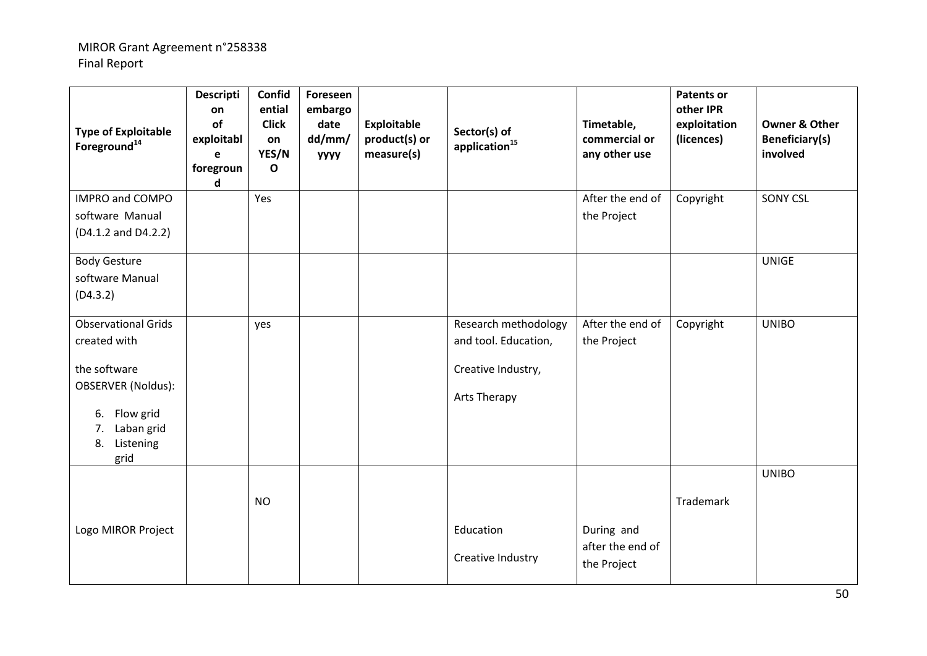| <b>Type of Exploitable</b><br>Foreground <sup>14</sup>                                                                                                 | <b>Descripti</b><br>on<br>of<br>exploitabl<br>e<br>foregroun<br>d | Confid<br>ential<br><b>Click</b><br>on<br>YES/N<br>$\mathbf{o}$ | Foreseen<br>embargo<br>date<br>dd/mm/<br><b>УУУУ</b> | <b>Exploitable</b><br>product(s) or<br>measure(s) | Sector(s) of<br>application <sup>15</sup>                                          | Timetable,<br>commercial or<br>any other use  | <b>Patents or</b><br>other IPR<br>exploitation<br>(licences) | <b>Owner &amp; Other</b><br><b>Beneficiary(s)</b><br>involved |
|--------------------------------------------------------------------------------------------------------------------------------------------------------|-------------------------------------------------------------------|-----------------------------------------------------------------|------------------------------------------------------|---------------------------------------------------|------------------------------------------------------------------------------------|-----------------------------------------------|--------------------------------------------------------------|---------------------------------------------------------------|
| IMPRO and COMPO<br>software Manual<br>(D4.1.2 and D4.2.2)                                                                                              |                                                                   | Yes                                                             |                                                      |                                                   |                                                                                    | After the end of<br>the Project               | Copyright                                                    | <b>SONY CSL</b>                                               |
| <b>Body Gesture</b><br>software Manual<br>(D4.3.2)                                                                                                     |                                                                   |                                                                 |                                                      |                                                   |                                                                                    |                                               |                                                              | <b>UNIGE</b>                                                  |
| <b>Observational Grids</b><br>created with<br>the software<br><b>OBSERVER (Noldus):</b><br>6. Flow grid<br>Laban grid<br>7.<br>Listening<br>8.<br>grid |                                                                   | yes                                                             |                                                      |                                                   | Research methodology<br>and tool. Education,<br>Creative Industry,<br>Arts Therapy | After the end of<br>the Project               | Copyright                                                    | <b>UNIBO</b>                                                  |
| Logo MIROR Project                                                                                                                                     |                                                                   | <b>NO</b>                                                       |                                                      |                                                   | Education<br>Creative Industry                                                     | During and<br>after the end of<br>the Project | Trademark                                                    | <b>UNIBO</b>                                                  |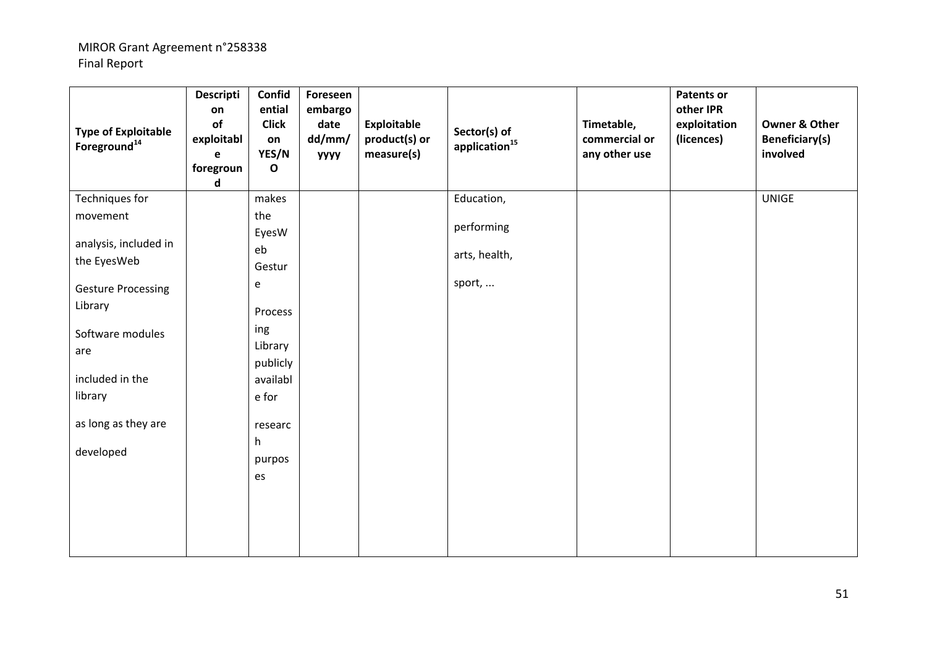| <b>Type of Exploitable</b><br>Foreground <sup>14</sup> | <b>Descripti</b><br>on<br>of<br>exploitabl<br>$\mathbf e$<br>foregroun<br>d | Confid<br>ential<br><b>Click</b><br>on<br>YES/N<br>$\mathbf{o}$ | Foreseen<br>embargo<br>date<br>dd/mm/<br><b>УУУУ</b> | Exploitable<br>product(s) or<br>measure(s) | Sector(s) of<br>application $^{15}$ | Timetable,<br>commercial or<br>any other use | <b>Patents or</b><br>other IPR<br>exploitation<br>(licences) | <b>Owner &amp; Other</b><br><b>Beneficiary(s)</b><br>involved |
|--------------------------------------------------------|-----------------------------------------------------------------------------|-----------------------------------------------------------------|------------------------------------------------------|--------------------------------------------|-------------------------------------|----------------------------------------------|--------------------------------------------------------------|---------------------------------------------------------------|
| Techniques for                                         |                                                                             | makes                                                           |                                                      |                                            | Education,                          |                                              |                                                              | <b>UNIGE</b>                                                  |
| movement                                               |                                                                             | the<br>EyesW                                                    |                                                      |                                            | performing                          |                                              |                                                              |                                                               |
| analysis, included in<br>the EyesWeb                   |                                                                             | eb<br>Gestur                                                    |                                                      |                                            | arts, health,                       |                                              |                                                              |                                                               |
| <b>Gesture Processing</b>                              |                                                                             | e                                                               |                                                      |                                            | sport,                              |                                              |                                                              |                                                               |
| Library                                                |                                                                             | Process                                                         |                                                      |                                            |                                     |                                              |                                                              |                                                               |
| Software modules<br>are                                |                                                                             | ing<br>Library                                                  |                                                      |                                            |                                     |                                              |                                                              |                                                               |
| included in the<br>library                             |                                                                             | publicly<br>availabl<br>e for                                   |                                                      |                                            |                                     |                                              |                                                              |                                                               |
| as long as they are                                    |                                                                             | researc                                                         |                                                      |                                            |                                     |                                              |                                                              |                                                               |
| developed                                              |                                                                             | h<br>purpos                                                     |                                                      |                                            |                                     |                                              |                                                              |                                                               |
|                                                        |                                                                             | es                                                              |                                                      |                                            |                                     |                                              |                                                              |                                                               |
|                                                        |                                                                             |                                                                 |                                                      |                                            |                                     |                                              |                                                              |                                                               |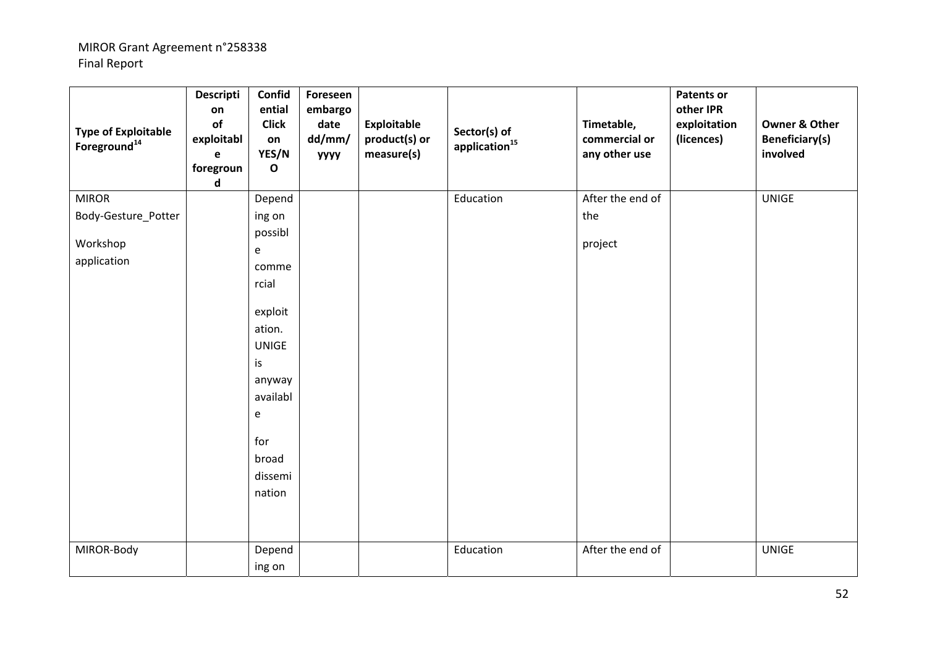| <b>Type of Exploitable</b><br>Foreground <sup>14</sup> | Descripti<br>on<br>of<br>exploitabl<br>e<br>foregroun<br>d | Confid<br>ential<br><b>Click</b><br>on<br>YES/N<br>$\mathbf{o}$                                         | Foreseen<br>embargo<br>date<br>dd/mm/<br><b>УУУУ</b> | <b>Exploitable</b><br>product(s) or<br>measure(s) | Sector(s) of<br>application <sup>15</sup> | Timetable,<br>commercial or<br>any other use | <b>Patents or</b><br>other IPR<br>exploitation<br>(licences) | <b>Owner &amp; Other</b><br><b>Beneficiary(s)</b><br>involved |
|--------------------------------------------------------|------------------------------------------------------------|---------------------------------------------------------------------------------------------------------|------------------------------------------------------|---------------------------------------------------|-------------------------------------------|----------------------------------------------|--------------------------------------------------------------|---------------------------------------------------------------|
| <b>MIROR</b>                                           |                                                            | Depend                                                                                                  |                                                      |                                                   | Education                                 | After the end of                             |                                                              | <b>UNIGE</b>                                                  |
| Body-Gesture_Potter                                    |                                                            | ing on                                                                                                  |                                                      |                                                   |                                           | the                                          |                                                              |                                                               |
|                                                        |                                                            | possibl                                                                                                 |                                                      |                                                   |                                           |                                              |                                                              |                                                               |
| Workshop                                               |                                                            | e                                                                                                       |                                                      |                                                   |                                           | project                                      |                                                              |                                                               |
| application                                            |                                                            | comme                                                                                                   |                                                      |                                                   |                                           |                                              |                                                              |                                                               |
|                                                        |                                                            | rcial                                                                                                   |                                                      |                                                   |                                           |                                              |                                                              |                                                               |
|                                                        |                                                            | exploit<br>ation.<br><b>UNIGE</b><br>is<br>anyway<br>availabl<br>e<br>for<br>broad<br>dissemi<br>nation |                                                      |                                                   |                                           |                                              |                                                              |                                                               |
| MIROR-Body                                             |                                                            | Depend                                                                                                  |                                                      |                                                   | Education                                 | After the end of                             |                                                              | <b>UNIGE</b>                                                  |
|                                                        |                                                            | ing on                                                                                                  |                                                      |                                                   |                                           |                                              |                                                              |                                                               |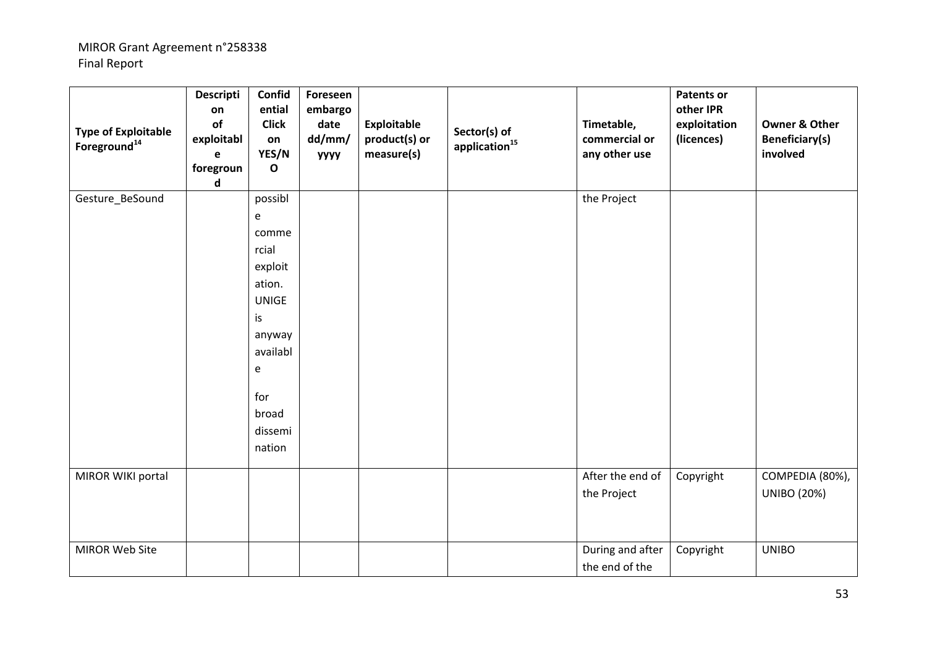| <b>Type of Exploitable</b><br>Foreground <sup>14</sup> | Descripti<br>on<br>of<br>exploitabl<br>e<br>foregroun<br>$\operatorname{\mathsf{d}}$ | Confid<br>ential<br><b>Click</b><br>on<br>YES/N<br>$\mathbf{o}$                                                                           | Foreseen<br>embargo<br>date<br>dd/mm/<br><b>УУУУ</b> | <b>Exploitable</b><br>product(s) or<br>measure(s) | Sector(s) of<br>application <sup>15</sup> | Timetable,<br>commercial or<br>any other use | <b>Patents or</b><br>other IPR<br>exploitation<br>(licences) | <b>Owner &amp; Other</b><br><b>Beneficiary(s)</b><br>involved |
|--------------------------------------------------------|--------------------------------------------------------------------------------------|-------------------------------------------------------------------------------------------------------------------------------------------|------------------------------------------------------|---------------------------------------------------|-------------------------------------------|----------------------------------------------|--------------------------------------------------------------|---------------------------------------------------------------|
| Gesture_BeSound                                        |                                                                                      | possibl<br>e<br>comme<br>rcial<br>exploit<br>ation.<br><b>UNIGE</b><br>is<br>anyway<br>availabl<br>e<br>for<br>broad<br>dissemi<br>nation |                                                      |                                                   |                                           | the Project                                  |                                                              |                                                               |
| MIROR WIKI portal                                      |                                                                                      |                                                                                                                                           |                                                      |                                                   |                                           | After the end of<br>the Project              | Copyright                                                    | COMPEDIA (80%),<br><b>UNIBO (20%)</b>                         |
| MIROR Web Site                                         |                                                                                      |                                                                                                                                           |                                                      |                                                   |                                           | During and after<br>the end of the           | Copyright                                                    | <b>UNIBO</b>                                                  |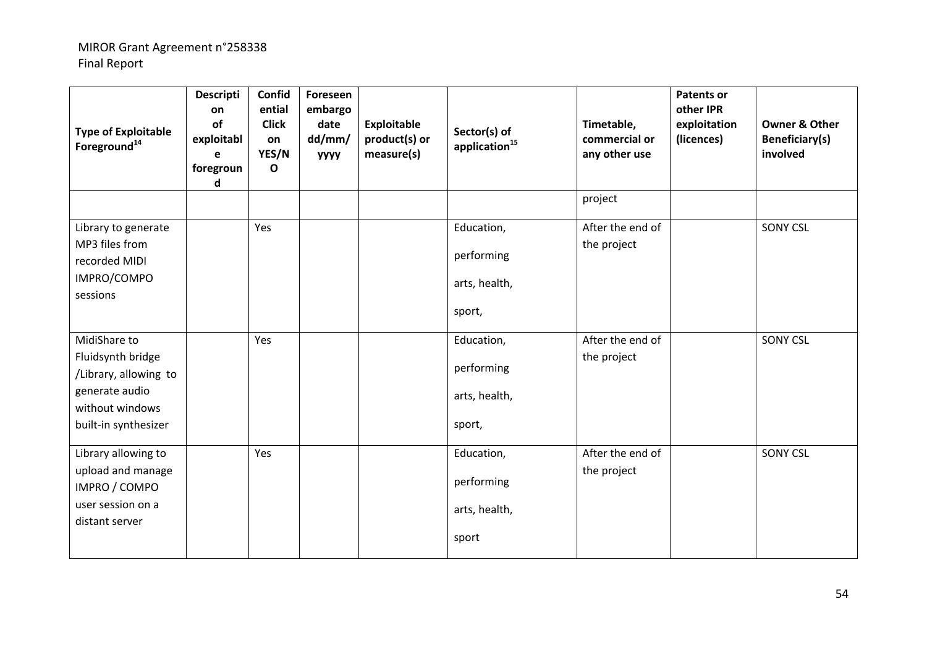| <b>Type of Exploitable</b><br>Foreground <sup>14</sup>                                                                  | <b>Descripti</b><br>on<br>of<br>exploitabl<br>e<br>foregroun<br>d | Confid<br>ential<br><b>Click</b><br>on<br>YES/N<br>$\mathbf{o}$ | Foreseen<br>embargo<br>date<br>dd/mm/<br><b>YYYY</b> | <b>Exploitable</b><br>product(s) or<br>measure(s) | Sector(s) of<br>application <sup>15</sup>           | Timetable,<br>commercial or<br>any other use | <b>Patents or</b><br>other IPR<br>exploitation<br>(licences) | <b>Owner &amp; Other</b><br><b>Beneficiary(s)</b><br>involved |
|-------------------------------------------------------------------------------------------------------------------------|-------------------------------------------------------------------|-----------------------------------------------------------------|------------------------------------------------------|---------------------------------------------------|-----------------------------------------------------|----------------------------------------------|--------------------------------------------------------------|---------------------------------------------------------------|
|                                                                                                                         |                                                                   |                                                                 |                                                      |                                                   |                                                     | project                                      |                                                              |                                                               |
| Library to generate<br>MP3 files from<br>recorded MIDI<br>IMPRO/COMPO<br>sessions                                       |                                                                   | Yes                                                             |                                                      |                                                   | Education,<br>performing<br>arts, health,<br>sport, | After the end of<br>the project              |                                                              | <b>SONY CSL</b>                                               |
| MidiShare to<br>Fluidsynth bridge<br>/Library, allowing to<br>generate audio<br>without windows<br>built-in synthesizer |                                                                   | Yes                                                             |                                                      |                                                   | Education,<br>performing<br>arts, health,<br>sport, | After the end of<br>the project              |                                                              | <b>SONY CSL</b>                                               |
| Library allowing to<br>upload and manage<br>IMPRO / COMPO<br>user session on a<br>distant server                        |                                                                   | Yes                                                             |                                                      |                                                   | Education,<br>performing<br>arts, health,<br>sport  | After the end of<br>the project              |                                                              | <b>SONY CSL</b>                                               |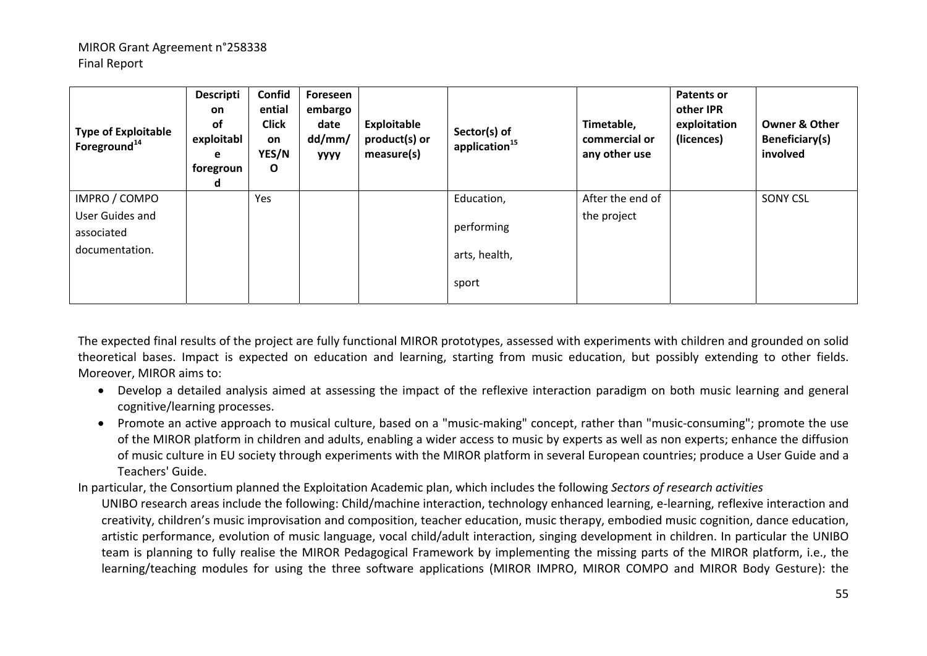| <b>Type of Exploitable</b><br>Foreground <sup>14</sup>           | <b>Descripti</b><br><b>on</b><br><b>of</b><br>exploitabl<br>e<br>foregroun<br>d | Confid<br>ential<br><b>Click</b><br>on<br>YES/N<br>$\mathbf{o}$ | Foreseen<br>embargo<br>date<br>dd/mm/<br><b>YYYY</b> | Exploitable<br>product(s) or<br>measure(s) | Sector(s) of<br>application <sup>15</sup>          | Timetable,<br>commercial or<br>any other use | Patents or<br>other IPR<br>exploitation<br>(licences) | <b>Owner &amp; Other</b><br>Beneficiary(s)<br>involved |
|------------------------------------------------------------------|---------------------------------------------------------------------------------|-----------------------------------------------------------------|------------------------------------------------------|--------------------------------------------|----------------------------------------------------|----------------------------------------------|-------------------------------------------------------|--------------------------------------------------------|
| IMPRO / COMPO<br>User Guides and<br>associated<br>documentation. |                                                                                 | Yes                                                             |                                                      |                                            | Education,<br>performing<br>arts, health,<br>sport | After the end of<br>the project              |                                                       | <b>SONY CSL</b>                                        |

The expected final results of the project are fully functional MIROR prototypes, assessed with experiments with children and grounded on solid theoretical bases. Impact is expected on education and learning, starting from music education, but possibly extending to other fields. Moreover, MIROR aims to:

- Develop a detailed analysis aimed at assessing the impact of the reflexive interaction paradigm on both music learning and general cognitive/learning processes.
- Promote an active approach to musical culture, based on a "music‐making" concept, rather than "music‐consuming"; promote the use of the MIROR platform in children and adults, enabling a wider access to music by experts as well as non experts; enhance the diffusion of music culture in EU society through experiments with the MIROR platform in several European countries; produce a User Guide and a Teachers' Guide.

In particular, the Consortium planned the Exploitation Academic plan, which includes the following *Sectors of research activities*

UNIBO research areas include the following: Child/machine interaction, technology enhanced learning, e‐learning, reflexive interaction and creativity, children's music improvisation and composition, teacher education, music therapy, embodied music cognition, dance education, artistic performance, evolution of music language, vocal child/adult interaction, singing development in children. In particular the UNIBO team is planning to fully realise the MIROR Pedagogical Framework by implementing the missing parts of the MIROR platform, i.e., the learning/teaching modules for using the three software applications (MIROR IMPRO, MIROR COMPO and MIROR Body Gesture): the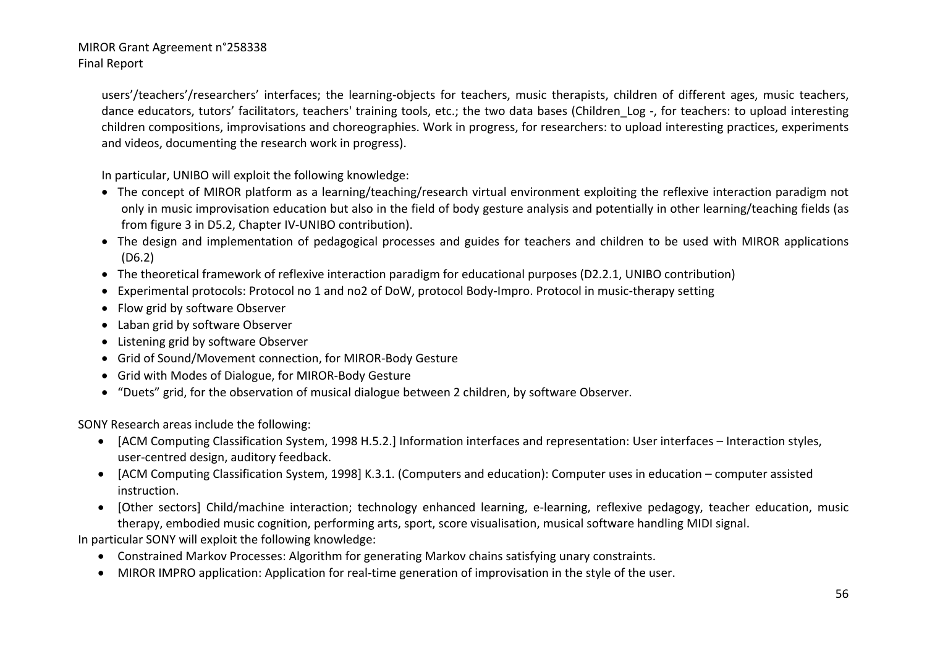users'/teachers'/researchers' interfaces; the learning‐objects for teachers, music therapists, children of different ages, music teachers, dance educators, tutors' facilitators, teachers' training tools, etc.; the two data bases (Children\_Log ‐, for teachers: to upload interesting children compositions, improvisations and choreographies. Work in progress, for researchers: to upload interesting practices, experiments and videos, documenting the research work in progress).

In particular, UNIBO will exploit the following knowledge:

- The concept of MIROR platform as a learning/teaching/research virtual environment exploiting the reflexive interaction paradigm not only in music improvisation education but also in the field of body gesture analysis and potentially in other learning/teaching fields (as from figure 3 in D5.2, Chapter IV-UNIBO contribution).
- The design and implementation of pedagogical processes and guides for teachers and children to be used with MIROR applications (D6.2)
- The theoretical framework of reflexive interaction paradigm for educational purposes (D2.2.1, UNIBO contribution)
- Experimental protocols: Protocol no 1 and no2 of DoW, protocol Body‐Impro. Protocol in music‐therapy setting
- Flow grid by software Observer
- Laban grid by software Observer
- Listening grid by software Observer
- Grid of Sound/Movement connection, for MIROR‐Body Gesture
- Grid with Modes of Dialogue, for MIROR‐Body Gesture
- "Duets" grid, for the observation of musical dialogue between 2 children, by software Observer.

SONY Research areas include the following:

- [ACM Computing Classification System, 1998 H.5.2.] Information interfaces and representation: User interfaces Interaction styles, user‐centred design, auditory feedback.
- [ACM Computing Classification System, 1998] K.3.1. (Computers and education): Computer uses in education computer assisted instruction.
- [Other sectors] Child/machine interaction; technology enhanced learning, e‐learning, reflexive pedagogy, teacher education, music therapy, embodied music cognition, performing arts, sport, score visualisation, musical software handling MIDI signal.

In particular SONY will exploit the following knowledge:

- Constrained Markov Processes: Algorithm for generating Markov chains satisfying unary constraints.
- MIROR IMPRO application: Application for real-time generation of improvisation in the style of the user.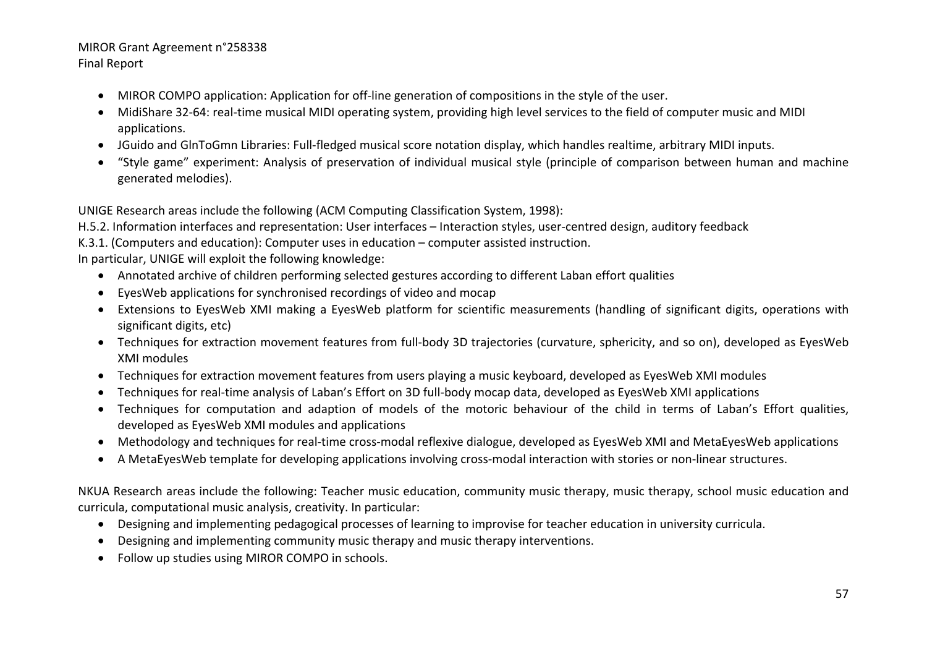- MIROR COMPO application: Application for off-line generation of compositions in the style of the user.
- MidiShare 32‐64: real‐time musical MIDI operating system, providing high level services to the field of computer music and MIDI applications.
- JGuido and GlnToGmn Libraries: Full‐fledged musical score notation display, which handles realtime, arbitrary MIDI inputs.
- "Style game" experiment: Analysis of preservation of individual musical style (principle of comparison between human and machine generated melodies).

UNIGE Research areas include the following (ACM Computing Classification System, 1998):

H.5.2. Information interfaces and representation: User interfaces – Interaction styles, user‐centred design, auditory feedback

K.3.1. (Computers and education): Computer uses in education – computer assisted instruction.

In particular, UNIGE will exploit the following knowledge:

- Annotated archive of children performing selected gestures according to different Laban effort qualities
- EyesWeb applications for synchronised recordings of video and mocap
- Extensions to EyesWeb XMI making a EyesWeb platform for scientific measurements (handling of significant digits, operations with significant digits, etc)
- Techniques for extraction movement features from full‐body 3D trajectories (curvature, sphericity, and so on), developed as EyesWeb XMI modules
- Techniques for extraction movement features from users playing a music keyboard, developed as EyesWeb XMI modules
- Techniques for real‐time analysis of Laban's Effort on 3D full‐body mocap data, developed as EyesWeb XMI applications
- Techniques for computation and adaption of models of the motoric behaviour of the child in terms of Laban's Effort qualities, developed as EyesWeb XMI modules and applications
- Methodology and techniques for real‐time cross‐modal reflexive dialogue, developed as EyesWeb XMI and MetaEyesWeb applications
- A MetaEyesWeb template for developing applications involving cross‐modal interaction with stories or non‐linear structures.

NKUA Research areas include the following: Teacher music education, community music therapy, music therapy, school music education and curricula, computational music analysis, creativity. In particular:

- Designing and implementing pedagogical processes of learning to improvise for teacher education in university curricula.
- Designing and implementing community music therapy and music therapy interventions.
- Follow up studies using MIROR COMPO in schools.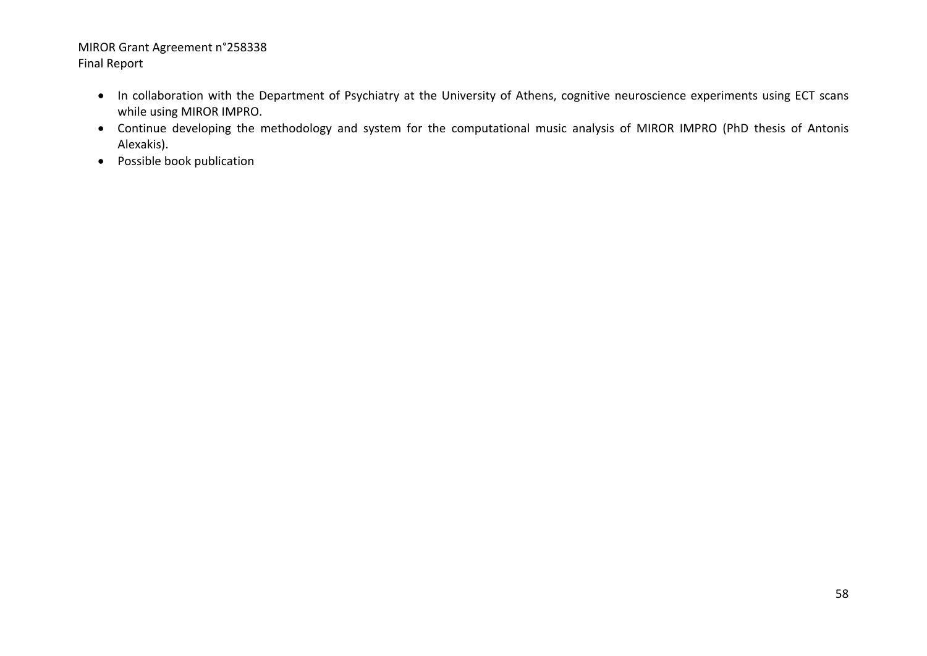- In collaboration with the Department of Psychiatry at the University of Athens, cognitive neuroscience experiments using ECT scans while using MIROR IMPRO.
- Continue developing the methodology and system for the computational music analysis of MIROR IMPRO (PhD thesis of Antonis Alexakis).
- Possible book publication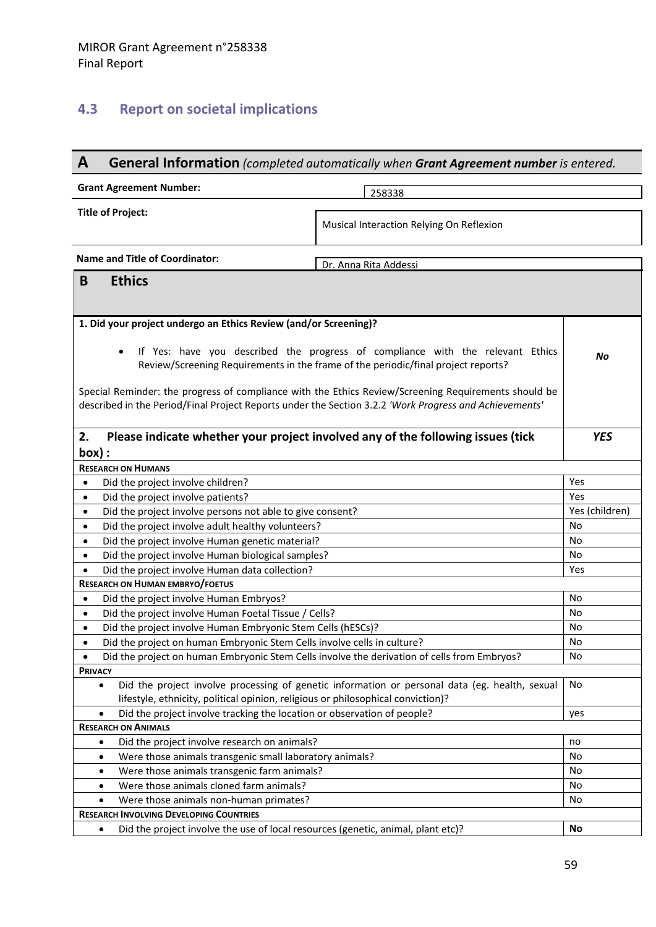# **4.3 Report on societal implications**

| A                                                                                                                                                                                                                                                                                                                                                                                                                                                                            | General Information (completed automatically when Grant Agreement number is entered.           |                |  |  |
|------------------------------------------------------------------------------------------------------------------------------------------------------------------------------------------------------------------------------------------------------------------------------------------------------------------------------------------------------------------------------------------------------------------------------------------------------------------------------|------------------------------------------------------------------------------------------------|----------------|--|--|
| <b>Grant Agreement Number:</b>                                                                                                                                                                                                                                                                                                                                                                                                                                               | 258338                                                                                         |                |  |  |
| <b>Title of Project:</b>                                                                                                                                                                                                                                                                                                                                                                                                                                                     | Musical Interaction Relying On Reflexion                                                       |                |  |  |
| <b>Name and Title of Coordinator:</b>                                                                                                                                                                                                                                                                                                                                                                                                                                        | Dr. Anna Rita Addessi                                                                          |                |  |  |
| <b>Ethics</b><br>B                                                                                                                                                                                                                                                                                                                                                                                                                                                           |                                                                                                |                |  |  |
| 1. Did your project undergo an Ethics Review (and/or Screening)?<br>If Yes: have you described the progress of compliance with the relevant Ethics<br>$\bullet$<br>No<br>Review/Screening Requirements in the frame of the periodic/final project reports?<br>Special Reminder: the progress of compliance with the Ethics Review/Screening Requirements should be<br>described in the Period/Final Project Reports under the Section 3.2.2 'Work Progress and Achievements' |                                                                                                |                |  |  |
| 2.<br>$box)$ :                                                                                                                                                                                                                                                                                                                                                                                                                                                               | Please indicate whether your project involved any of the following issues (tick<br><b>YES</b>  |                |  |  |
| <b>RESEARCH ON HUMANS</b>                                                                                                                                                                                                                                                                                                                                                                                                                                                    |                                                                                                |                |  |  |
| Did the project involve children?<br>$\bullet$                                                                                                                                                                                                                                                                                                                                                                                                                               |                                                                                                | Yes            |  |  |
| Did the project involve patients?<br>$\bullet$                                                                                                                                                                                                                                                                                                                                                                                                                               |                                                                                                | Yes            |  |  |
| Did the project involve persons not able to give consent?<br>$\bullet$                                                                                                                                                                                                                                                                                                                                                                                                       |                                                                                                | Yes (children) |  |  |
| Did the project involve adult healthy volunteers?<br>$\bullet$                                                                                                                                                                                                                                                                                                                                                                                                               |                                                                                                | No             |  |  |
| Did the project involve Human genetic material?<br>$\bullet$                                                                                                                                                                                                                                                                                                                                                                                                                 |                                                                                                | No<br>No       |  |  |
| Did the project involve Human biological samples?<br>$\bullet$                                                                                                                                                                                                                                                                                                                                                                                                               |                                                                                                |                |  |  |
| Did the project involve Human data collection?<br>Yes<br>$\bullet$<br><b>RESEARCH ON HUMAN EMBRYO/FOETUS</b>                                                                                                                                                                                                                                                                                                                                                                 |                                                                                                |                |  |  |
| Did the project involve Human Embryos?<br>$\bullet$                                                                                                                                                                                                                                                                                                                                                                                                                          |                                                                                                | No             |  |  |
| Did the project involve Human Foetal Tissue / Cells?<br>$\bullet$                                                                                                                                                                                                                                                                                                                                                                                                            |                                                                                                | No             |  |  |
| Did the project involve Human Embryonic Stem Cells (hESCs)?<br>$\bullet$                                                                                                                                                                                                                                                                                                                                                                                                     |                                                                                                | No             |  |  |
| Did the project on human Embryonic Stem Cells involve cells in culture?<br>$\bullet$                                                                                                                                                                                                                                                                                                                                                                                         |                                                                                                | No             |  |  |
| Did the project on human Embryonic Stem Cells involve the derivation of cells from Embryos?<br>٠                                                                                                                                                                                                                                                                                                                                                                             |                                                                                                | No             |  |  |
| <b>PRIVACY</b>                                                                                                                                                                                                                                                                                                                                                                                                                                                               |                                                                                                |                |  |  |
| $\bullet$<br>lifestyle, ethnicity, political opinion, religious or philosophical conviction)?                                                                                                                                                                                                                                                                                                                                                                                | Did the project involve processing of genetic information or personal data (eg. health, sexual | No             |  |  |
| Did the project involve tracking the location or observation of people?<br>$\bullet$                                                                                                                                                                                                                                                                                                                                                                                         |                                                                                                | yes            |  |  |
| <b>RESEARCH ON ANIMALS</b>                                                                                                                                                                                                                                                                                                                                                                                                                                                   |                                                                                                |                |  |  |
| Did the project involve research on animals?<br>$\bullet$                                                                                                                                                                                                                                                                                                                                                                                                                    |                                                                                                | no             |  |  |
| Were those animals transgenic small laboratory animals?<br>$\bullet$                                                                                                                                                                                                                                                                                                                                                                                                         |                                                                                                | No             |  |  |
| Were those animals transgenic farm animals?<br>٠                                                                                                                                                                                                                                                                                                                                                                                                                             |                                                                                                | No<br>No       |  |  |
| Were those animals cloned farm animals?<br>$\bullet$                                                                                                                                                                                                                                                                                                                                                                                                                         |                                                                                                |                |  |  |
| Were those animals non-human primates?<br>$\bullet$                                                                                                                                                                                                                                                                                                                                                                                                                          |                                                                                                | No             |  |  |
| <b>RESEARCH INVOLVING DEVELOPING COUNTRIES</b>                                                                                                                                                                                                                                                                                                                                                                                                                               |                                                                                                |                |  |  |
| Did the project involve the use of local resources (genetic, animal, plant etc)?<br>٠                                                                                                                                                                                                                                                                                                                                                                                        |                                                                                                | No             |  |  |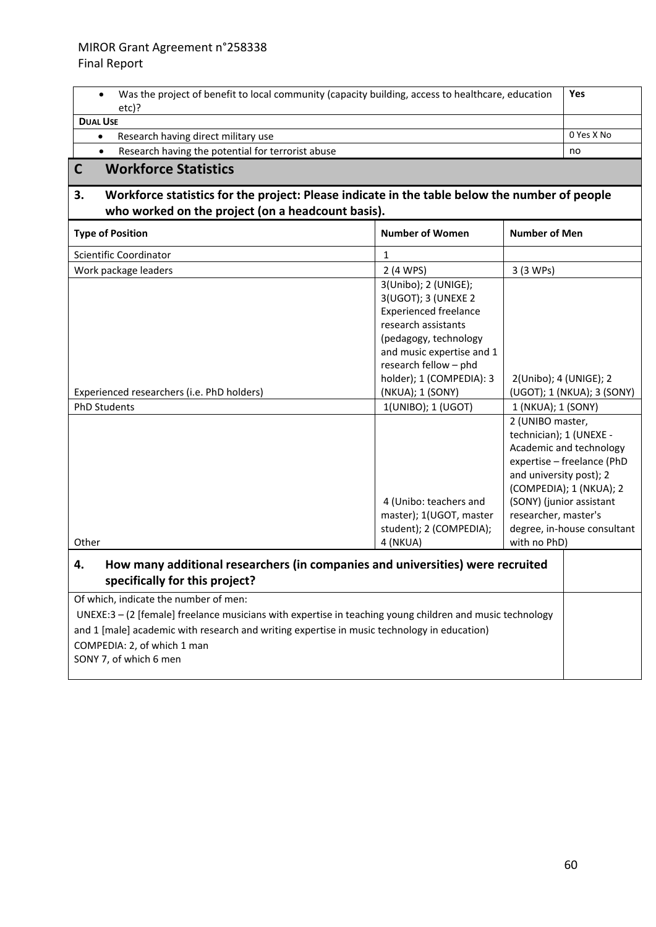| Was the project of benefit to local community (capacity building, access to healthcare, education<br>$\bullet$<br>etc)?                                                                                                                                                                                   |                                                                                                                                                                                                               | Yes                                                                                                                                                                                                                                                           |  |  |
|-----------------------------------------------------------------------------------------------------------------------------------------------------------------------------------------------------------------------------------------------------------------------------------------------------------|---------------------------------------------------------------------------------------------------------------------------------------------------------------------------------------------------------------|---------------------------------------------------------------------------------------------------------------------------------------------------------------------------------------------------------------------------------------------------------------|--|--|
| <b>DUAL USE</b>                                                                                                                                                                                                                                                                                           |                                                                                                                                                                                                               |                                                                                                                                                                                                                                                               |  |  |
| Research having direct military use<br>$\bullet$                                                                                                                                                                                                                                                          | 0 Yes X No                                                                                                                                                                                                    |                                                                                                                                                                                                                                                               |  |  |
| Research having the potential for terrorist abuse<br>$\bullet$                                                                                                                                                                                                                                            | no                                                                                                                                                                                                            |                                                                                                                                                                                                                                                               |  |  |
| $\mathbf C$<br><b>Workforce Statistics</b>                                                                                                                                                                                                                                                                |                                                                                                                                                                                                               |                                                                                                                                                                                                                                                               |  |  |
| 3.<br>Workforce statistics for the project: Please indicate in the table below the number of people<br>who worked on the project (on a headcount basis).                                                                                                                                                  |                                                                                                                                                                                                               |                                                                                                                                                                                                                                                               |  |  |
| <b>Type of Position</b>                                                                                                                                                                                                                                                                                   | <b>Number of Women</b>                                                                                                                                                                                        | <b>Number of Men</b>                                                                                                                                                                                                                                          |  |  |
| Scientific Coordinator                                                                                                                                                                                                                                                                                    | 1                                                                                                                                                                                                             |                                                                                                                                                                                                                                                               |  |  |
| Work package leaders                                                                                                                                                                                                                                                                                      | 2 (4 WPS)                                                                                                                                                                                                     | 3 (3 WPs)                                                                                                                                                                                                                                                     |  |  |
|                                                                                                                                                                                                                                                                                                           | 3(Unibo); 2 (UNIGE);<br>3(UGOT); 3 (UNEXE 2<br><b>Experienced freelance</b><br>research assistants<br>(pedagogy, technology<br>and music expertise and 1<br>research fellow - phd<br>holder); 1 (COMPEDIA): 3 | 2(Unibo); 4 (UNIGE); 2                                                                                                                                                                                                                                        |  |  |
| Experienced researchers (i.e. PhD holders)                                                                                                                                                                                                                                                                | (NKUA); 1 (SONY)                                                                                                                                                                                              | (UGOT); 1 (NKUA); 3 (SONY)                                                                                                                                                                                                                                    |  |  |
| PhD Students                                                                                                                                                                                                                                                                                              | 1(UNIBO); 1 (UGOT)                                                                                                                                                                                            | 1 (NKUA); 1 (SONY)                                                                                                                                                                                                                                            |  |  |
| Other                                                                                                                                                                                                                                                                                                     | 4 (Unibo: teachers and<br>master); 1(UGOT, master<br>student); 2 (COMPEDIA);<br>4 (NKUA)                                                                                                                      | 2 (UNIBO master,<br>technician); 1 (UNEXE -<br>Academic and technology<br>expertise - freelance (PhD<br>and university post); 2<br>(COMPEDIA); 1 (NKUA); 2<br>(SONY) (junior assistant<br>researcher, master's<br>degree, in-house consultant<br>with no PhD) |  |  |
| How many additional researchers (in companies and universities) were recruited<br>4.<br>specifically for this project?                                                                                                                                                                                    |                                                                                                                                                                                                               |                                                                                                                                                                                                                                                               |  |  |
| Of which, indicate the number of men:<br>UNEXE:3 - (2 [female] freelance musicians with expertise in teaching young children and music technology<br>and 1 [male] academic with research and writing expertise in music technology in education)<br>COMPEDIA: 2, of which 1 man<br>SONY 7, of which 6 men |                                                                                                                                                                                                               |                                                                                                                                                                                                                                                               |  |  |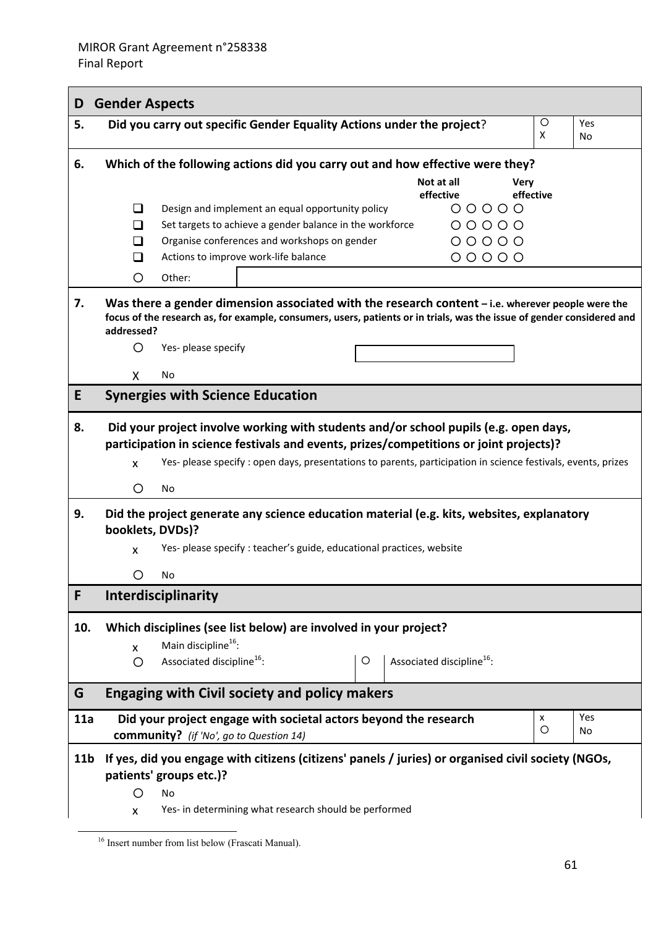| D               | <b>Gender Aspects</b>                                                                                                                                                                                                                                                                                           |                    |                  |  |  |  |
|-----------------|-----------------------------------------------------------------------------------------------------------------------------------------------------------------------------------------------------------------------------------------------------------------------------------------------------------------|--------------------|------------------|--|--|--|
| 5.              | Did you carry out specific Gender Equality Actions under the project?                                                                                                                                                                                                                                           | $\circ$<br>X       | Yes<br><b>No</b> |  |  |  |
| 6.              | Which of the following actions did you carry out and how effective were they?                                                                                                                                                                                                                                   |                    |                  |  |  |  |
|                 | Not at all<br><b>Very</b><br>effective                                                                                                                                                                                                                                                                          | effective          |                  |  |  |  |
|                 | Design and implement an equal opportunity policy<br>$00000$<br>ப<br>$00000$<br>Set targets to achieve a gender balance in the workforce<br>ப<br>$00000$<br>Organise conferences and workshops on gender<br>ப<br>Actions to improve work-life balance<br>$00000$<br>ப<br>Other:<br>O                             |                    |                  |  |  |  |
| 7.              | Was there a gender dimension associated with the research content – i.e. wherever people were the<br>focus of the research as, for example, consumers, users, patients or in trials, was the issue of gender considered and<br>addressed?<br>Yes- please specify<br>O                                           |                    |                  |  |  |  |
|                 | No<br>X.                                                                                                                                                                                                                                                                                                        |                    |                  |  |  |  |
| E               | <b>Synergies with Science Education</b>                                                                                                                                                                                                                                                                         |                    |                  |  |  |  |
| 8.              | Did your project involve working with students and/or school pupils (e.g. open days,<br>participation in science festivals and events, prizes/competitions or joint projects)?<br>Yes- please specify : open days, presentations to parents, participation in science festivals, events, prizes<br>X<br>O<br>No |                    |                  |  |  |  |
| 9.              | Did the project generate any science education material (e.g. kits, websites, explanatory<br>booklets, DVDs)?                                                                                                                                                                                                   |                    |                  |  |  |  |
|                 | Yes- please specify : teacher's guide, educational practices, website<br>X                                                                                                                                                                                                                                      |                    |                  |  |  |  |
|                 | O<br>No                                                                                                                                                                                                                                                                                                         |                    |                  |  |  |  |
| F               | Interdisciplinarity                                                                                                                                                                                                                                                                                             |                    |                  |  |  |  |
| 10.             | Which disciplines (see list below) are involved in your project?<br>Main discipline <sup>16</sup> :<br>X<br>Associated discipline <sup>16</sup> :<br>Associated discipline <sup>16</sup> :<br>$\circ$<br>O                                                                                                      |                    |                  |  |  |  |
| G               | <b>Engaging with Civil society and policy makers</b>                                                                                                                                                                                                                                                            |                    |                  |  |  |  |
| 11a             | Did your project engage with societal actors beyond the research                                                                                                                                                                                                                                                | $\pmb{\mathsf{x}}$ | Yes              |  |  |  |
|                 | <b>community?</b> (if 'No', go to Question 14)                                                                                                                                                                                                                                                                  | $\circ$            | No               |  |  |  |
| 11 <sub>b</sub> | If yes, did you engage with citizens (citizens' panels / juries) or organised civil society (NGOs,<br>patients' groups etc.)?<br>Ω<br>No<br>Yes- in determining what research should be performed<br>X                                                                                                          |                    |                  |  |  |  |

<sup>&</sup>lt;sup>16</sup> Insert number from list below (Frascati Manual).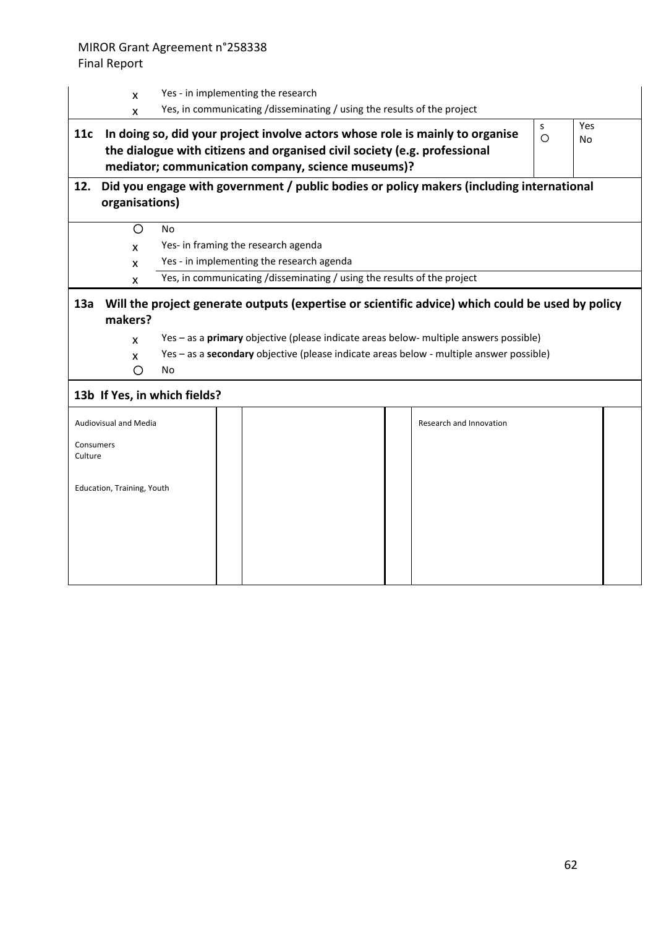## Final Report

|                      | X                                                                                                                                                                                                                                                                                                                                      | Yes - in implementing the research                                      |  |  |  |                         |  |
|----------------------|----------------------------------------------------------------------------------------------------------------------------------------------------------------------------------------------------------------------------------------------------------------------------------------------------------------------------------------|-------------------------------------------------------------------------|--|--|--|-------------------------|--|
| 11c                  | Yes, in communicating /disseminating / using the results of the project<br>X<br>Yes<br>s<br>In doing so, did your project involve actors whose role is mainly to organise<br>$\circ$<br>No<br>the dialogue with citizens and organised civil society (e.g. professional<br>mediator; communication company, science museums)?          |                                                                         |  |  |  |                         |  |
| 12.                  | Did you engage with government / public bodies or policy makers (including international<br>organisations)                                                                                                                                                                                                                             |                                                                         |  |  |  |                         |  |
|                      | O                                                                                                                                                                                                                                                                                                                                      | <b>No</b>                                                               |  |  |  |                         |  |
|                      | $\mathsf{x}$                                                                                                                                                                                                                                                                                                                           | Yes- in framing the research agenda                                     |  |  |  |                         |  |
|                      | X                                                                                                                                                                                                                                                                                                                                      | Yes - in implementing the research agenda                               |  |  |  |                         |  |
|                      | X                                                                                                                                                                                                                                                                                                                                      | Yes, in communicating /disseminating / using the results of the project |  |  |  |                         |  |
| 13a                  | Will the project generate outputs (expertise or scientific advice) which could be used by policy<br>makers?<br>Yes - as a primary objective (please indicate areas below- multiple answers possible)<br>$\mathsf{x}$<br>Yes - as a secondary objective (please indicate areas below - multiple answer possible)<br>X<br>O<br><b>No</b> |                                                                         |  |  |  |                         |  |
|                      |                                                                                                                                                                                                                                                                                                                                        | 13b If Yes, in which fields?                                            |  |  |  |                         |  |
|                      | <b>Audiovisual and Media</b>                                                                                                                                                                                                                                                                                                           |                                                                         |  |  |  | Research and Innovation |  |
| Consumers<br>Culture |                                                                                                                                                                                                                                                                                                                                        |                                                                         |  |  |  |                         |  |
|                      | Education, Training, Youth                                                                                                                                                                                                                                                                                                             |                                                                         |  |  |  |                         |  |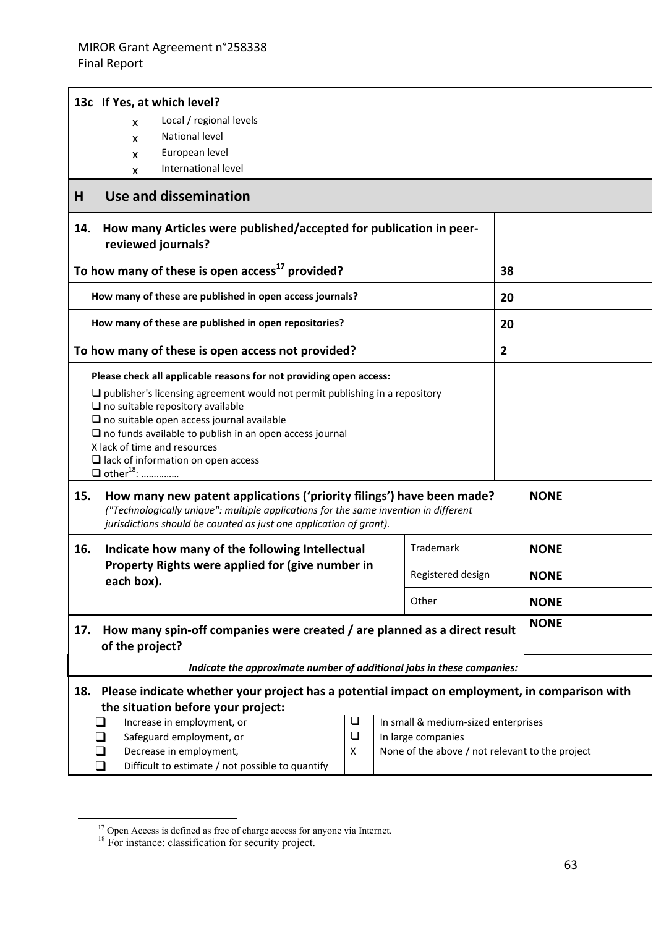| 13c If Yes, at which level?                                                                                                                                                                                                                                                                                                                                               |  |                   |             |                |             |  |
|---------------------------------------------------------------------------------------------------------------------------------------------------------------------------------------------------------------------------------------------------------------------------------------------------------------------------------------------------------------------------|--|-------------------|-------------|----------------|-------------|--|
| Local / regional levels<br>X                                                                                                                                                                                                                                                                                                                                              |  |                   |             |                |             |  |
| National level<br>X                                                                                                                                                                                                                                                                                                                                                       |  |                   |             |                |             |  |
| European level<br>X                                                                                                                                                                                                                                                                                                                                                       |  |                   |             |                |             |  |
| International level<br>X                                                                                                                                                                                                                                                                                                                                                  |  |                   |             |                |             |  |
| <b>Use and dissemination</b><br>H                                                                                                                                                                                                                                                                                                                                         |  |                   |             |                |             |  |
| How many Articles were published/accepted for publication in peer-<br>14.<br>reviewed journals?                                                                                                                                                                                                                                                                           |  |                   |             |                |             |  |
| To how many of these is open access <sup>17</sup> provided?                                                                                                                                                                                                                                                                                                               |  |                   |             |                | 38          |  |
| How many of these are published in open access journals?                                                                                                                                                                                                                                                                                                                  |  |                   |             | 20             |             |  |
| How many of these are published in open repositories?                                                                                                                                                                                                                                                                                                                     |  |                   |             | 20             |             |  |
| To how many of these is open access not provided?                                                                                                                                                                                                                                                                                                                         |  |                   |             | $\overline{2}$ |             |  |
| Please check all applicable reasons for not providing open access:                                                                                                                                                                                                                                                                                                        |  |                   |             |                |             |  |
| $\Box$ publisher's licensing agreement would not permit publishing in a repository<br>$\square$ no suitable repository available<br>$\square$ no suitable open access journal available<br>$\square$ no funds available to publish in an open access journal<br>X lack of time and resources<br>$\Box$ lack of information on open access<br>$\Box$ other <sup>18</sup> : |  |                   |             |                |             |  |
| How many new patent applications ('priority filings') have been made?<br>15.<br><b>NONE</b><br>("Technologically unique": multiple applications for the same invention in different<br>jurisdictions should be counted as just one application of grant).                                                                                                                 |  |                   |             |                |             |  |
| Trademark<br>Indicate how many of the following Intellectual<br>16.<br>Property Rights were applied for (give number in<br>each box).                                                                                                                                                                                                                                     |  |                   | <b>NONE</b> |                |             |  |
|                                                                                                                                                                                                                                                                                                                                                                           |  | Registered design | <b>NONE</b> |                |             |  |
| Other                                                                                                                                                                                                                                                                                                                                                                     |  |                   |             |                | <b>NONE</b> |  |
| <b>NONE</b><br>How many spin-off companies were created / are planned as a direct result<br>17.<br>of the project?                                                                                                                                                                                                                                                        |  |                   |             |                |             |  |
| Indicate the approximate number of additional jobs in these companies:                                                                                                                                                                                                                                                                                                    |  |                   |             |                |             |  |
| Please indicate whether your project has a potential impact on employment, in comparison with<br>18.                                                                                                                                                                                                                                                                      |  |                   |             |                |             |  |
| the situation before your project:<br>Increase in employment, or<br>$\Box$<br>In small & medium-sized enterprises                                                                                                                                                                                                                                                         |  |                   |             |                |             |  |
| $\Box$<br>Safeguard employment, or<br>In large companies<br>l 1                                                                                                                                                                                                                                                                                                           |  |                   |             |                |             |  |
| Decrease in employment,<br>None of the above / not relevant to the project<br>X<br>ப                                                                                                                                                                                                                                                                                      |  |                   |             |                |             |  |
| Difficult to estimate / not possible to quantify<br>❏                                                                                                                                                                                                                                                                                                                     |  |                   |             |                |             |  |

<sup>&</sup>lt;sup>17</sup> Open Access is defined as free of charge access for anyone via Internet.

<sup>&</sup>lt;sup>18</sup> For instance: classification for security project.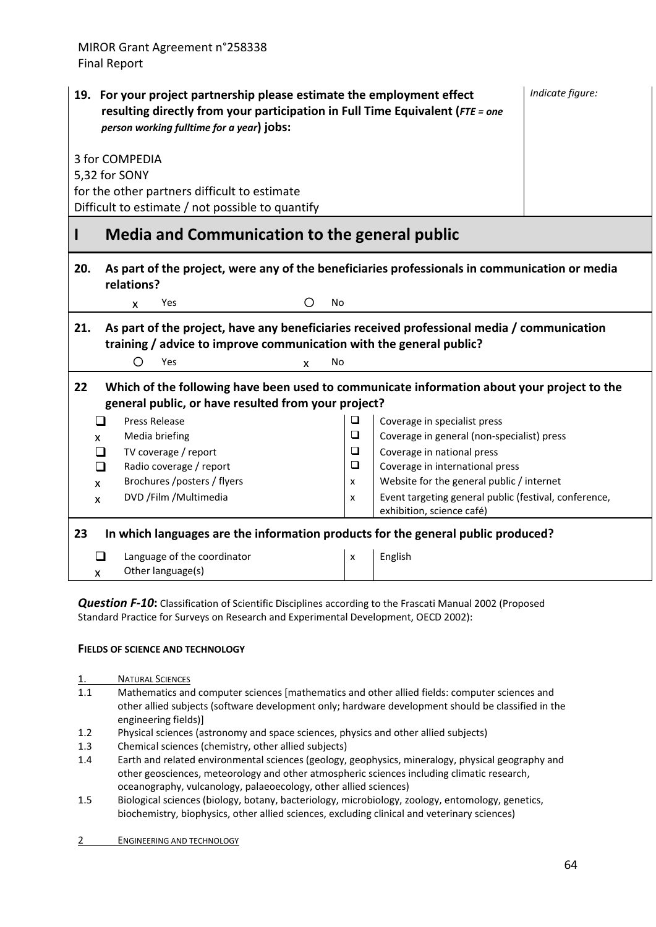| 19. For your project partnership please estimate the employment effect<br>resulting directly from your participation in Full Time Equivalent (FTE = one<br>person working fulltime for a year) jobs: | Indicate figure:                                                                        |  |  |  |  |  |
|------------------------------------------------------------------------------------------------------------------------------------------------------------------------------------------------------|-----------------------------------------------------------------------------------------|--|--|--|--|--|
| 3 for COMPEDIA<br>5,32 for SONY                                                                                                                                                                      |                                                                                         |  |  |  |  |  |
| for the other partners difficult to estimate<br>Difficult to estimate / not possible to quantify                                                                                                     |                                                                                         |  |  |  |  |  |
| <b>Media and Communication to the general public</b><br>ı                                                                                                                                            |                                                                                         |  |  |  |  |  |
| As part of the project, were any of the beneficiaries professionals in communication or media<br>20.<br>relations?                                                                                   |                                                                                         |  |  |  |  |  |
| <b>No</b><br><b>Yes</b><br>O<br>X                                                                                                                                                                    |                                                                                         |  |  |  |  |  |
| As part of the project, have any beneficiaries received professional media / communication<br>21.<br>training / advice to improve communication with the general public?<br>∩<br>Yes<br>No<br>X      |                                                                                         |  |  |  |  |  |
| 22<br>Which of the following have been used to communicate information about your project to the<br>general public, or have resulted from your project?                                              |                                                                                         |  |  |  |  |  |
| <b>Press Release</b><br>❏                                                                                                                                                                            | $\Box$<br>Coverage in specialist press                                                  |  |  |  |  |  |
| Media briefing<br>X                                                                                                                                                                                  | $\Box$<br>Coverage in general (non-specialist) press                                    |  |  |  |  |  |
| TV coverage / report<br>□                                                                                                                                                                            | ❏<br>Coverage in national press<br>$\Box$                                               |  |  |  |  |  |
| Radio coverage / report<br>❏<br>Brochures /posters / flyers<br>$\mathsf{x}$                                                                                                                          | Coverage in international press<br>Website for the general public / internet<br>X       |  |  |  |  |  |
| DVD / Film / Multimedia<br>X                                                                                                                                                                         | Event targeting general public (festival, conference,<br>X<br>exhibition, science café) |  |  |  |  |  |
| 23<br>In which languages are the information products for the general public produced?                                                                                                               |                                                                                         |  |  |  |  |  |
| ❏<br>Language of the coordinator<br>Other language(s)<br>X                                                                                                                                           | English<br>X                                                                            |  |  |  |  |  |

*Question F‐10***:** Classification of Scientific Disciplines according to the Frascati Manual 2002 (Proposed Standard Practice for Surveys on Research and Experimental Development, OECD 2002):

#### **FIELDS OF SCIENCE AND TECHNOLOGY**

- 1. NATURAL SCIENCES
- 1.1 Mathematics and computer sciences [mathematics and other allied fields: computer sciences and other allied subjects (software development only; hardware development should be classified in the engineering fields)]
- 1.2 Physical sciences (astronomy and space sciences, physics and other allied subjects)
- 1.3 Chemical sciences (chemistry, other allied subjects)
- 1.4 Earth and related environmental sciences (geology, geophysics, mineralogy, physical geography and other geosciences, meteorology and other atmospheric sciences including climatic research, oceanography, vulcanology, palaeoecology, other allied sciences)
- 1.5 Biological sciences (biology, botany, bacteriology, microbiology, zoology, entomology, genetics, biochemistry, biophysics, other allied sciences, excluding clinical and veterinary sciences)
- 2 ENGINEERING AND TECHNOLOGY

*Indicate figure:*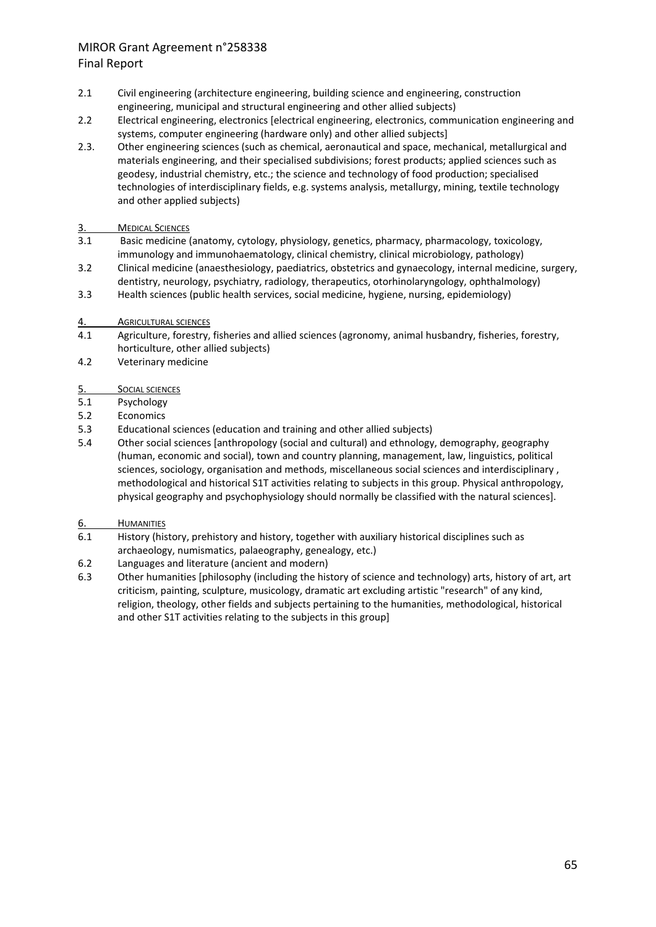- 2.1 Civil engineering (architecture engineering, building science and engineering, construction engineering, municipal and structural engineering and other allied subjects)
- 2.2 Electrical engineering, electronics [electrical engineering, electronics, communication engineering and systems, computer engineering (hardware only) and other allied subjects]
- 2.3. Other engineering sciences (such as chemical, aeronautical and space, mechanical, metallurgical and materials engineering, and their specialised subdivisions; forest products; applied sciences such as geodesy, industrial chemistry, etc.; the science and technology of food production; specialised technologies of interdisciplinary fields, e.g. systems analysis, metallurgy, mining, textile technology and other applied subjects)

# 3. MEDICAL SCIENCES<br>3.1 Basic medicine

- Basic medicine (anatomy, cytology, physiology, genetics, pharmacy, pharmacology, toxicology, immunology and immunohaematology, clinical chemistry, clinical microbiology, pathology)
- 3.2 Clinical medicine (anaesthesiology, paediatrics, obstetrics and gynaecology, internal medicine, surgery, dentistry, neurology, psychiatry, radiology, therapeutics, otorhinolaryngology, ophthalmology)
- 3.3 Health sciences (public health services, social medicine, hygiene, nursing, epidemiology)

#### 4. AGRICULTURAL SCIENCES

- 4.1 Agriculture, forestry, fisheries and allied sciences (agronomy, animal husbandry, fisheries, forestry, horticulture, other allied subjects)
- 4.2 Veterinary medicine

#### 5. SOCIAL SCIENCES

- 5.1 Psychology
- 5.2 Economics
- 5.3 Educational sciences (education and training and other allied subjects)
- 5.4 Other social sciences [anthropology (social and cultural) and ethnology, demography, geography (human, economic and social), town and country planning, management, law, linguistics, political sciences, sociology, organisation and methods, miscellaneous social sciences and interdisciplinary , methodological and historical S1T activities relating to subjects in this group. Physical anthropology, physical geography and psychophysiology should normally be classified with the natural sciences].
- 6. HUMANITIES
- 6.1 History (history, prehistory and history, together with auxiliary historical disciplines such as archaeology, numismatics, palaeography, genealogy, etc.)
- 6.2 Languages and literature (ancient and modern)
- 6.3 Other humanities [philosophy (including the history of science and technology) arts, history of art, art criticism, painting, sculpture, musicology, dramatic art excluding artistic "research" of any kind, religion, theology, other fields and subjects pertaining to the humanities, methodological, historical and other S1T activities relating to the subjects in this group]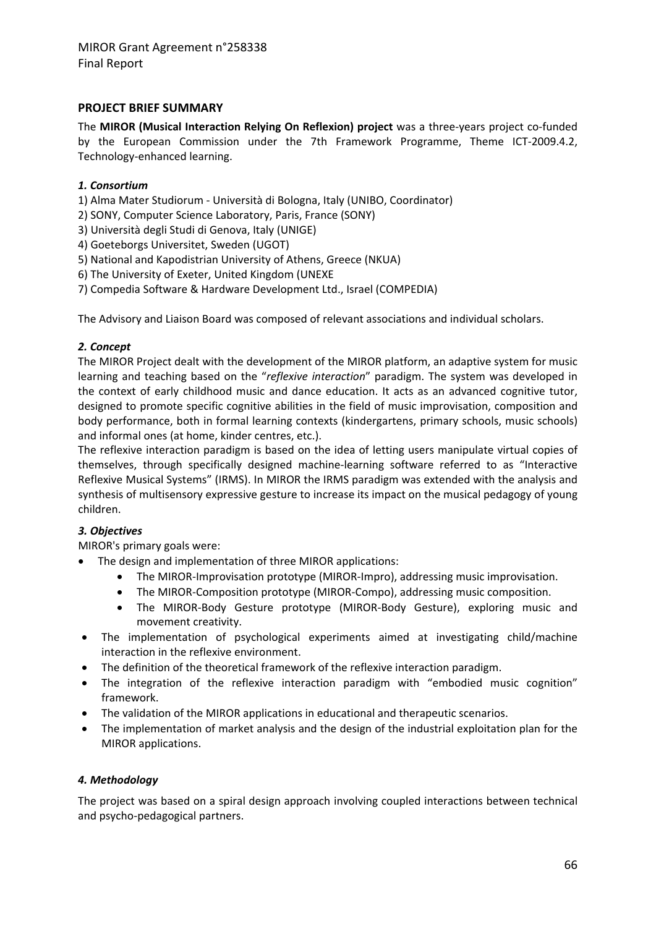#### **PROJECT BRIEF SUMMARY**

The **MIROR (Musical Interaction Relying On Reflexion) project** was a three‐years project co‐funded by the European Commission under the 7th Framework Programme, Theme ICT‐2009.4.2, Technology‐enhanced learning.

#### *1. Consortium*

1) Alma Mater Studiorum ‐ Università di Bologna, Italy (UNIBO, Coordinator)

2) SONY, Computer Science Laboratory, Paris, France (SONY)

3) Università degli Studi di Genova, Italy (UNIGE)

4) Goeteborgs Universitet, Sweden (UGOT)

5) National and Kapodistrian University of Athens, Greece (NKUA)

6) The University of Exeter, United Kingdom (UNEXE

7) Compedia Software & Hardware Development Ltd., Israel (COMPEDIA)

The Advisory and Liaison Board was composed of relevant associations and individual scholars.

#### *2. Concept*

The MIROR Project dealt with the development of the MIROR platform, an adaptive system for music learning and teaching based on the "*reflexive interaction*" paradigm. The system was developed in the context of early childhood music and dance education. It acts as an advanced cognitive tutor, designed to promote specific cognitive abilities in the field of music improvisation, composition and body performance, both in formal learning contexts (kindergartens, primary schools, music schools) and informal ones (at home, kinder centres, etc.).

The reflexive interaction paradigm is based on the idea of letting users manipulate virtual copies of themselves, through specifically designed machine‐learning software referred to as "Interactive Reflexive Musical Systems" (IRMS). In MIROR the IRMS paradigm was extended with the analysis and synthesis of multisensory expressive gesture to increase its impact on the musical pedagogy of young children.

#### *3. Objectives*

MIROR's primary goals were:

- The design and implementation of three MIROR applications:
	- The MIROR‐Improvisation prototype (MIROR‐Impro), addressing music improvisation.
	- The MIROR‐Composition prototype (MIROR‐Compo), addressing music composition.
	- The MIROR‐Body Gesture prototype (MIROR‐Body Gesture), exploring music and movement creativity.
- The implementation of psychological experiments aimed at investigating child/machine interaction in the reflexive environment.
- The definition of the theoretical framework of the reflexive interaction paradigm.
- The integration of the reflexive interaction paradigm with "embodied music cognition" framework.
- The validation of the MIROR applications in educational and therapeutic scenarios.
- The implementation of market analysis and the design of the industrial exploitation plan for the MIROR applications.

#### *4. Methodology*

The project was based on a spiral design approach involving coupled interactions between technical and psycho‐pedagogical partners.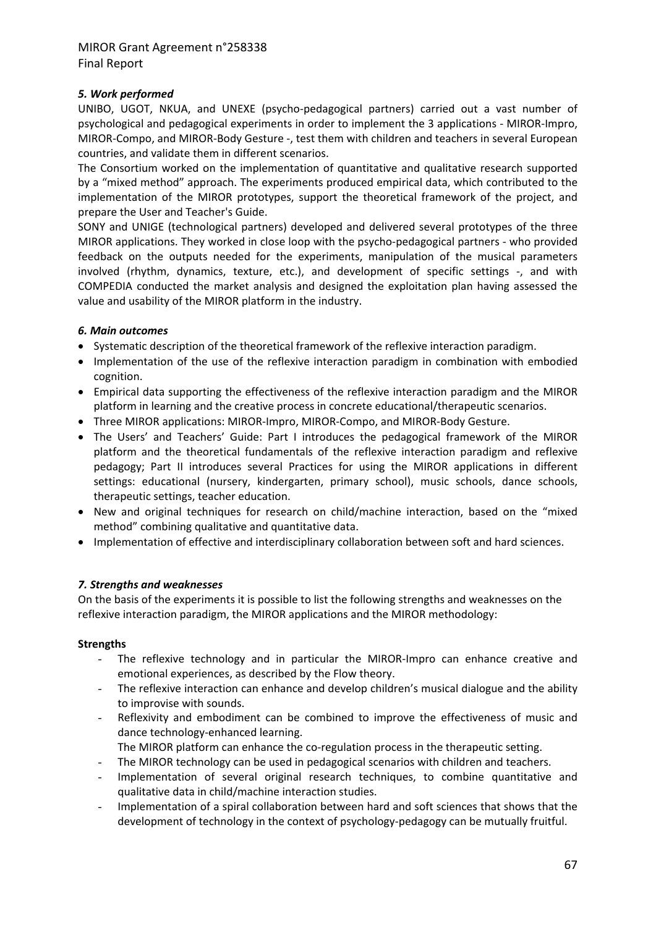#### *5. Work performed*

UNIBO, UGOT, NKUA, and UNEXE (psycho‐pedagogical partners) carried out a vast number of psychological and pedagogical experiments in order to implement the 3 applications ‐ MIROR‐Impro, MIROR‐Compo, and MIROR‐Body Gesture ‐, test them with children and teachers in several European countries, and validate them in different scenarios.

The Consortium worked on the implementation of quantitative and qualitative research supported by a "mixed method" approach. The experiments produced empirical data, which contributed to the implementation of the MIROR prototypes, support the theoretical framework of the project, and prepare the User and Teacher's Guide.

SONY and UNIGE (technological partners) developed and delivered several prototypes of the three MIROR applications. They worked in close loop with the psycho‐pedagogical partners ‐ who provided feedback on the outputs needed for the experiments, manipulation of the musical parameters involved (rhythm, dynamics, texture, etc.), and development of specific settings ‐, and with COMPEDIA conducted the market analysis and designed the exploitation plan having assessed the value and usability of the MIROR platform in the industry.

#### *6. Main outcomes*

- Systematic description of the theoretical framework of the reflexive interaction paradigm.
- Implementation of the use of the reflexive interaction paradigm in combination with embodied cognition.
- Empirical data supporting the effectiveness of the reflexive interaction paradigm and the MIROR platform in learning and the creative process in concrete educational/therapeutic scenarios.
- Three MIROR applications: MIROR‐Impro, MIROR‐Compo, and MIROR‐Body Gesture.
- The Users' and Teachers' Guide: Part I introduces the pedagogical framework of the MIROR platform and the theoretical fundamentals of the reflexive interaction paradigm and reflexive pedagogy; Part II introduces several Practices for using the MIROR applications in different settings: educational (nursery, kindergarten, primary school), music schools, dance schools, therapeutic settings, teacher education.
- New and original techniques for research on child/machine interaction, based on the "mixed method" combining qualitative and quantitative data.
- Implementation of effective and interdisciplinary collaboration between soft and hard sciences.

#### *7. Strengths and weaknesses*

On the basis of the experiments it is possible to list the following strengths and weaknesses on the reflexive interaction paradigm, the MIROR applications and the MIROR methodology:

#### **Strengths**

- The reflexive technology and in particular the MIROR‐Impro can enhance creative and emotional experiences, as described by the Flow theory.
- The reflexive interaction can enhance and develop children's musical dialogue and the ability to improvise with sounds.
- Reflexivity and embodiment can be combined to improve the effectiveness of music and dance technology‐enhanced learning.
	- The MIROR platform can enhance the co-regulation process in the therapeutic setting.
- The MIROR technology can be used in pedagogical scenarios with children and teachers.
- Implementation of several original research techniques, to combine quantitative and qualitative data in child/machine interaction studies.
- Implementation of a spiral collaboration between hard and soft sciences that shows that the development of technology in the context of psychology‐pedagogy can be mutually fruitful.